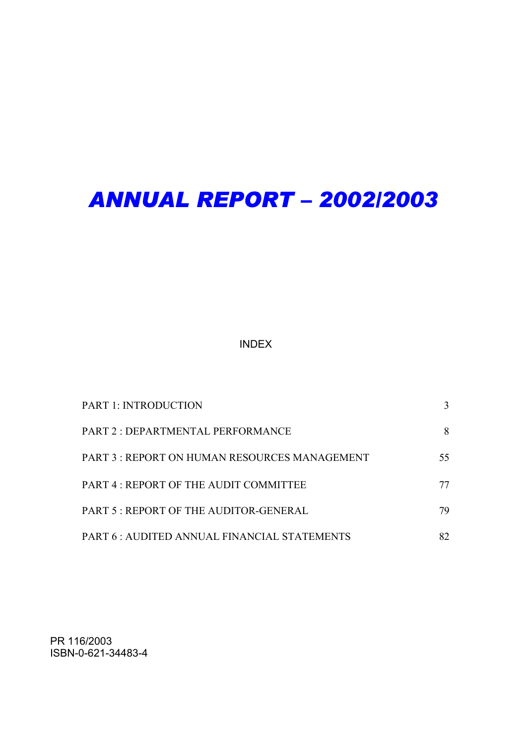# *ANNUAL REPORT – 2002/2003*

# INDEX

| <b>PART 1: INTRODUCTION</b>                  |    |
|----------------------------------------------|----|
| <b>PART 2: DEPARTMENTAL PERFORMANCE</b>      | 8  |
| PART 3: REPORT ON HUMAN RESOURCES MANAGEMENT | 55 |
| PART 4: REPORT OF THE AUDIT COMMITTEE        | 77 |
| PART 5: REPORT OF THE AUDITOR-GENERAL        | 79 |
| PART 6 : AUDITED ANNUAL FINANCIAL STATEMENTS | 82 |

PR 116/2003 ISBN-0-621-34483-4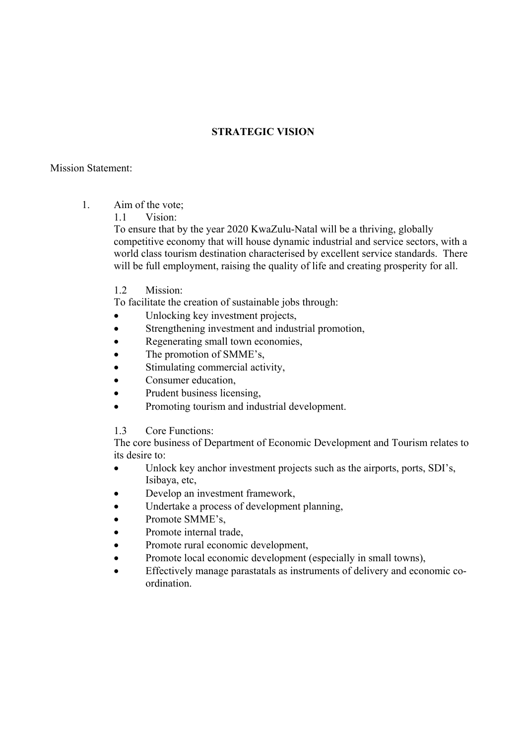# **STRATEGIC VISION**

#### Mission Statement:

- 1. Aim of the vote;
	- 1.1 Vision:

To ensure that by the year 2020 KwaZulu-Natal will be a thriving, globally competitive economy that will house dynamic industrial and service sectors, with a world class tourism destination characterised by excellent service standards. There will be full employment, raising the quality of life and creating prosperity for all.

1.2 Mission:

To facilitate the creation of sustainable jobs through:

- Unlocking key investment projects,
- Strengthening investment and industrial promotion,
- Regenerating small town economies,
- The promotion of SMME's.
- Stimulating commercial activity,
- Consumer education,
- Prudent business licensing,
- Promoting tourism and industrial development.

1.3 Core Functions:

The core business of Department of Economic Development and Tourism relates to its desire to:

- Unlock key anchor investment projects such as the airports, ports, SDI's, Isibaya, etc,
- Develop an investment framework,
- Undertake a process of development planning,
- Promote SMME's.
- Promote internal trade.
- Promote rural economic development,
- Promote local economic development (especially in small towns),
- Effectively manage parastatals as instruments of delivery and economic coordination.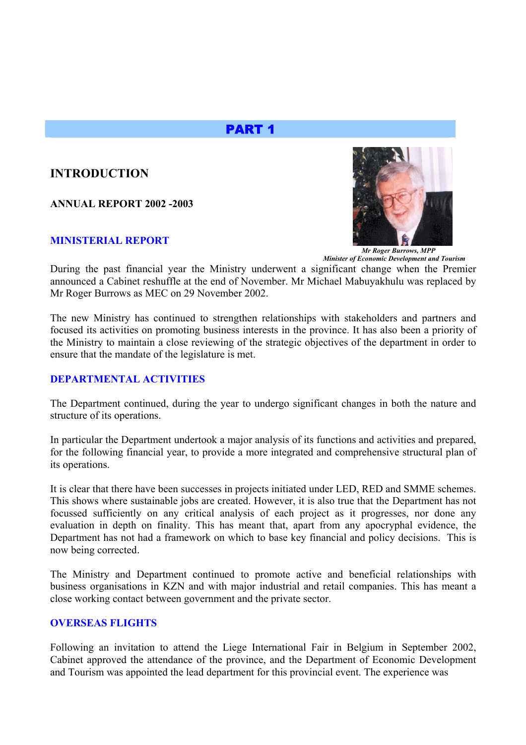# PART 1

# **INTRODUCTION**

**ANNUAL REPORT 2002 -2003** 

#### **MINISTERIAL REPORT**



 *Minister of Economic Development and Tourism*

During the past financial year the Ministry underwent a significant change when the Premier announced a Cabinet reshuffle at the end of November. Mr Michael Mabuyakhulu was replaced by Mr Roger Burrows as MEC on 29 November 2002.

The new Ministry has continued to strengthen relationships with stakeholders and partners and focused its activities on promoting business interests in the province. It has also been a priority of the Ministry to maintain a close reviewing of the strategic objectives of the department in order to ensure that the mandate of the legislature is met.

#### **DEPARTMENTAL ACTIVITIES**

The Department continued, during the year to undergo significant changes in both the nature and structure of its operations.

In particular the Department undertook a major analysis of its functions and activities and prepared, for the following financial year, to provide a more integrated and comprehensive structural plan of its operations.

It is clear that there have been successes in projects initiated under LED, RED and SMME schemes. This shows where sustainable jobs are created. However, it is also true that the Department has not focussed sufficiently on any critical analysis of each project as it progresses, nor done any evaluation in depth on finality. This has meant that, apart from any apocryphal evidence, the Department has not had a framework on which to base key financial and policy decisions. This is now being corrected.

The Ministry and Department continued to promote active and beneficial relationships with business organisations in KZN and with major industrial and retail companies. This has meant a close working contact between government and the private sector.

#### **OVERSEAS FLIGHTS**

Following an invitation to attend the Liege International Fair in Belgium in September 2002, Cabinet approved the attendance of the province, and the Department of Economic Development and Tourism was appointed the lead department for this provincial event. The experience was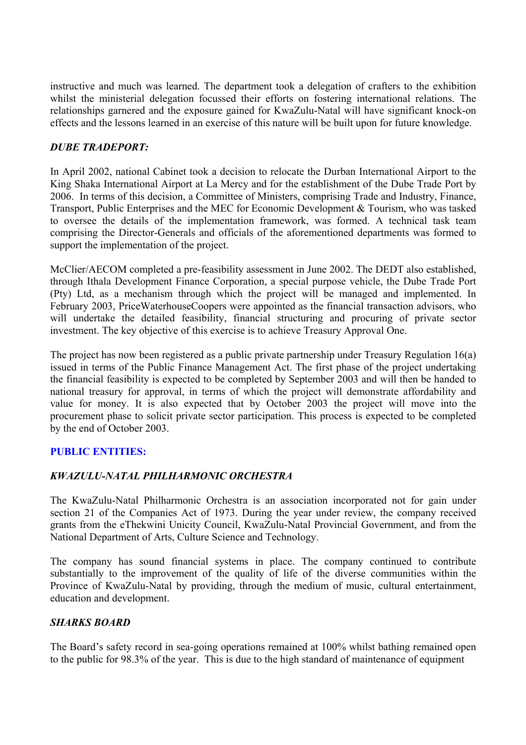instructive and much was learned. The department took a delegation of crafters to the exhibition whilst the ministerial delegation focussed their efforts on fostering international relations. The relationships garnered and the exposure gained for KwaZulu-Natal will have significant knock-on effects and the lessons learned in an exercise of this nature will be built upon for future knowledge.

# *DUBE TRADEPORT:*

In April 2002, national Cabinet took a decision to relocate the Durban International Airport to the King Shaka International Airport at La Mercy and for the establishment of the Dube Trade Port by 2006. In terms of this decision, a Committee of Ministers, comprising Trade and Industry, Finance, Transport, Public Enterprises and the MEC for Economic Development & Tourism, who was tasked to oversee the details of the implementation framework, was formed. A technical task team comprising the Director-Generals and officials of the aforementioned departments was formed to support the implementation of the project.

McClier/AECOM completed a pre-feasibility assessment in June 2002. The DEDT also established, through Ithala Development Finance Corporation, a special purpose vehicle, the Dube Trade Port (Pty) Ltd, as a mechanism through which the project will be managed and implemented. In February 2003, PriceWaterhouseCoopers were appointed as the financial transaction advisors, who will undertake the detailed feasibility, financial structuring and procuring of private sector investment. The key objective of this exercise is to achieve Treasury Approval One.

The project has now been registered as a public private partnership under Treasury Regulation 16(a) issued in terms of the Public Finance Management Act. The first phase of the project undertaking the financial feasibility is expected to be completed by September 2003 and will then be handed to national treasury for approval, in terms of which the project will demonstrate affordability and value for money. It is also expected that by October 2003 the project will move into the procurement phase to solicit private sector participation. This process is expected to be completed by the end of October 2003.

# **PUBLIC ENTITIES:**

# *KWAZULU-NATAL PHILHARMONIC ORCHESTRA*

The KwaZulu-Natal Philharmonic Orchestra is an association incorporated not for gain under section 21 of the Companies Act of 1973. During the year under review, the company received grants from the eThekwini Unicity Council, KwaZulu-Natal Provincial Government, and from the National Department of Arts, Culture Science and Technology.

The company has sound financial systems in place. The company continued to contribute substantially to the improvement of the quality of life of the diverse communities within the Province of KwaZulu-Natal by providing, through the medium of music, cultural entertainment, education and development.

# *SHARKS BOARD*

The Board's safety record in sea-going operations remained at 100% whilst bathing remained open to the public for 98.3% of the year. This is due to the high standard of maintenance of equipment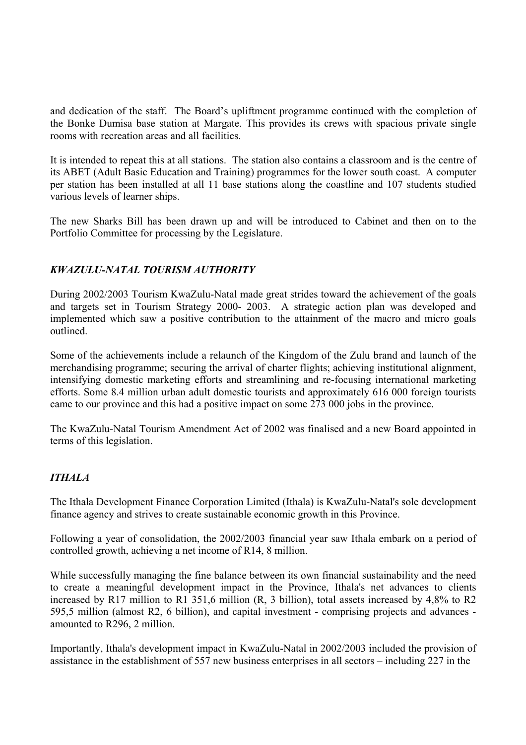and dedication of the staff. The Board's upliftment programme continued with the completion of the Bonke Dumisa base station at Margate. This provides its crews with spacious private single rooms with recreation areas and all facilities.

It is intended to repeat this at all stations. The station also contains a classroom and is the centre of its ABET (Adult Basic Education and Training) programmes for the lower south coast. A computer per station has been installed at all 11 base stations along the coastline and 107 students studied various levels of learner ships.

The new Sharks Bill has been drawn up and will be introduced to Cabinet and then on to the Portfolio Committee for processing by the Legislature.

# *KWAZULU-NATAL TOURISM AUTHORITY*

During 2002/2003 Tourism KwaZulu-Natal made great strides toward the achievement of the goals and targets set in Tourism Strategy 2000- 2003. A strategic action plan was developed and implemented which saw a positive contribution to the attainment of the macro and micro goals outlined.

Some of the achievements include a relaunch of the Kingdom of the Zulu brand and launch of the merchandising programme; securing the arrival of charter flights; achieving institutional alignment, intensifying domestic marketing efforts and streamlining and re-focusing international marketing efforts. Some 8.4 million urban adult domestic tourists and approximately 616 000 foreign tourists came to our province and this had a positive impact on some 273 000 jobs in the province.

The KwaZulu-Natal Tourism Amendment Act of 2002 was finalised and a new Board appointed in terms of this legislation.

# *ITHALA*

The Ithala Development Finance Corporation Limited (Ithala) is KwaZulu-Natal's sole development finance agency and strives to create sustainable economic growth in this Province.

Following a year of consolidation, the 2002/2003 financial year saw Ithala embark on a period of controlled growth, achieving a net income of R14, 8 million.

While successfully managing the fine balance between its own financial sustainability and the need to create a meaningful development impact in the Province, Ithala's net advances to clients increased by R17 million to R1 351,6 million (R, 3 billion), total assets increased by 4,8% to R2 595,5 million (almost R2, 6 billion), and capital investment - comprising projects and advances amounted to R296, 2 million.

Importantly, Ithala's development impact in KwaZulu-Natal in 2002/2003 included the provision of assistance in the establishment of 557 new business enterprises in all sectors – including 227 in the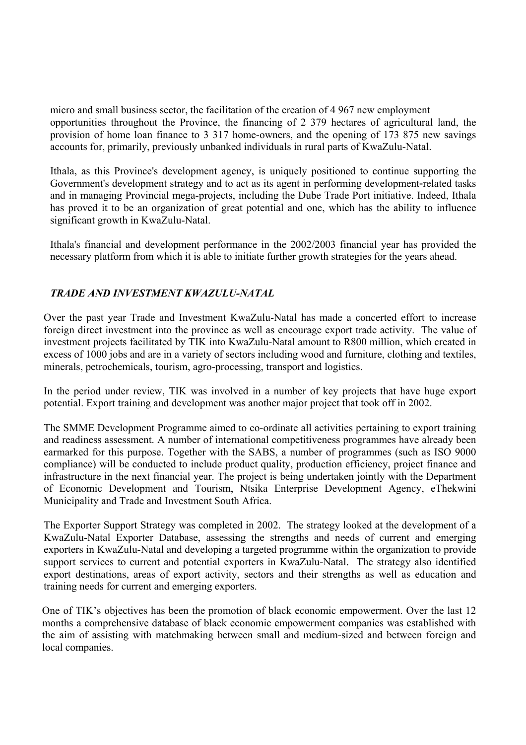micro and small business sector, the facilitation of the creation of 4 967 new employment opportunities throughout the Province, the financing of 2 379 hectares of agricultural land, the provision of home loan finance to 3 317 home-owners, and the opening of 173 875 new savings accounts for, primarily, previously unbanked individuals in rural parts of KwaZulu-Natal.

Ithala, as this Province's development agency, is uniquely positioned to continue supporting the Government's development strategy and to act as its agent in performing development-related tasks and in managing Provincial mega-projects, including the Dube Trade Port initiative. Indeed, Ithala has proved it to be an organization of great potential and one, which has the ability to influence significant growth in KwaZulu-Natal.

Ithala's financial and development performance in the 2002/2003 financial year has provided the necessary platform from which it is able to initiate further growth strategies for the years ahead.

# *TRADE AND INVESTMENT KWAZULU-NATAL*

Over the past year Trade and Investment KwaZulu-Natal has made a concerted effort to increase foreign direct investment into the province as well as encourage export trade activity. The value of investment projects facilitated by TIK into KwaZulu-Natal amount to R800 million, which created in excess of 1000 jobs and are in a variety of sectors including wood and furniture, clothing and textiles, minerals, petrochemicals, tourism, agro-processing, transport and logistics.

In the period under review, TIK was involved in a number of key projects that have huge export potential. Export training and development was another major project that took off in 2002.

The SMME Development Programme aimed to co-ordinate all activities pertaining to export training and readiness assessment. A number of international competitiveness programmes have already been earmarked for this purpose. Together with the SABS, a number of programmes (such as ISO 9000 compliance) will be conducted to include product quality, production efficiency, project finance and infrastructure in the next financial year. The project is being undertaken jointly with the Department of Economic Development and Tourism, Ntsika Enterprise Development Agency, eThekwini Municipality and Trade and Investment South Africa.

The Exporter Support Strategy was completed in 2002. The strategy looked at the development of a KwaZulu-Natal Exporter Database, assessing the strengths and needs of current and emerging exporters in KwaZulu-Natal and developing a targeted programme within the organization to provide support services to current and potential exporters in KwaZulu-Natal. The strategy also identified export destinations, areas of export activity, sectors and their strengths as well as education and training needs for current and emerging exporters.

One of TIK's objectives has been the promotion of black economic empowerment. Over the last 12 months a comprehensive database of black economic empowerment companies was established with the aim of assisting with matchmaking between small and medium-sized and between foreign and local companies.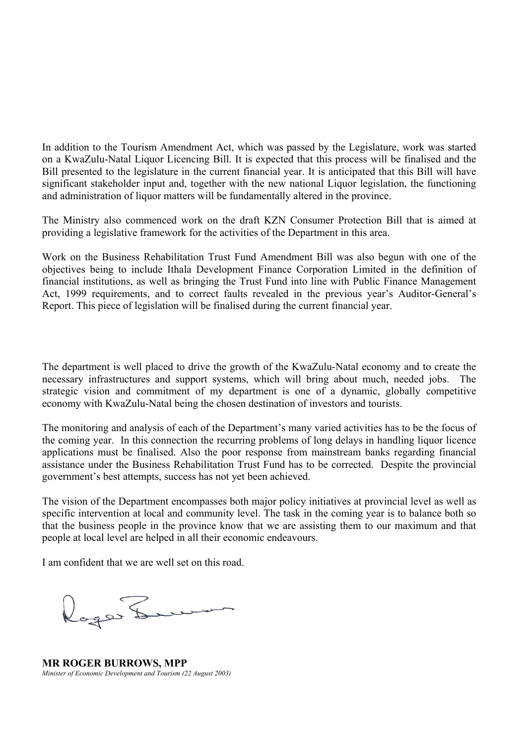In addition to the Tourism Amendment Act, which was passed by the Legislature, work was started on a KwaZulu-Natal Liquor Licencing Bill. It is expected that this process will be finalised and the Bill presented to the legislature in the current financial year. It is anticipated that this Bill will have significant stakeholder input and, together with the new national Liquor legislation, the functioning and administration of liquor matters will be fundamentally altered in the province.

The Ministry also commenced work on the draft KZN Consumer Protection Bill that is aimed at providing a legislative framework for the activities of the Department in this area.

Work on the Business Rehabilitation Trust Fund Amendment Bill was also begun with one of the objectives being to include Ithala Development Finance Corporation Limited in the definition of financial institutions, as well as bringing the Trust Fund into line with Public Finance Management Act, 1999 requirements, and to correct faults revealed in the previous year's Auditor-General's Report. This piece of legislation will be finalised during the current financial year.

The department is well placed to drive the growth of the KwaZulu-Natal economy and to create the necessary infrastructures and support systems, which will bring about much, needed jobs. The strategic vision and commitment of my department is one of a dynamic, globally competitive economy with KwaZulu-Natal being the chosen destination of investors and tourists.

The monitoring and analysis of each of the Department's many varied activities has to be the focus of the coming year. In this connection the recurring problems of long delays in handling liquor licence applications must be finalised. Also the poor response from mainstream banks regarding financial assistance under the Business Rehabilitation Trust Fund has to be corrected. Despite the provincial government's best attempts, success has not yet been achieved.

The vision of the Department encompasses both major policy initiatives at provincial level as well as specific intervention at local and community level. The task in the coming year is to balance both so that the business people in the province know that we are assisting them to our maximum and that people at local level are helped in all their economic endeavours.

I am confident that we are well set on this road.

Roger La

**MR ROGER BURROWS, MPP**  *Minister of Economic Development and Tourism (22 August 2003)*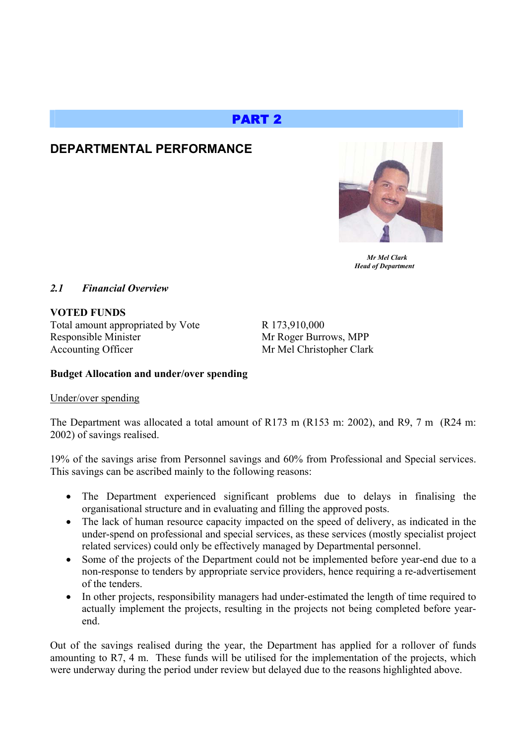# PART 2

# **DEPARTMENTAL PERFORMANCE**



 *Mr Mel Clark Head of Department* 

# *2.1 Financial Overview*

**VOTED FUNDS**  Total amount appropriated by Vote R 173,910,000 Responsible Minister Mr Roger Burrows, MPP Accounting Officer Mr Mel Christopher Clark

# **Budget Allocation and under/over spending**

# Under/over spending

The Department was allocated a total amount of R173 m (R153 m: 2002), and R9, 7 m (R24 m: 2002) of savings realised.

19% of the savings arise from Personnel savings and 60% from Professional and Special services. This savings can be ascribed mainly to the following reasons:

- The Department experienced significant problems due to delays in finalising the organisational structure and in evaluating and filling the approved posts.
- The lack of human resource capacity impacted on the speed of delivery, as indicated in the under-spend on professional and special services, as these services (mostly specialist project related services) could only be effectively managed by Departmental personnel.
- Some of the projects of the Department could not be implemented before year-end due to a non-response to tenders by appropriate service providers, hence requiring a re-advertisement of the tenders.
- In other projects, responsibility managers had under-estimated the length of time required to actually implement the projects, resulting in the projects not being completed before yearend.

Out of the savings realised during the year, the Department has applied for a rollover of funds amounting to R7, 4 m. These funds will be utilised for the implementation of the projects, which were underway during the period under review but delayed due to the reasons highlighted above.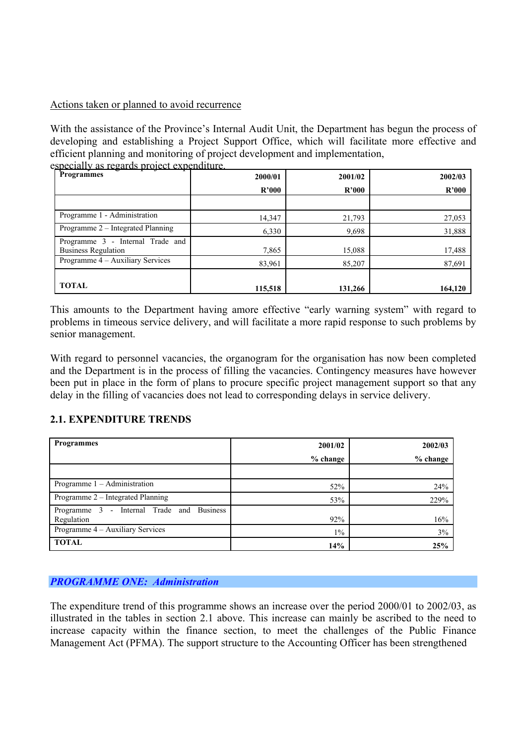#### Actions taken or planned to avoid recurrence

With the assistance of the Province's Internal Audit Unit, the Department has begun the process of developing and establishing a Project Support Office, which will facilitate more effective and efficient planning and monitoring of project development and implementation, especially as regards project expenditure.

| <u>specially as regards project experimente</u> .<br>Programmes | 2000/01 | 2001/02 | 2002/03 |
|-----------------------------------------------------------------|---------|---------|---------|
|                                                                 | R'000   | R'000   | R'000   |
|                                                                 |         |         |         |
| Programme 1 - Administration                                    | 14,347  | 21,793  | 27,053  |
| Programme 2 – Integrated Planning                               | 6,330   | 9,698   | 31,888  |
| Programme 3 - Internal Trade and<br><b>Business Regulation</b>  | 7,865   | 15,088  | 17,488  |
| Programme 4 – Auxiliary Services                                | 83,961  | 85,207  | 87,691  |
| <b>TOTAL</b>                                                    | 115,518 | 131,266 | 164,120 |

This amounts to the Department having amore effective "early warning system" with regard to problems in timeous service delivery, and will facilitate a more rapid response to such problems by senior management.

With regard to personnel vacancies, the organogram for the organisation has now been completed and the Department is in the process of filling the vacancies. Contingency measures have however been put in place in the form of plans to procure specific project management support so that any delay in the filling of vacancies does not lead to corresponding delays in service delivery.

# **2.1. EXPENDITURE TRENDS**

| <b>Programmes</b>                                          | 2001/02    | 2002/03    |
|------------------------------------------------------------|------------|------------|
|                                                            | $%$ change | $%$ change |
|                                                            |            |            |
| Programme $1 -$ Administration                             | 52%        | 24%        |
| Programme 2 – Integrated Planning                          | 53%        | 229%       |
| - Internal Trade and Business<br>Programme 3<br>Regulation | 92%        | 16%        |
| Programme 4 – Auxiliary Services                           | $1\%$      | 3%         |
| <b>TOTAL</b>                                               | 14%        | 25%        |

# *PROGRAMME ONE: Administration*

The expenditure trend of this programme shows an increase over the period 2000/01 to 2002/03, as illustrated in the tables in section 2.1 above. This increase can mainly be ascribed to the need to increase capacity within the finance section, to meet the challenges of the Public Finance Management Act (PFMA). The support structure to the Accounting Officer has been strengthened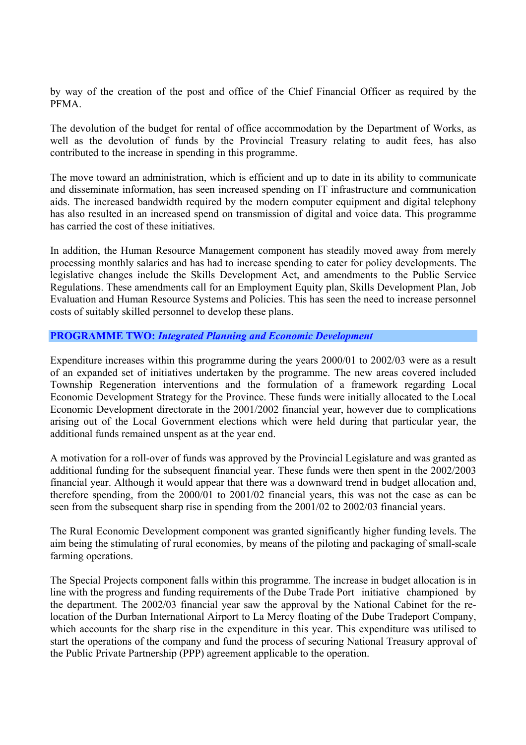by way of the creation of the post and office of the Chief Financial Officer as required by the PFMA.

The devolution of the budget for rental of office accommodation by the Department of Works, as well as the devolution of funds by the Provincial Treasury relating to audit fees, has also contributed to the increase in spending in this programme.

The move toward an administration, which is efficient and up to date in its ability to communicate and disseminate information, has seen increased spending on IT infrastructure and communication aids. The increased bandwidth required by the modern computer equipment and digital telephony has also resulted in an increased spend on transmission of digital and voice data. This programme has carried the cost of these initiatives.

In addition, the Human Resource Management component has steadily moved away from merely processing monthly salaries and has had to increase spending to cater for policy developments. The legislative changes include the Skills Development Act, and amendments to the Public Service Regulations. These amendments call for an Employment Equity plan, Skills Development Plan, Job Evaluation and Human Resource Systems and Policies. This has seen the need to increase personnel costs of suitably skilled personnel to develop these plans.

#### **PROGRAMME TWO:** *Integrated Planning and Economic Development*

Expenditure increases within this programme during the years 2000/01 to 2002/03 were as a result of an expanded set of initiatives undertaken by the programme. The new areas covered included Township Regeneration interventions and the formulation of a framework regarding Local Economic Development Strategy for the Province. These funds were initially allocated to the Local Economic Development directorate in the 2001/2002 financial year, however due to complications arising out of the Local Government elections which were held during that particular year, the additional funds remained unspent as at the year end.

A motivation for a roll-over of funds was approved by the Provincial Legislature and was granted as additional funding for the subsequent financial year. These funds were then spent in the 2002/2003 financial year. Although it would appear that there was a downward trend in budget allocation and, therefore spending, from the 2000/01 to 2001/02 financial years, this was not the case as can be seen from the subsequent sharp rise in spending from the 2001/02 to 2002/03 financial years.

The Rural Economic Development component was granted significantly higher funding levels. The aim being the stimulating of rural economies, by means of the piloting and packaging of small-scale farming operations.

The Special Projects component falls within this programme. The increase in budget allocation is in line with the progress and funding requirements of the Dube Trade Port initiative championed by the department. The 2002/03 financial year saw the approval by the National Cabinet for the relocation of the Durban International Airport to La Mercy floating of the Dube Tradeport Company, which accounts for the sharp rise in the expenditure in this year. This expenditure was utilised to start the operations of the company and fund the process of securing National Treasury approval of the Public Private Partnership (PPP) agreement applicable to the operation.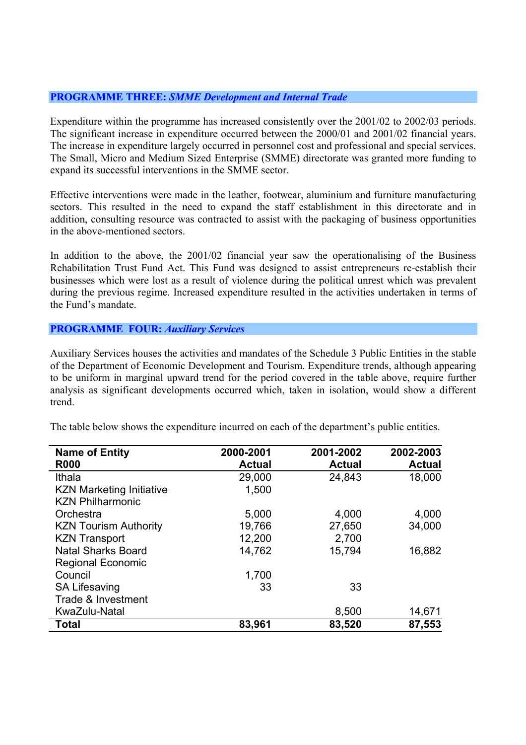#### **PROGRAMME THREE:** *SMME Development and Internal Trade*

Expenditure within the programme has increased consistently over the 2001/02 to 2002/03 periods. The significant increase in expenditure occurred between the 2000/01 and 2001/02 financial years. The increase in expenditure largely occurred in personnel cost and professional and special services. The Small, Micro and Medium Sized Enterprise (SMME) directorate was granted more funding to expand its successful interventions in the SMME sector.

Effective interventions were made in the leather, footwear, aluminium and furniture manufacturing sectors. This resulted in the need to expand the staff establishment in this directorate and in addition, consulting resource was contracted to assist with the packaging of business opportunities in the above-mentioned sectors.

In addition to the above, the 2001/02 financial year saw the operationalising of the Business Rehabilitation Trust Fund Act. This Fund was designed to assist entrepreneurs re-establish their businesses which were lost as a result of violence during the political unrest which was prevalent during the previous regime. Increased expenditure resulted in the activities undertaken in terms of the Fund's mandate.

#### **PROGRAMME FOUR:** *Auxiliary Services*

Auxiliary Services houses the activities and mandates of the Schedule 3 Public Entities in the stable of the Department of Economic Development and Tourism. Expenditure trends, although appearing to be uniform in marginal upward trend for the period covered in the table above, require further analysis as significant developments occurred which, taken in isolation, would show a different trend.

| <b>Name of Entity</b><br><b>R000</b> | 2000-2001<br><b>Actual</b> | 2001-2002<br><b>Actual</b> | 2002-2003<br><b>Actual</b> |
|--------------------------------------|----------------------------|----------------------------|----------------------------|
| Ithala                               | 29,000                     | 24,843                     | 18,000                     |
| <b>KZN Marketing Initiative</b>      | 1,500                      |                            |                            |
| <b>KZN Philharmonic</b>              |                            |                            |                            |
| Orchestra                            | 5,000                      | 4,000                      | 4,000                      |
| <b>KZN Tourism Authority</b>         | 19,766                     | 27,650                     | 34,000                     |
| <b>KZN Transport</b>                 | 12,200                     | 2,700                      |                            |
| <b>Natal Sharks Board</b>            | 14,762                     | 15,794                     | 16,882                     |
| <b>Regional Economic</b>             |                            |                            |                            |
| Council                              | 1,700                      |                            |                            |
| <b>SA Lifesaving</b>                 | 33                         | 33                         |                            |
| Trade & Investment                   |                            |                            |                            |
| KwaZulu-Natal                        |                            | 8,500                      | 14,671                     |
| <b>Total</b>                         | 83,961                     | 83,520                     | 87,553                     |

The table below shows the expenditure incurred on each of the department's public entities.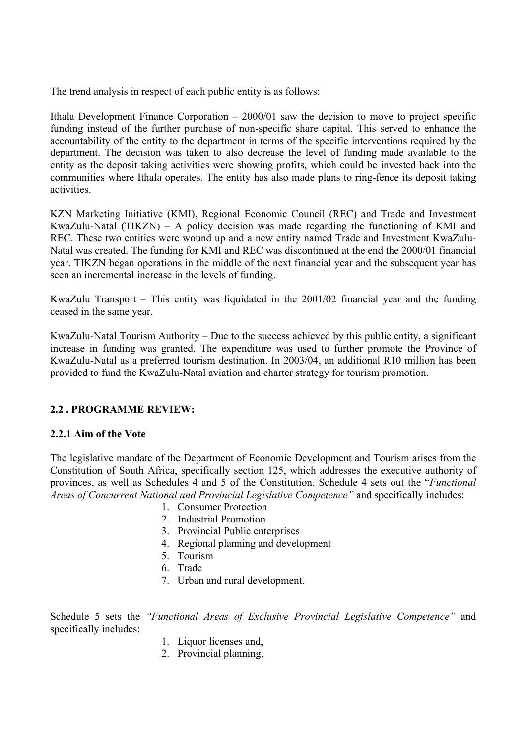The trend analysis in respect of each public entity is as follows:

Ithala Development Finance Corporation – 2000/01 saw the decision to move to project specific funding instead of the further purchase of non-specific share capital. This served to enhance the accountability of the entity to the department in terms of the specific interventions required by the department. The decision was taken to also decrease the level of funding made available to the entity as the deposit taking activities were showing profits, which could be invested back into the communities where Ithala operates. The entity has also made plans to ring-fence its deposit taking activities.

KZN Marketing Initiative (KMI), Regional Economic Council (REC) and Trade and Investment KwaZulu-Natal (TIKZN) – A policy decision was made regarding the functioning of KMI and REC. These two entities were wound up and a new entity named Trade and Investment KwaZulu-Natal was created. The funding for KMI and REC was discontinued at the end the 2000/01 financial year. TIKZN began operations in the middle of the next financial year and the subsequent year has seen an incremental increase in the levels of funding.

KwaZulu Transport – This entity was liquidated in the 2001/02 financial year and the funding ceased in the same year.

KwaZulu-Natal Tourism Authority – Due to the success achieved by this public entity, a significant increase in funding was granted. The expenditure was used to further promote the Province of KwaZulu-Natal as a preferred tourism destination. In 2003/04, an additional R10 million has been provided to fund the KwaZulu-Natal aviation and charter strategy for tourism promotion.

# **2.2 . PROGRAMME REVIEW:**

#### **2.2.1 Aim of the Vote**

The legislative mandate of the Department of Economic Development and Tourism arises from the Constitution of South Africa, specifically section 125, which addresses the executive authority of provinces, as well as Schedules 4 and 5 of the Constitution. Schedule 4 sets out the "*Functional Areas of Concurrent National and Provincial Legislative Competence"* and specifically includes:

- 1. Consumer Protection
- 2. Industrial Promotion
- 3. Provincial Public enterprises
- 4. Regional planning and development
- 5. Tourism
- 6. Trade
- 7. Urban and rural development.

Schedule 5 sets the *"Functional Areas of Exclusive Provincial Legislative Competence"* and specifically includes:

- 1. Liquor licenses and,
- 2. Provincial planning.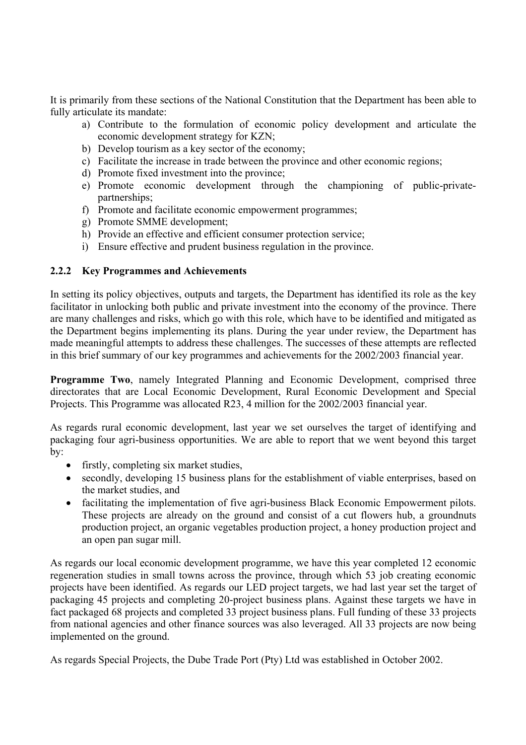It is primarily from these sections of the National Constitution that the Department has been able to fully articulate its mandate:

- a) Contribute to the formulation of economic policy development and articulate the economic development strategy for KZN;
- b) Develop tourism as a key sector of the economy;
- c) Facilitate the increase in trade between the province and other economic regions;
- d) Promote fixed investment into the province;
- e) Promote economic development through the championing of public-privatepartnerships;
- f) Promote and facilitate economic empowerment programmes;
- g) Promote SMME development;
- h) Provide an effective and efficient consumer protection service;
- i) Ensure effective and prudent business regulation in the province.

# **2.2.2 Key Programmes and Achievements**

In setting its policy objectives, outputs and targets, the Department has identified its role as the key facilitator in unlocking both public and private investment into the economy of the province. There are many challenges and risks, which go with this role, which have to be identified and mitigated as the Department begins implementing its plans. During the year under review, the Department has made meaningful attempts to address these challenges. The successes of these attempts are reflected in this brief summary of our key programmes and achievements for the 2002/2003 financial year.

**Programme Two**, namely Integrated Planning and Economic Development, comprised three directorates that are Local Economic Development, Rural Economic Development and Special Projects. This Programme was allocated R23, 4 million for the 2002/2003 financial year.

As regards rural economic development, last year we set ourselves the target of identifying and packaging four agri-business opportunities. We are able to report that we went beyond this target by:

- firstly, completing six market studies,
- secondly, developing 15 business plans for the establishment of viable enterprises, based on the market studies, and
- facilitating the implementation of five agri-business Black Economic Empowerment pilots. These projects are already on the ground and consist of a cut flowers hub, a groundnuts production project, an organic vegetables production project, a honey production project and an open pan sugar mill.

As regards our local economic development programme, we have this year completed 12 economic regeneration studies in small towns across the province, through which 53 job creating economic projects have been identified. As regards our LED project targets, we had last year set the target of packaging 45 projects and completing 20-project business plans. Against these targets we have in fact packaged 68 projects and completed 33 project business plans. Full funding of these 33 projects from national agencies and other finance sources was also leveraged. All 33 projects are now being implemented on the ground.

As regards Special Projects, the Dube Trade Port (Pty) Ltd was established in October 2002.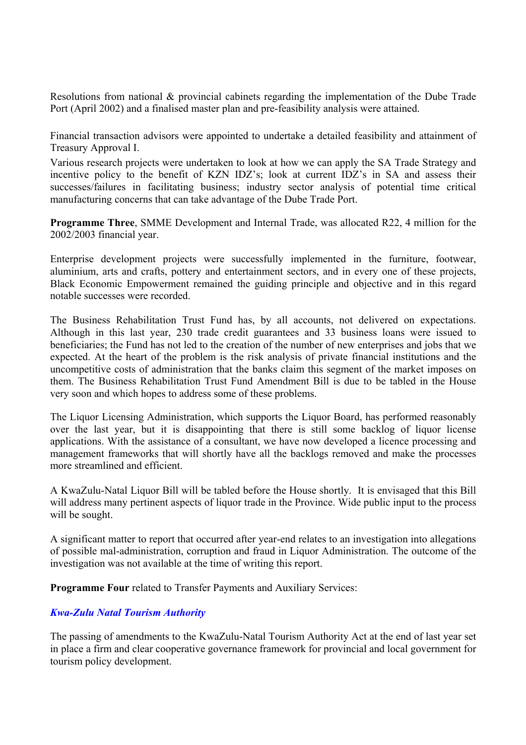Resolutions from national & provincial cabinets regarding the implementation of the Dube Trade Port (April 2002) and a finalised master plan and pre-feasibility analysis were attained.

Financial transaction advisors were appointed to undertake a detailed feasibility and attainment of Treasury Approval I.

Various research projects were undertaken to look at how we can apply the SA Trade Strategy and incentive policy to the benefit of KZN IDZ's; look at current IDZ's in SA and assess their successes/failures in facilitating business; industry sector analysis of potential time critical manufacturing concerns that can take advantage of the Dube Trade Port.

**Programme Three**, SMME Development and Internal Trade, was allocated R22, 4 million for the 2002/2003 financial year.

Enterprise development projects were successfully implemented in the furniture, footwear, aluminium, arts and crafts, pottery and entertainment sectors, and in every one of these projects, Black Economic Empowerment remained the guiding principle and objective and in this regard notable successes were recorded.

The Business Rehabilitation Trust Fund has, by all accounts, not delivered on expectations. Although in this last year, 230 trade credit guarantees and 33 business loans were issued to beneficiaries; the Fund has not led to the creation of the number of new enterprises and jobs that we expected. At the heart of the problem is the risk analysis of private financial institutions and the uncompetitive costs of administration that the banks claim this segment of the market imposes on them. The Business Rehabilitation Trust Fund Amendment Bill is due to be tabled in the House very soon and which hopes to address some of these problems.

The Liquor Licensing Administration, which supports the Liquor Board, has performed reasonably over the last year, but it is disappointing that there is still some backlog of liquor license applications. With the assistance of a consultant, we have now developed a licence processing and management frameworks that will shortly have all the backlogs removed and make the processes more streamlined and efficient.

A KwaZulu-Natal Liquor Bill will be tabled before the House shortly. It is envisaged that this Bill will address many pertinent aspects of liquor trade in the Province. Wide public input to the process will be sought.

A significant matter to report that occurred after year-end relates to an investigation into allegations of possible mal-administration, corruption and fraud in Liquor Administration. The outcome of the investigation was not available at the time of writing this report.

**Programme Four** related to Transfer Payments and Auxiliary Services:

# *Kwa-Zulu Natal Tourism Authority*

The passing of amendments to the KwaZulu-Natal Tourism Authority Act at the end of last year set in place a firm and clear cooperative governance framework for provincial and local government for tourism policy development.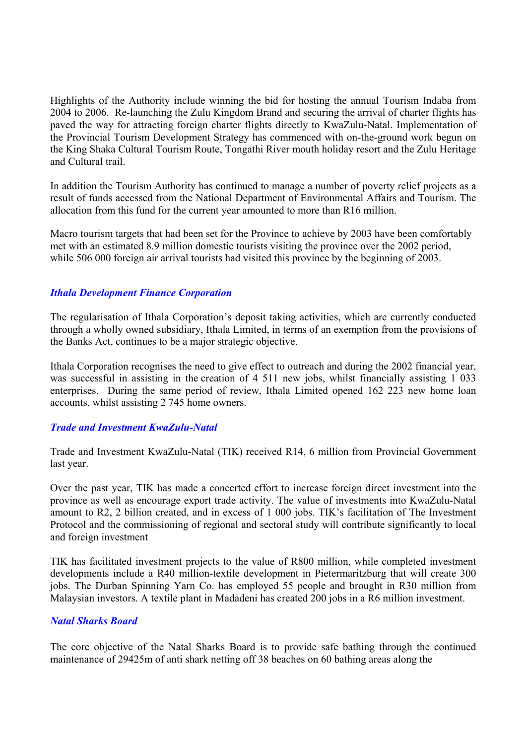Highlights of the Authority include winning the bid for hosting the annual Tourism Indaba from 2004 to 2006. Re-launching the Zulu Kingdom Brand and securing the arrival of charter flights has paved the way for attracting foreign charter flights directly to KwaZulu-Natal. Implementation of the Provincial Tourism Development Strategy has commenced with on-the-ground work begun on the King Shaka Cultural Tourism Route, Tongathi River mouth holiday resort and the Zulu Heritage and Cultural trail.

In addition the Tourism Authority has continued to manage a number of poverty relief projects as a result of funds accessed from the National Department of Environmental Affairs and Tourism. The allocation from this fund for the current year amounted to more than R16 million.

Macro tourism targets that had been set for the Province to achieve by 2003 have been comfortably met with an estimated 8.9 million domestic tourists visiting the province over the 2002 period, while 506 000 foreign air arrival tourists had visited this province by the beginning of 2003.

#### *Ithala Development Finance Corporation*

The regularisation of Ithala Corporation's deposit taking activities, which are currently conducted through a wholly owned subsidiary, Ithala Limited, in terms of an exemption from the provisions of the Banks Act, continues to be a major strategic objective.

Ithala Corporation recognises the need to give effect to outreach and during the 2002 financial year, was successful in assisting in the creation of 4 511 new jobs, whilst financially assisting 1 033 enterprises. During the same period of review, Ithala Limited opened 162 223 new home loan accounts, whilst assisting 2 745 home owners.

# *Trade and Investment KwaZulu-Natal*

Trade and Investment KwaZulu-Natal (TIK) received R14, 6 million from Provincial Government last year.

Over the past year, TIK has made a concerted effort to increase foreign direct investment into the province as well as encourage export trade activity. The value of investments into KwaZulu-Natal amount to R2, 2 billion created, and in excess of 1 000 jobs. TIK's facilitation of The Investment Protocol and the commissioning of regional and sectoral study will contribute significantly to local and foreign investment

TIK has facilitated investment projects to the value of R800 million, while completed investment developments include a R40 million-textile development in Pietermaritzburg that will create 300 jobs. The Durban Spinning Yarn Co. has employed 55 people and brought in R30 million from Malaysian investors. A textile plant in Madadeni has created 200 jobs in a R6 million investment.

#### *Natal Sharks Board*

The core objective of the Natal Sharks Board is to provide safe bathing through the continued maintenance of 29425m of anti shark netting off 38 beaches on 60 bathing areas along the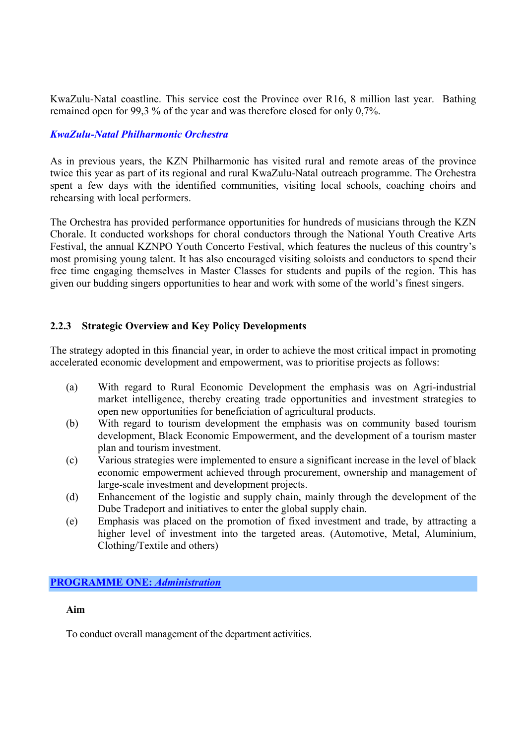KwaZulu-Natal coastline. This service cost the Province over R16, 8 million last year. Bathing remained open for 99,3 % of the year and was therefore closed for only 0,7%.

# *KwaZulu-Natal Philharmonic Orchestra*

As in previous years, the KZN Philharmonic has visited rural and remote areas of the province twice this year as part of its regional and rural KwaZulu-Natal outreach programme. The Orchestra spent a few days with the identified communities, visiting local schools, coaching choirs and rehearsing with local performers.

The Orchestra has provided performance opportunities for hundreds of musicians through the KZN Chorale. It conducted workshops for choral conductors through the National Youth Creative Arts Festival, the annual KZNPO Youth Concerto Festival, which features the nucleus of this country's most promising young talent. It has also encouraged visiting soloists and conductors to spend their free time engaging themselves in Master Classes for students and pupils of the region. This has given our budding singers opportunities to hear and work with some of the world's finest singers.

# **2.2.3 Strategic Overview and Key Policy Developments**

The strategy adopted in this financial year, in order to achieve the most critical impact in promoting accelerated economic development and empowerment, was to prioritise projects as follows:

- (a) With regard to Rural Economic Development the emphasis was on Agri-industrial market intelligence, thereby creating trade opportunities and investment strategies to open new opportunities for beneficiation of agricultural products.
- (b) With regard to tourism development the emphasis was on community based tourism development, Black Economic Empowerment, and the development of a tourism master plan and tourism investment.
- (c) Various strategies were implemented to ensure a significant increase in the level of black economic empowerment achieved through procurement, ownership and management of large-scale investment and development projects.
- (d) Enhancement of the logistic and supply chain, mainly through the development of the Dube Tradeport and initiatives to enter the global supply chain.
- (e) Emphasis was placed on the promotion of fixed investment and trade, by attracting a higher level of investment into the targeted areas. (Automotive, Metal, Aluminium, Clothing/Textile and others)

# **PROGRAMME ONE:** *Administration*

#### **Aim**

To conduct overall management of the department activities.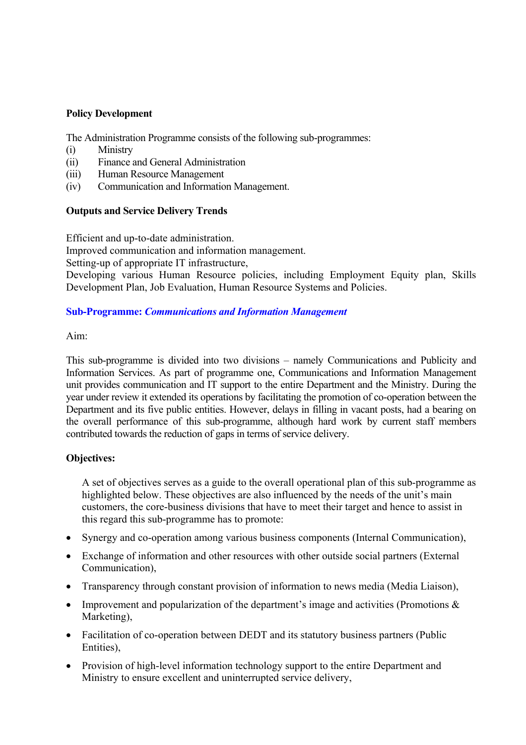#### **Policy Development**

The Administration Programme consists of the following sub-programmes:

- (i) Ministry
- (ii) Finance and General Administration
- (iii) Human Resource Management
- (iv) Communication and Information Management.

# **Outputs and Service Delivery Trends**

Efficient and up-to-date administration.

Improved communication and information management.

Setting-up of appropriate IT infrastructure,

Developing various Human Resource policies, including Employment Equity plan, Skills Development Plan, Job Evaluation, Human Resource Systems and Policies.

#### **Sub-Programme:** *Communications and Information Management*

Aim:

This sub-programme is divided into two divisions – namely Communications and Publicity and Information Services. As part of programme one, Communications and Information Management unit provides communication and IT support to the entire Department and the Ministry. During the year under review it extended its operations by facilitating the promotion of co-operation between the Department and its five public entities. However, delays in filling in vacant posts, had a bearing on the overall performance of this sub-programme, although hard work by current staff members contributed towards the reduction of gaps in terms of service delivery.

#### **Objectives:**

A set of objectives serves as a guide to the overall operational plan of this sub-programme as highlighted below. These objectives are also influenced by the needs of the unit's main customers, the core-business divisions that have to meet their target and hence to assist in this regard this sub-programme has to promote:

- Synergy and co-operation among various business components (Internal Communication),
- Exchange of information and other resources with other outside social partners (External Communication),
- Transparency through constant provision of information to news media (Media Liaison),
- Improvement and popularization of the department's image and activities (Promotions & Marketing),
- Facilitation of co-operation between DEDT and its statutory business partners (Public Entities),
- Provision of high-level information technology support to the entire Department and Ministry to ensure excellent and uninterrupted service delivery,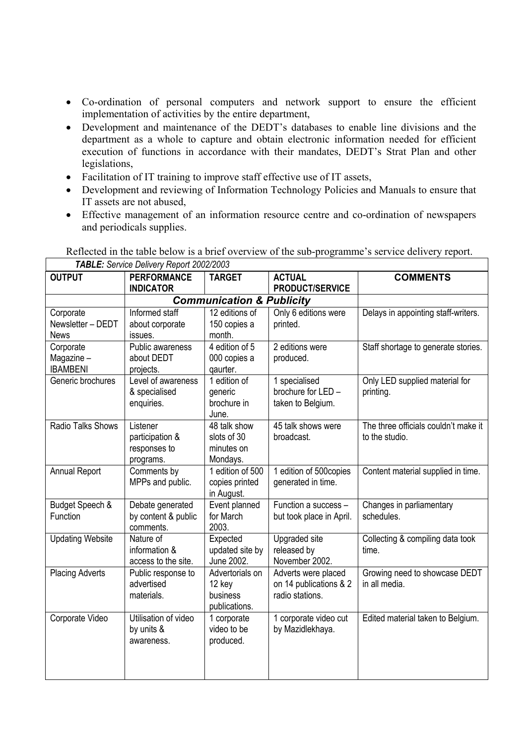- Co-ordination of personal computers and network support to ensure the efficient implementation of activities by the entire department,
- Development and maintenance of the DEDT's databases to enable line divisions and the department as a whole to capture and obtain electronic information needed for efficient execution of functions in accordance with their mandates, DEDT's Strat Plan and other legislations,
- Facilitation of IT training to improve staff effective use of IT assets,

 $\overline{\Gamma}$ 

- Development and reviewing of Information Technology Policies and Manuals to ensure that IT assets are not abused,
- Effective management of an information resource centre and co-ordination of newspapers and periodicals supplies.

| <b>OUTPUT</b>           | $\blacksquare$ . Our viou Dollvory report 2002/2000<br><b>PERFORMANCE</b> | <b>TARGET</b>                        | <b>ACTUAL</b>            | <b>COMMENTS</b>                      |
|-------------------------|---------------------------------------------------------------------------|--------------------------------------|--------------------------|--------------------------------------|
|                         | <b>INDICATOR</b>                                                          |                                      | PRODUCT/SERVICE          |                                      |
|                         |                                                                           | <b>Communication &amp; Publicity</b> |                          |                                      |
| Corporate               | Informed staff                                                            | 12 editions of                       | Only 6 editions were     | Delays in appointing staff-writers.  |
| Newsletter - DEDT       | about corporate                                                           | 150 copies a                         | printed.                 |                                      |
| <b>News</b>             | issues.                                                                   | month.                               |                          |                                      |
| Corporate               | Public awareness                                                          | 4 edition of 5                       | 2 editions were          | Staff shortage to generate stories.  |
| Magazine-               | about DEDT                                                                | 000 copies a                         | produced.                |                                      |
| <b>IBAMBENI</b>         | projects.                                                                 | qaurter.                             |                          |                                      |
| Generic brochures       | Level of awareness                                                        | 1 edition of                         | 1 specialised            | Only LED supplied material for       |
|                         | & specialised                                                             | generic                              | brochure for LED -       | printing.                            |
|                         | enquiries.                                                                | brochure in                          | taken to Belgium.        |                                      |
|                         |                                                                           | June.                                |                          |                                      |
| Radio Talks Shows       | Listener                                                                  | 48 talk show                         | 45 talk shows were       | The three officials couldn't make it |
|                         | participation &                                                           | slots of 30                          | broadcast.               | to the studio.                       |
|                         | responses to                                                              | minutes on                           |                          |                                      |
|                         | programs.                                                                 | Mondays.                             |                          |                                      |
| <b>Annual Report</b>    | Comments by                                                               | 1 edition of 500                     | 1 edition of 500copies   | Content material supplied in time.   |
|                         | MPPs and public.                                                          | copies printed                       | generated in time.       |                                      |
|                         |                                                                           | in August.                           |                          |                                      |
| Budget Speech &         | Debate generated                                                          | Event planned                        | Function a success -     | Changes in parliamentary             |
| Function                | by content & public                                                       | for March                            | but took place in April. | schedules.                           |
|                         | comments.                                                                 | 2003.                                |                          |                                      |
| <b>Updating Website</b> | Nature of                                                                 | Expected                             | Upgraded site            | Collecting & compiling data took     |
|                         | information &                                                             | updated site by                      | released by              | time.                                |
|                         | access to the site.                                                       | June 2002.                           | November 2002.           |                                      |
| <b>Placing Adverts</b>  | Public response to                                                        | Advertorials on                      | Adverts were placed      | Growing need to showcase DEDT        |
|                         | advertised                                                                | 12 key                               | on 14 publications & 2   | in all media.                        |
|                         | materials.                                                                | business                             | radio stations.          |                                      |
|                         |                                                                           | publications.                        |                          |                                      |
| Corporate Video         | Utilisation of video                                                      | 1 corporate                          | 1 corporate video cut    | Edited material taken to Belgium.    |
|                         | by units &                                                                | video to be                          | by Mazidlekhaya.         |                                      |
|                         | awareness.                                                                | produced.                            |                          |                                      |
|                         |                                                                           |                                      |                          |                                      |
|                         |                                                                           |                                      |                          |                                      |
|                         |                                                                           |                                      |                          |                                      |

Reflected in the table below is a brief overview of the sub-programme's service delivery report. *TABLE: Service Delivery Report 2002/2003*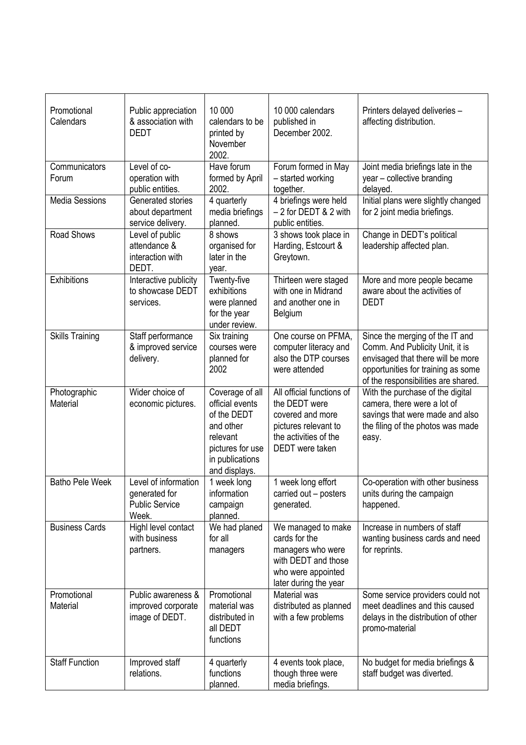| Promotional<br>Calendars | Public appreciation<br>& association with<br><b>DEDT</b>                | 10 000<br>calendars to be<br>printed by<br>November<br>2002.                                                                       | 10 000 calendars<br>published in<br>December 2002.                                                                                 | Printers delayed deliveries -<br>affecting distribution.                                                                                                                             |
|--------------------------|-------------------------------------------------------------------------|------------------------------------------------------------------------------------------------------------------------------------|------------------------------------------------------------------------------------------------------------------------------------|--------------------------------------------------------------------------------------------------------------------------------------------------------------------------------------|
| Communicators<br>Forum   | Level of co-<br>operation with<br>public entities.                      | Have forum<br>formed by April<br>2002.                                                                                             | Forum formed in May<br>- started working<br>together.                                                                              | Joint media briefings late in the<br>year - collective branding<br>delayed.                                                                                                          |
| <b>Media Sessions</b>    | Generated stories<br>about department<br>service delivery.              | 4 quarterly<br>media briefings<br>planned.                                                                                         | 4 briefings were held<br>$-2$ for DEDT & 2 with<br>public entities.                                                                | Initial plans were slightly changed<br>for 2 joint media briefings.                                                                                                                  |
| Road Shows               | Level of public<br>attendance &<br>interaction with<br>DEDT.            | 8 shows<br>organised for<br>later in the<br>year.                                                                                  | 3 shows took place in<br>Harding, Estcourt &<br>Greytown.                                                                          | Change in DEDT's political<br>leadership affected plan.                                                                                                                              |
| Exhibitions              | Interactive publicity<br>to showcase DEDT<br>services.                  | Twenty-five<br>exhibitions<br>were planned<br>for the year<br>under review.                                                        | Thirteen were staged<br>with one in Midrand<br>and another one in<br>Belgium                                                       | More and more people became<br>aware about the activities of<br><b>DEDT</b>                                                                                                          |
| <b>Skills Training</b>   | Staff performance<br>& improved service<br>delivery.                    | Six training<br>courses were<br>planned for<br>2002                                                                                | One course on PFMA,<br>computer literacy and<br>also the DTP courses<br>were attended                                              | Since the merging of the IT and<br>Comm. And Publicity Unit, it is<br>envisaged that there will be more<br>opportunities for training as some<br>of the responsibilities are shared. |
| Photographic<br>Material | Wider choice of<br>economic pictures.                                   | Coverage of all<br>official events<br>of the DEDT<br>and other<br>relevant<br>pictures for use<br>in publications<br>and displays. | All official functions of<br>the DEDT were<br>covered and more<br>pictures relevant to<br>the activities of the<br>DEDT were taken | With the purchase of the digital<br>camera, there were a lot of<br>savings that were made and also<br>the filing of the photos was made<br>easy.                                     |
| <b>Batho Pele Week</b>   | Level of information<br>generated for<br><b>Public Service</b><br>Week. | 1 week long<br>information<br>campaign<br>planned.                                                                                 | 1 week long effort<br>carried out - posters<br>generated.                                                                          | Co-operation with other business<br>units during the campaign<br>happened.                                                                                                           |
| <b>Business Cards</b>    | Highl level contact<br>with business<br>partners.                       | We had planed<br>for all<br>managers                                                                                               | We managed to make<br>cards for the<br>managers who were<br>with DEDT and those<br>who were appointed<br>later during the year     | Increase in numbers of staff<br>wanting business cards and need<br>for reprints.                                                                                                     |
| Promotional<br>Material  | Public awareness &<br>improved corporate<br>image of DEDT.              | Promotional<br>material was<br>distributed in<br>all DEDT<br>functions                                                             | Material was<br>distributed as planned<br>with a few problems                                                                      | Some service providers could not<br>meet deadlines and this caused<br>delays in the distribution of other<br>promo-material                                                          |
| <b>Staff Function</b>    | Improved staff<br>relations.                                            | 4 quarterly<br>functions<br>planned.                                                                                               | 4 events took place,<br>though three were<br>media briefings.                                                                      | No budget for media briefings &<br>staff budget was diverted.                                                                                                                        |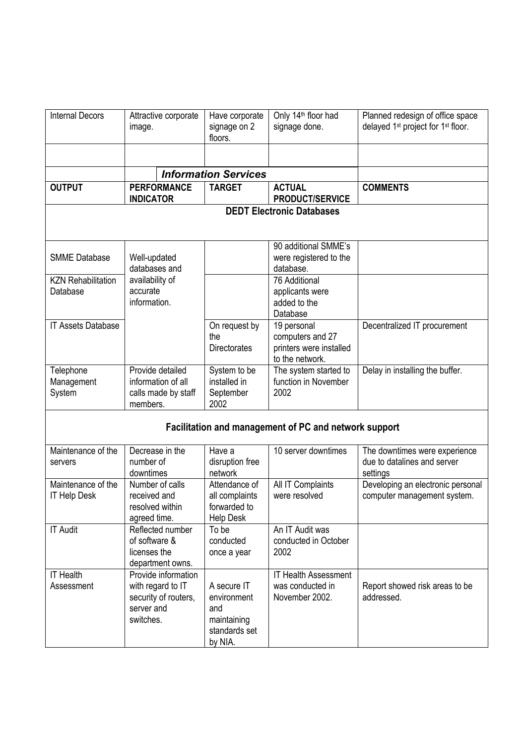| <b>Internal Decors</b>                    | Attractive corporate<br>image.                                                              | Have corporate<br>signage on 2<br>floors.                                    | Only 14 <sup>th</sup> floor had<br>signage done.                              | Planned redesign of office space<br>delayed 1 <sup>st</sup> project for 1 <sup>st</sup> floor. |
|-------------------------------------------|---------------------------------------------------------------------------------------------|------------------------------------------------------------------------------|-------------------------------------------------------------------------------|------------------------------------------------------------------------------------------------|
|                                           |                                                                                             |                                                                              |                                                                               |                                                                                                |
|                                           |                                                                                             | <b>Information Services</b>                                                  |                                                                               |                                                                                                |
| <b>OUTPUT</b>                             | <b>PERFORMANCE</b><br><b>INDICATOR</b>                                                      | <b>TARGET</b>                                                                | <b>ACTUAL</b><br><b>PRODUCT/SERVICE</b>                                       | <b>COMMENTS</b>                                                                                |
|                                           |                                                                                             |                                                                              | <b>DEDT Electronic Databases</b>                                              |                                                                                                |
|                                           |                                                                                             |                                                                              |                                                                               |                                                                                                |
| <b>SMME Database</b>                      | Well-updated<br>databases and                                                               |                                                                              | 90 additional SMME's<br>were registered to the<br>database.                   |                                                                                                |
| <b>KZN Rehabilitation</b><br>Database     | availability of<br>accurate<br>information.                                                 |                                                                              | 76 Additional<br>applicants were<br>added to the<br>Database                  |                                                                                                |
| <b>IT Assets Database</b>                 |                                                                                             | On request by<br>the<br><b>Directorates</b>                                  | 19 personal<br>computers and 27<br>printers were installed<br>to the network. | Decentralized IT procurement                                                                   |
| Telephone<br>Management<br>System         | Provide detailed<br>information of all<br>calls made by staff<br>members.                   | System to be<br>installed in<br>September<br>2002                            | The system started to<br>function in November<br>2002                         | Delay in installing the buffer.                                                                |
|                                           |                                                                                             |                                                                              | Facilitation and management of PC and network support                         |                                                                                                |
| Maintenance of the<br>servers             | Decrease in the<br>number of<br>downtimes                                                   | Have a<br>disruption free<br>network                                         | 10 server downtimes                                                           | The downtimes were experience<br>due to datalines and server<br>settings                       |
| Maintenance of the<br><b>IT Help Desk</b> | Number of calls<br>received and<br>resolved within<br>agreed time.                          | Attendance of<br>all complaints<br>forwarded to<br><b>Help Desk</b>          | All IT Complaints<br>were resolved                                            | Developing an electronic personal<br>computer management system.                               |
| <b>IT Audit</b>                           | Reflected number<br>of software &<br>licenses the<br>department owns.                       | To be<br>conducted<br>once a year                                            | An IT Audit was<br>conducted in October<br>2002                               |                                                                                                |
| <b>IT Health</b><br>Assessment            | Provide information<br>with regard to IT<br>security of routers,<br>server and<br>switches. | A secure IT<br>environment<br>and<br>maintaining<br>standards set<br>by NIA. | <b>IT Health Assessment</b><br>was conducted in<br>November 2002.             | Report showed risk areas to be<br>addressed.                                                   |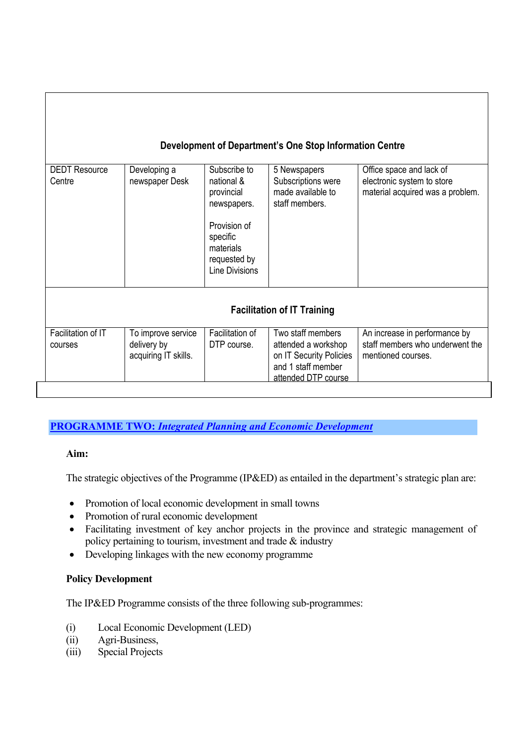# **Development of Department's One Stop Information Centre**

| <b>DEDT Resource</b> | Developing a         | Subscribe to          | 5 Newspapers                       | Office space and lack of         |
|----------------------|----------------------|-----------------------|------------------------------------|----------------------------------|
| Centre               | newspaper Desk       | national &            | Subscriptions were                 | electronic system to store       |
|                      |                      | provincial            | made available to                  | material acquired was a problem. |
|                      |                      | newspapers.           | staff members.                     |                                  |
|                      |                      |                       |                                    |                                  |
|                      |                      | Provision of          |                                    |                                  |
|                      |                      | specific              |                                    |                                  |
|                      |                      | materials             |                                    |                                  |
|                      |                      | requested by          |                                    |                                  |
|                      |                      | <b>Line Divisions</b> |                                    |                                  |
|                      |                      |                       |                                    |                                  |
|                      |                      |                       |                                    |                                  |
|                      |                      |                       |                                    |                                  |
|                      |                      |                       | <b>Facilitation of IT Training</b> |                                  |
|                      |                      |                       |                                    |                                  |
| Facilitation of IT   | To improve service   | Facilitation of       | Two staff members                  | An increase in performance by    |
| courses              | delivery by          | DTP course.           | attended a workshop                | staff members who underwent the  |
|                      | acquiring IT skills. |                       | on IT Security Policies            | mentioned courses.               |
|                      |                      |                       | and 1 staff member                 |                                  |
|                      |                      |                       | attended DTP course                |                                  |
|                      |                      |                       |                                    |                                  |

# **PROGRAMME TWO:** *Integrated Planning and Economic Development*

# **Aim:**

The strategic objectives of the Programme (IP&ED) as entailed in the department's strategic plan are:

- Promotion of local economic development in small towns
- Promotion of rural economic development
- Facilitating investment of key anchor projects in the province and strategic management of policy pertaining to tourism, investment and trade & industry
- Developing linkages with the new economy programme

# **Policy Development**

The IP&ED Programme consists of the three following sub-programmes:

- (i) Local Economic Development (LED)
- (ii) Agri-Business,
- (iii) Special Projects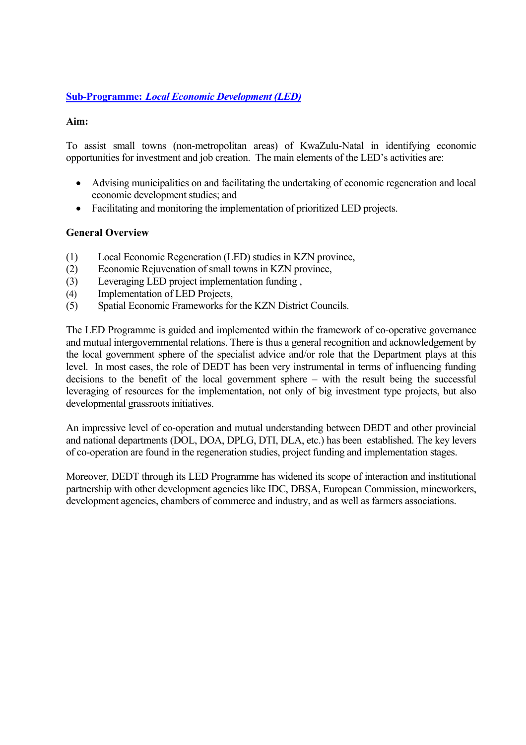# **Sub-Programme:** *Local Economic Development (LED)*

# **Aim:**

To assist small towns (non-metropolitan areas) of KwaZulu-Natal in identifying economic opportunities for investment and job creation. The main elements of the LED's activities are:

- Advising municipalities on and facilitating the undertaking of economic regeneration and local economic development studies; and
- Facilitating and monitoring the implementation of prioritized LED projects.

# **General Overview**

- (1) Local Economic Regeneration (LED) studies in KZN province,
- (2) Economic Rejuvenation of small towns in KZN province,
- (3) Leveraging LED project implementation funding ,
- (4) Implementation of LED Projects,
- (5) Spatial Economic Frameworks for the KZN District Councils.

The LED Programme is guided and implemented within the framework of co-operative governance and mutual intergovernmental relations. There is thus a general recognition and acknowledgement by the local government sphere of the specialist advice and/or role that the Department plays at this level. In most cases, the role of DEDT has been very instrumental in terms of influencing funding decisions to the benefit of the local government sphere – with the result being the successful leveraging of resources for the implementation, not only of big investment type projects, but also developmental grassroots initiatives.

An impressive level of co-operation and mutual understanding between DEDT and other provincial and national departments (DOL, DOA, DPLG, DTI, DLA, etc.) has been established. The key levers of co-operation are found in the regeneration studies, project funding and implementation stages.

Moreover, DEDT through its LED Programme has widened its scope of interaction and institutional partnership with other development agencies like IDC, DBSA, European Commission, mineworkers, development agencies, chambers of commerce and industry, and as well as farmers associations.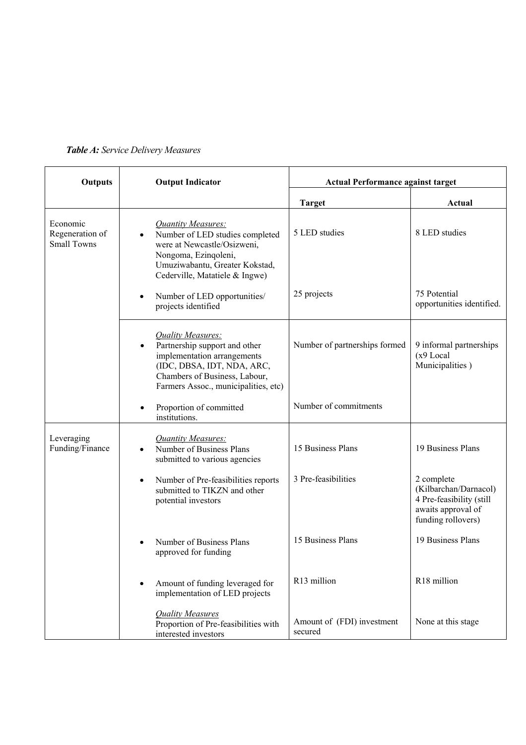| Outputs                                           | <b>Output Indicator</b>                                                                                                                                                                  | <b>Actual Performance against target</b> |                                                                                                             |  |
|---------------------------------------------------|------------------------------------------------------------------------------------------------------------------------------------------------------------------------------------------|------------------------------------------|-------------------------------------------------------------------------------------------------------------|--|
|                                                   |                                                                                                                                                                                          | <b>Target</b>                            | Actual                                                                                                      |  |
| Economic<br>Regeneration of<br><b>Small Towns</b> | <b>Quantity Measures:</b><br>Number of LED studies completed<br>were at Newcastle/Osizweni,<br>Nongoma, Ezinqoleni,<br>Umuziwabantu, Greater Kokstad,<br>Cederville, Matatiele & Ingwe)  | 5 LED studies                            | 8 LED studies                                                                                               |  |
|                                                   | Number of LED opportunities/<br>$\bullet$<br>projects identified                                                                                                                         | 25 projects                              | 75 Potential<br>opportunities identified.                                                                   |  |
|                                                   | Quality Measures:<br>Partnership support and other<br>implementation arrangements<br>(IDC, DBSA, IDT, NDA, ARC,<br>Chambers of Business, Labour,<br>Farmers Assoc., municipalities, etc) | Number of partnerships formed            | 9 informal partnerships<br>(x9 Local<br>Municipalities)                                                     |  |
|                                                   | Proportion of committed<br>institutions.                                                                                                                                                 | Number of commitments                    |                                                                                                             |  |
| Leveraging<br>Funding/Finance                     | <b>Quantity Measures:</b><br>Number of Business Plans<br>submitted to various agencies                                                                                                   | 15 Business Plans                        | 19 Business Plans                                                                                           |  |
|                                                   | Number of Pre-feasibilities reports<br>$\bullet$<br>submitted to TIKZN and other<br>potential investors                                                                                  | 3 Pre-feasibilities                      | 2 complete<br>(Kilbarchan/Darnacol)<br>4 Pre-feasibility (still<br>awaits approval of<br>funding rollovers) |  |
|                                                   | Number of Business Plans<br>approved for funding                                                                                                                                         | 15 Business Plans                        | 19 Business Plans                                                                                           |  |
|                                                   | Amount of funding leveraged for<br>implementation of LED projects                                                                                                                        | R13 million                              | R18 million                                                                                                 |  |
|                                                   | <b>Quality Measures</b><br>Proportion of Pre-feasibilities with<br>interested investors                                                                                                  | Amount of (FDI) investment<br>secured    | None at this stage                                                                                          |  |

# *Table A: Service Delivery Measures*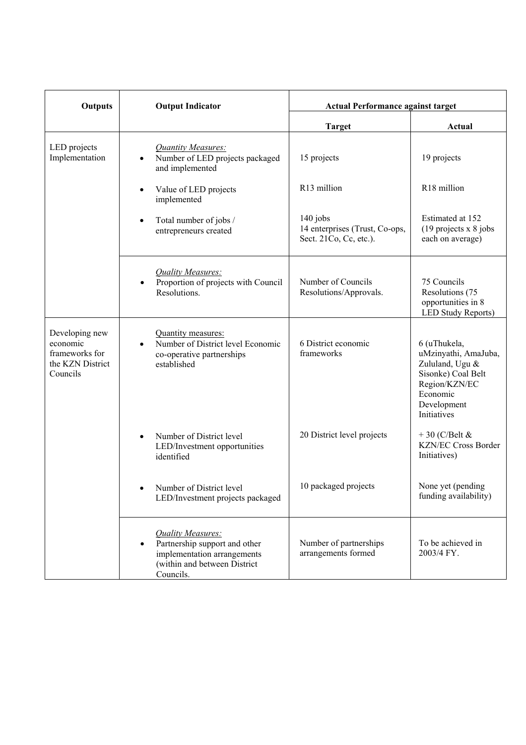| Outputs                                                                      | <b>Output Indicator</b>                                                                                                                            | <b>Actual Performance against target</b>                               |                                                                                                                                          |  |
|------------------------------------------------------------------------------|----------------------------------------------------------------------------------------------------------------------------------------------------|------------------------------------------------------------------------|------------------------------------------------------------------------------------------------------------------------------------------|--|
|                                                                              |                                                                                                                                                    | <b>Target</b>                                                          | Actual                                                                                                                                   |  |
| LED projects<br>Implementation                                               | <b>Quantity Measures:</b><br>Number of LED projects packaged<br>$\bullet$<br>and implemented                                                       | 15 projects                                                            | 19 projects                                                                                                                              |  |
|                                                                              | Value of LED projects<br>$\bullet$<br>implemented                                                                                                  | R13 million                                                            | R18 million                                                                                                                              |  |
|                                                                              | Total number of jobs /<br>$\bullet$<br>entrepreneurs created                                                                                       | $140$ jobs<br>14 enterprises (Trust, Co-ops,<br>Sect. 21Co, Cc, etc.). | Estimated at 152<br>$(19$ projects x 8 jobs<br>each on average)                                                                          |  |
|                                                                              | Quality Measures:<br>Proportion of projects with Council<br>Resolutions.                                                                           | Number of Councils<br>Resolutions/Approvals.                           | 75 Councils<br>Resolutions (75<br>opportunities in 8<br><b>LED Study Reports)</b>                                                        |  |
| Developing new<br>economic<br>frameworks for<br>the KZN District<br>Councils | Quantity measures:<br>Number of District level Economic<br>$\bullet$<br>co-operative partnerships<br>established                                   | 6 District economic<br>frameworks                                      | 6 (uThukela,<br>uMzinyathi, AmaJuba,<br>Zululand, Ugu &<br>Sisonke) Coal Belt<br>Region/KZN/EC<br>Economic<br>Development<br>Initiatives |  |
|                                                                              | Number of District level<br>$\bullet$<br>LED/Investment opportunities<br>identified                                                                | 20 District level projects                                             | $+30$ (C/Belt &<br><b>KZN/EC Cross Border</b><br>Initiatives)                                                                            |  |
|                                                                              | Number of District level<br>LED/Investment projects packaged                                                                                       | 10 packaged projects                                                   | None yet (pending<br>funding availability)                                                                                               |  |
|                                                                              | <b>Quality Measures:</b><br>Partnership support and other<br>$\bullet$<br>implementation arrangements<br>(within and between District<br>Councils. | Number of partnerships<br>arrangements formed                          | To be achieved in<br>2003/4 FY.                                                                                                          |  |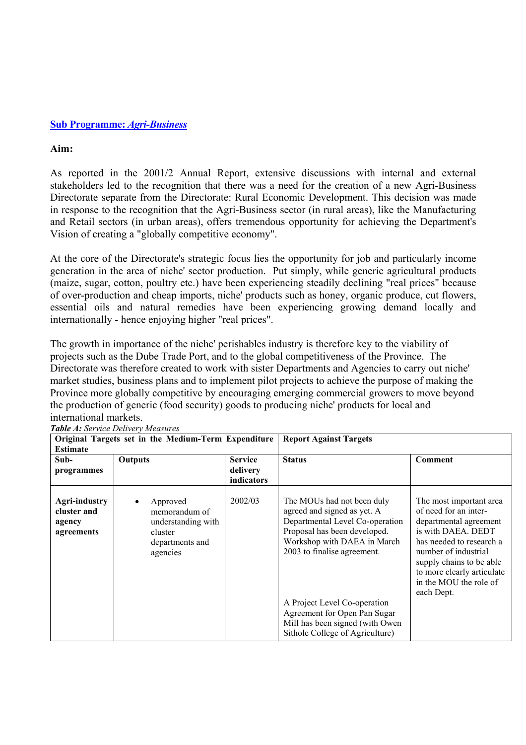#### **Sub Programme:** *Agri-Business*

#### **Aim:**

As reported in the 2001/2 Annual Report, extensive discussions with internal and external stakeholders led to the recognition that there was a need for the creation of a new Agri-Business Directorate separate from the Directorate: Rural Economic Development. This decision was made in response to the recognition that the Agri-Business sector (in rural areas), like the Manufacturing and Retail sectors (in urban areas), offers tremendous opportunity for achieving the Department's Vision of creating a "globally competitive economy".

At the core of the Directorate's strategic focus lies the opportunity for job and particularly income generation in the area of niche' sector production. Put simply, while generic agricultural products (maize, sugar, cotton, poultry etc.) have been experiencing steadily declining "real prices" because of over-production and cheap imports, niche' products such as honey, organic produce, cut flowers, essential oils and natural remedies have been experiencing growing demand locally and internationally - hence enjoying higher "real prices".

The growth in importance of the niche' perishables industry is therefore key to the viability of projects such as the Dube Trade Port, and to the global competitiveness of the Province. The Directorate was therefore created to work with sister Departments and Agencies to carry out niche' market studies, business plans and to implement pilot projects to achieve the purpose of making the Province more globally competitive by encouraging emerging commercial growers to move beyond the production of generic (food security) goods to producing niche' products for local and international markets.

| Original Targets set in the Medium-Term Expenditure<br><b>Estimate</b> |                                                                                           |                                          | <b>Report Against Targets</b>                                                                                                                                                                                                                                                                                                    |                                                                                                                                                                                                                                                        |
|------------------------------------------------------------------------|-------------------------------------------------------------------------------------------|------------------------------------------|----------------------------------------------------------------------------------------------------------------------------------------------------------------------------------------------------------------------------------------------------------------------------------------------------------------------------------|--------------------------------------------------------------------------------------------------------------------------------------------------------------------------------------------------------------------------------------------------------|
| Sub-<br>programmes                                                     | Outputs                                                                                   | <b>Service</b><br>delivery<br>indicators | <b>Status</b>                                                                                                                                                                                                                                                                                                                    | <b>Comment</b>                                                                                                                                                                                                                                         |
| <b>Agri-industry</b><br>cluster and<br>agency<br>agreements            | Approved<br>memorandum of<br>understanding with<br>cluster<br>departments and<br>agencies | 2002/03                                  | The MOUs had not been duly<br>agreed and signed as yet. A<br>Departmental Level Co-operation<br>Proposal has been developed.<br>Workshop with DAEA in March<br>2003 to finalise agreement.<br>A Project Level Co-operation<br>Agreement for Open Pan Sugar<br>Mill has been signed (with Owen<br>Sithole College of Agriculture) | The most important area<br>of need for an inter-<br>departmental agreement<br>is with DAEA. DEDT<br>has needed to research a<br>number of industrial<br>supply chains to be able<br>to more clearly articulate<br>in the MOU the role of<br>each Dept. |

*Table A: Service Delivery Measures*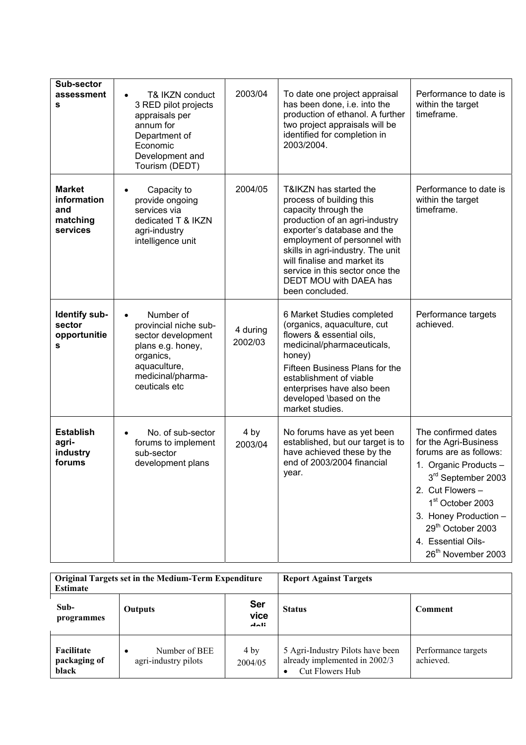| <b>Sub-sector</b><br>assessment<br>s                        | T& IKZN conduct<br>$\bullet$<br>3 RED pilot projects<br>appraisals per<br>annum for<br>Department of<br>Economic<br>Development and<br>Tourism (DEDT)         | 2003/04             | To date one project appraisal<br>has been done, i.e. into the<br>production of ethanol. A further<br>two project appraisals will be<br>identified for completion in<br>2003/2004.                                                                                                                                                | Performance to date is<br>within the target<br>timeframe.                                                                                                                                                                                                                                               |
|-------------------------------------------------------------|---------------------------------------------------------------------------------------------------------------------------------------------------------------|---------------------|----------------------------------------------------------------------------------------------------------------------------------------------------------------------------------------------------------------------------------------------------------------------------------------------------------------------------------|---------------------------------------------------------------------------------------------------------------------------------------------------------------------------------------------------------------------------------------------------------------------------------------------------------|
| <b>Market</b><br>information<br>and<br>matching<br>services | Capacity to<br>$\bullet$<br>provide ongoing<br>services via<br>dedicated T & IKZN<br>agri-industry<br>intelligence unit                                       | 2004/05             | T&IKZN has started the<br>process of building this<br>capacity through the<br>production of an agri-industry<br>exporter's database and the<br>employment of personnel with<br>skills in agri-industry. The unit<br>will finalise and market its<br>service in this sector once the<br>DEDT MOU with DAEA has<br>been concluded. | Performance to date is<br>within the target<br>timeframe.                                                                                                                                                                                                                                               |
| <b>Identify sub-</b><br>sector<br>opportunitie<br>s         | Number of<br>$\bullet$<br>provincial niche sub-<br>sector development<br>plans e.g. honey,<br>organics,<br>aquaculture,<br>medicinal/pharma-<br>ceuticals etc | 4 during<br>2002/03 | 6 Market Studies completed<br>(organics, aquaculture, cut<br>flowers & essential oils,<br>medicinal/pharmaceuticals,<br>honey)<br>Fifteen Business Plans for the<br>establishment of viable<br>enterprises have also been<br>developed \based on the<br>market studies.                                                          | Performance targets<br>achieved.                                                                                                                                                                                                                                                                        |
| <b>Establish</b><br>agri-<br>industry<br>forums             | No. of sub-sector<br>$\bullet$<br>forums to implement<br>sub-sector<br>development plans                                                                      | 4 by<br>2003/04     | No forums have as yet been<br>established, but our target is to<br>have achieved these by the<br>end of 2003/2004 financial<br>year.                                                                                                                                                                                             | The confirmed dates<br>for the Agri-Business<br>forums are as follows:<br>1. Organic Products -<br>$3^{\text{rd}}$ September 2003<br>2. Cut Flowers -<br>1 <sup>st</sup> October 2003<br>3. Honey Production -<br>29 <sup>th</sup> October 2003<br>4. Essential Oils-<br>26 <sup>th</sup> November 2003 |

| Original Targets set in the Medium-Term Expenditure<br><b>Estimate</b> |                                                    | <b>Report Against Targets</b>         |                                                                                      |                                  |
|------------------------------------------------------------------------|----------------------------------------------------|---------------------------------------|--------------------------------------------------------------------------------------|----------------------------------|
| Sub-<br>programmes                                                     | <b>Outputs</b>                                     | <b>Ser</b><br>vice<br>$\Delta E = 10$ | <b>Status</b><br>Comment                                                             |                                  |
| Facilitate<br>packaging of<br>black                                    | Number of BEE<br>$\bullet$<br>agri-industry pilots | 4 by<br>2004/05                       | 5 Agri-Industry Pilots have been<br>already implemented in 2002/3<br>Cut Flowers Hub | Performance targets<br>achieved. |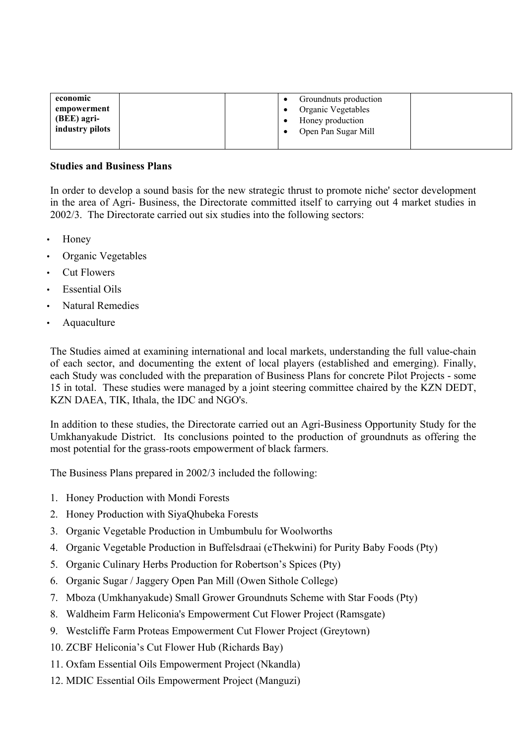| economic<br>empowerment<br>(BEE) agri-<br>industry pilots |  | Groundnuts production<br>Organic Vegetables<br>Honey production<br>Open Pan Sugar Mill |  |
|-----------------------------------------------------------|--|----------------------------------------------------------------------------------------|--|
|                                                           |  |                                                                                        |  |

#### **Studies and Business Plans**

In order to develop a sound basis for the new strategic thrust to promote niche' sector development in the area of Agri- Business, the Directorate committed itself to carrying out 4 market studies in 2002/3. The Directorate carried out six studies into the following sectors:

- Honey
- Organic Vegetables
- Cut Flowers
- Essential Oils
- Natural Remedies
- Aquaculture

The Studies aimed at examining international and local markets, understanding the full value-chain of each sector, and documenting the extent of local players (established and emerging). Finally, each Study was concluded with the preparation of Business Plans for concrete Pilot Projects - some 15 in total. These studies were managed by a joint steering committee chaired by the KZN DEDT, KZN DAEA, TIK, Ithala, the IDC and NGO's.

In addition to these studies, the Directorate carried out an Agri-Business Opportunity Study for the Umkhanyakude District. Its conclusions pointed to the production of groundnuts as offering the most potential for the grass-roots empowerment of black farmers.

The Business Plans prepared in 2002/3 included the following:

- 1. Honey Production with Mondi Forests
- 2. Honey Production with SiyaQhubeka Forests
- 3. Organic Vegetable Production in Umbumbulu for Woolworths
- 4. Organic Vegetable Production in Buffelsdraai (eThekwini) for Purity Baby Foods (Pty)
- 5. Organic Culinary Herbs Production for Robertson's Spices (Pty)
- 6. Organic Sugar / Jaggery Open Pan Mill (Owen Sithole College)
- 7. Mboza (Umkhanyakude) Small Grower Groundnuts Scheme with Star Foods (Pty)
- 8. Waldheim Farm Heliconia's Empowerment Cut Flower Project (Ramsgate)
- 9. Westcliffe Farm Proteas Empowerment Cut Flower Project (Greytown)
- 10. ZCBF Heliconia's Cut Flower Hub (Richards Bay)
- 11. Oxfam Essential Oils Empowerment Project (Nkandla)
- 12. MDIC Essential Oils Empowerment Project (Manguzi)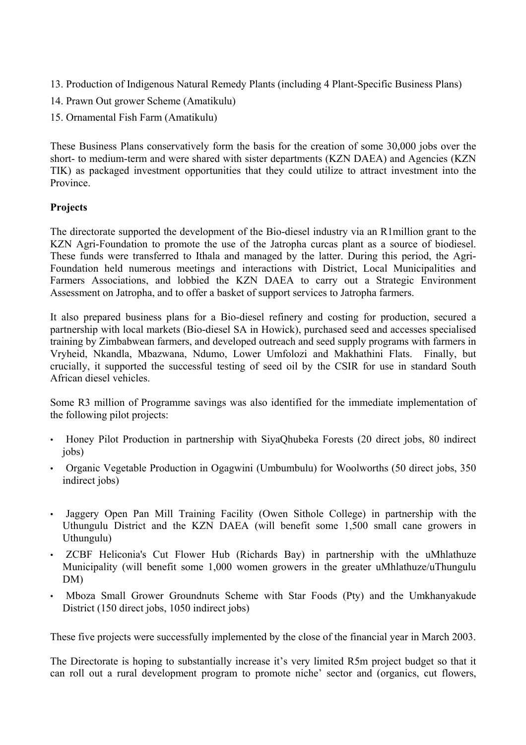- 13. Production of Indigenous Natural Remedy Plants (including 4 Plant-Specific Business Plans)
- 14. Prawn Out grower Scheme (Amatikulu)
- 15. Ornamental Fish Farm (Amatikulu)

These Business Plans conservatively form the basis for the creation of some 30,000 jobs over the short- to medium-term and were shared with sister departments (KZN DAEA) and Agencies (KZN TIK) as packaged investment opportunities that they could utilize to attract investment into the Province.

# **Projects**

The directorate supported the development of the Bio-diesel industry via an R1million grant to the KZN Agri-Foundation to promote the use of the Jatropha curcas plant as a source of biodiesel. These funds were transferred to Ithala and managed by the latter. During this period, the Agri-Foundation held numerous meetings and interactions with District, Local Municipalities and Farmers Associations, and lobbied the KZN DAEA to carry out a Strategic Environment Assessment on Jatropha, and to offer a basket of support services to Jatropha farmers.

It also prepared business plans for a Bio-diesel refinery and costing for production, secured a partnership with local markets (Bio-diesel SA in Howick), purchased seed and accesses specialised training by Zimbabwean farmers, and developed outreach and seed supply programs with farmers in Vryheid, Nkandla, Mbazwana, Ndumo, Lower Umfolozi and Makhathini Flats. Finally, but crucially, it supported the successful testing of seed oil by the CSIR for use in standard South African diesel vehicles.

Some R3 million of Programme savings was also identified for the immediate implementation of the following pilot projects:

- Honey Pilot Production in partnership with SiyaQhubeka Forests (20 direct jobs, 80 indirect iobs)
- Organic Vegetable Production in Ogagwini (Umbumbulu) for Woolworths (50 direct jobs, 350 indirect jobs)
- Jaggery Open Pan Mill Training Facility (Owen Sithole College) in partnership with the Uthungulu District and the KZN DAEA (will benefit some 1,500 small cane growers in Uthungulu)
- ZCBF Heliconia's Cut Flower Hub (Richards Bay) in partnership with the uMhlathuze Municipality (will benefit some 1,000 women growers in the greater uMhlathuze/uThungulu DM)
- Mboza Small Grower Groundnuts Scheme with Star Foods (Pty) and the Umkhanyakude District (150 direct jobs, 1050 indirect jobs)

These five projects were successfully implemented by the close of the financial year in March 2003.

The Directorate is hoping to substantially increase it's very limited R5m project budget so that it can roll out a rural development program to promote niche' sector and (organics, cut flowers,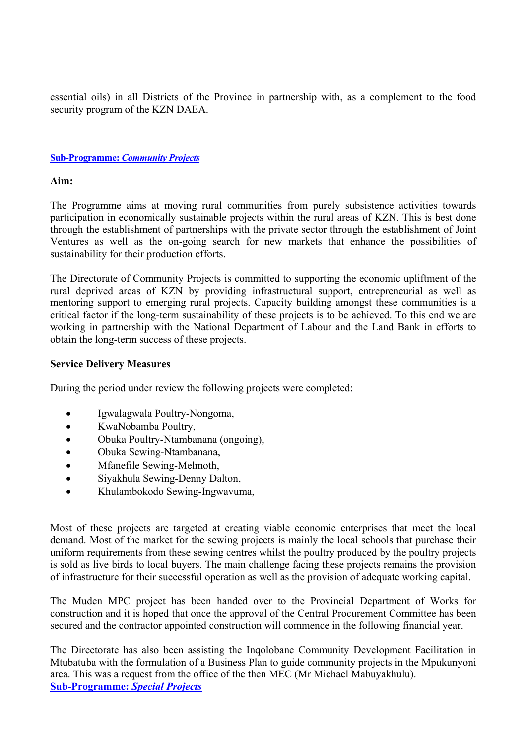essential oils) in all Districts of the Province in partnership with, as a complement to the food security program of the KZN DAEA.

#### **Sub-Programme:** *Community Projects*

#### **Aim:**

The Programme aims at moving rural communities from purely subsistence activities towards participation in economically sustainable projects within the rural areas of KZN. This is best done through the establishment of partnerships with the private sector through the establishment of Joint Ventures as well as the on-going search for new markets that enhance the possibilities of sustainability for their production efforts.

The Directorate of Community Projects is committed to supporting the economic upliftment of the rural deprived areas of KZN by providing infrastructural support, entrepreneurial as well as mentoring support to emerging rural projects. Capacity building amongst these communities is a critical factor if the long-term sustainability of these projects is to be achieved. To this end we are working in partnership with the National Department of Labour and the Land Bank in efforts to obtain the long-term success of these projects.

#### **Service Delivery Measures**

During the period under review the following projects were completed:

- Igwalagwala Poultry-Nongoma,
- KwaNobamba Poultry,
- Obuka Poultry-Ntambanana (ongoing),
- Obuka Sewing-Ntambanana,
- Mfanefile Sewing-Melmoth,
- Siyakhula Sewing-Denny Dalton,
- Khulambokodo Sewing-Ingwavuma,

Most of these projects are targeted at creating viable economic enterprises that meet the local demand. Most of the market for the sewing projects is mainly the local schools that purchase their uniform requirements from these sewing centres whilst the poultry produced by the poultry projects is sold as live birds to local buyers. The main challenge facing these projects remains the provision of infrastructure for their successful operation as well as the provision of adequate working capital.

The Muden MPC project has been handed over to the Provincial Department of Works for construction and it is hoped that once the approval of the Central Procurement Committee has been secured and the contractor appointed construction will commence in the following financial year.

The Directorate has also been assisting the Inqolobane Community Development Facilitation in Mtubatuba with the formulation of a Business Plan to guide community projects in the Mpukunyoni area. This was a request from the office of the then MEC (Mr Michael Mabuyakhulu). **Sub-Programme:** *Special Projects*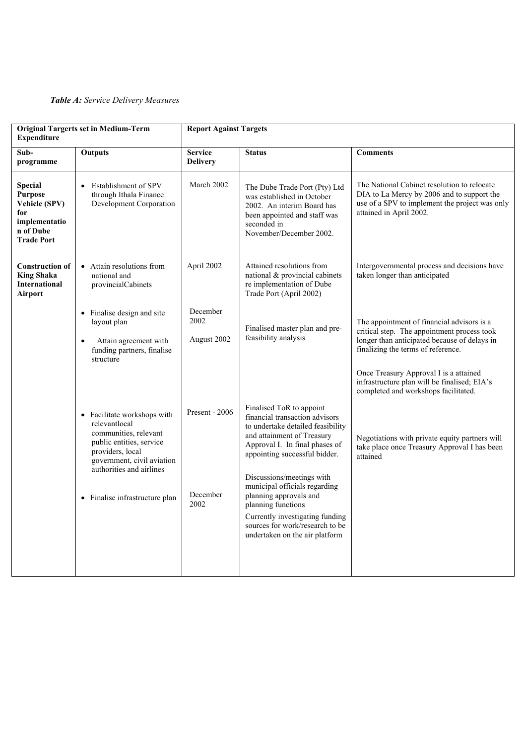#### *Table A: Service Delivery Measures*

| <b>Original Targerts set in Medium-Term</b><br><b>Expenditure</b>                                           |                                                                                                                                                                                                                   | <b>Report Against Targets</b>      |                                                                                                                                                                                                                                                                                                                                                                                                                        |                                                                                                                                                                                                                           |  |
|-------------------------------------------------------------------------------------------------------------|-------------------------------------------------------------------------------------------------------------------------------------------------------------------------------------------------------------------|------------------------------------|------------------------------------------------------------------------------------------------------------------------------------------------------------------------------------------------------------------------------------------------------------------------------------------------------------------------------------------------------------------------------------------------------------------------|---------------------------------------------------------------------------------------------------------------------------------------------------------------------------------------------------------------------------|--|
| Sub-<br>programme                                                                                           | <b>Outputs</b>                                                                                                                                                                                                    | <b>Service</b><br><b>Delivery</b>  | <b>Status</b>                                                                                                                                                                                                                                                                                                                                                                                                          | <b>Comments</b>                                                                                                                                                                                                           |  |
| <b>Special</b><br><b>Purpose</b><br>Vehicle (SPV)<br>for<br>implementatio<br>n of Dube<br><b>Trade Port</b> | Establishment of SPV<br>$\bullet$<br>through Ithala Finance<br>Development Corporation                                                                                                                            | March 2002                         | The Dube Trade Port (Pty) Ltd<br>was established in October<br>2002. An interim Board has<br>been appointed and staff was<br>seconded in<br>November/December 2002.                                                                                                                                                                                                                                                    | The National Cabinet resolution to relocate<br>DIA to La Mercy by 2006 and to support the<br>use of a SPV to implement the project was only<br>attained in April 2002.                                                    |  |
| <b>Construction of</b><br><b>King Shaka</b><br><b>International</b><br>Airport                              | Attain resolutions from<br>national and<br>provincialCabinets                                                                                                                                                     | April 2002                         | Attained resolutions from<br>national $&$ provincial cabinets<br>re implementation of Dube<br>Trade Port (April 2002)                                                                                                                                                                                                                                                                                                  | Intergovernmental process and decisions have<br>taken longer than anticipated                                                                                                                                             |  |
|                                                                                                             | • Finalise design and site<br>layout plan<br>Attain agreement with<br>$\bullet$<br>funding partners, finalise<br>structure                                                                                        | December<br>2002<br>August 2002    | Finalised master plan and pre-<br>feasibility analysis                                                                                                                                                                                                                                                                                                                                                                 | The appointment of financial advisors is a<br>critical step. The appointment process took<br>longer than anticipated because of delays in<br>finalizing the terms of reference.<br>Once Treasury Approval I is a attained |  |
|                                                                                                             | • Facilitate workshops with<br>relevantlocal<br>communities, relevant<br>public entities, service<br>providers, local<br>government, civil aviation<br>authorities and airlines<br>• Finalise infrastructure plan | Present - 2006<br>December<br>2002 | Finalised ToR to appoint<br>financial transaction advisors<br>to undertake detailed feasibility<br>and attainment of Treasury<br>Approval I. In final phases of<br>appointing successful bidder.<br>Discussions/meetings with<br>municipal officials regarding<br>planning approvals and<br>planning functions<br>Currently investigating funding<br>sources for work/research to be<br>undertaken on the air platform | infrastructure plan will be finalised; EIA's<br>completed and workshops facilitated.<br>Negotiations with private equity partners will<br>take place once Treasury Approval I has been<br>attained                        |  |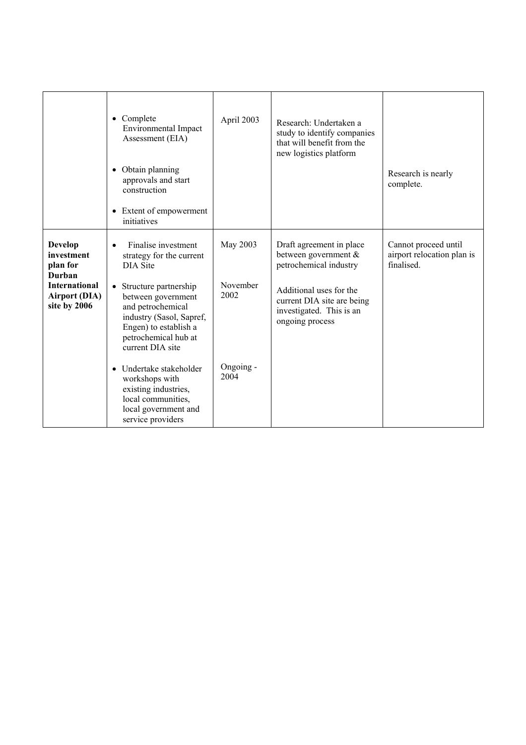|                                                                                                                    | • Complete<br><b>Environmental Impact</b><br>Assessment (EIA)<br>• Obtain planning<br>approvals and start<br>construction<br>• Extent of empowerment<br>initiatives                                                                                                                                                                                                                                                  | April 2003                                        | Research: Undertaken a<br>study to identify companies<br>that will benefit from the<br>new logistics platform                                                                      | Research is nearly<br>complete.                                  |
|--------------------------------------------------------------------------------------------------------------------|----------------------------------------------------------------------------------------------------------------------------------------------------------------------------------------------------------------------------------------------------------------------------------------------------------------------------------------------------------------------------------------------------------------------|---------------------------------------------------|------------------------------------------------------------------------------------------------------------------------------------------------------------------------------------|------------------------------------------------------------------|
| <b>Develop</b><br>investment<br>plan for<br>Durban<br><b>International</b><br><b>Airport (DIA)</b><br>site by 2006 | Finalise investment<br>$\bullet$<br>strategy for the current<br><b>DIA Site</b><br>Structure partnership<br>$\bullet$<br>between government<br>and petrochemical<br>industry (Sasol, Sapref,<br>Engen) to establish a<br>petrochemical hub at<br>current DIA site<br>Undertake stakeholder<br>$\bullet$<br>workshops with<br>existing industries,<br>local communities,<br>local government and<br>service providers | May 2003<br>November<br>2002<br>Ongoing -<br>2004 | Draft agreement in place<br>between government &<br>petrochemical industry<br>Additional uses for the<br>current DIA site are being<br>investigated. This is an<br>ongoing process | Cannot proceed until<br>airport relocation plan is<br>finalised. |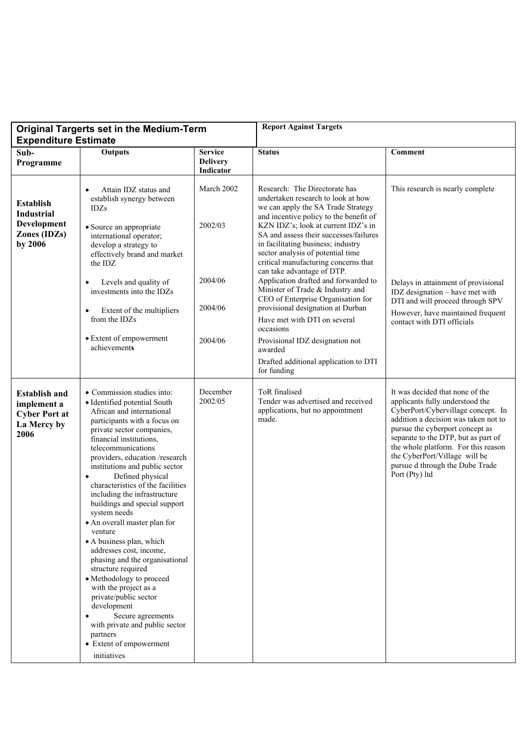| <b>Original Targerts set in the Medium-Term</b><br><b>Expenditure Estimate</b>     |                                                                                                                                                                                                                                                                                                                                                                                                                                                                                                                                                                                                                                                                                                                                                                                                      | <b>Report Against Targets</b>                  |                                                                                                                                                                                                                                                                                                                      |                                                                                                                                                                                                                                                                                                                                                         |
|------------------------------------------------------------------------------------|------------------------------------------------------------------------------------------------------------------------------------------------------------------------------------------------------------------------------------------------------------------------------------------------------------------------------------------------------------------------------------------------------------------------------------------------------------------------------------------------------------------------------------------------------------------------------------------------------------------------------------------------------------------------------------------------------------------------------------------------------------------------------------------------------|------------------------------------------------|----------------------------------------------------------------------------------------------------------------------------------------------------------------------------------------------------------------------------------------------------------------------------------------------------------------------|---------------------------------------------------------------------------------------------------------------------------------------------------------------------------------------------------------------------------------------------------------------------------------------------------------------------------------------------------------|
| Sub-<br>Programme                                                                  | Outputs                                                                                                                                                                                                                                                                                                                                                                                                                                                                                                                                                                                                                                                                                                                                                                                              | <b>Service</b><br><b>Delivery</b><br>Indicator | <b>Status</b>                                                                                                                                                                                                                                                                                                        | Comment                                                                                                                                                                                                                                                                                                                                                 |
| <b>Establish</b><br><b>Industrial</b><br>Development<br>Zones (IDZs)<br>by 2006    | Attain IDZ status and<br>$\bullet$<br>establish synergy between<br><b>IDZs</b><br>• Source an appropriate<br>international operator;<br>develop a strategy to<br>effectively brand and market                                                                                                                                                                                                                                                                                                                                                                                                                                                                                                                                                                                                        | March 2002<br>2002/03                          | Research: The Directorate has<br>undertaken research to look at how<br>we can apply the SA Trade Strategy<br>and incentive policy to the benefit of<br>KZN IDZ's; look at current IDZ's in<br>SA and assess their successes/failures<br>in facilitating business; industry<br>sector analysis of potential time      | This research is nearly complete                                                                                                                                                                                                                                                                                                                        |
|                                                                                    | the IDZ<br>Levels and quality of<br>investments into the IDZs<br>Extent of the multipliers<br>from the IDZs<br>• Extent of empowerment<br>achievements                                                                                                                                                                                                                                                                                                                                                                                                                                                                                                                                                                                                                                               | 2004/06<br>2004/06<br>2004/06                  | critical manufacturing concerns that<br>can take advantage of DTP.<br>Application drafted and forwarded to<br>Minister of Trade & Industry and<br>CEO of Enterprise Organisation for<br>provisional designation at Durban<br>Have met with DTI on several<br>occasions<br>Provisional IDZ designation not<br>awarded | Delays in attainment of provisional<br>IDZ designation - have met with<br>DTI and will proceed through SPV<br>However, have maintained frequent<br>contact with DTI officials                                                                                                                                                                           |
|                                                                                    |                                                                                                                                                                                                                                                                                                                                                                                                                                                                                                                                                                                                                                                                                                                                                                                                      |                                                | Drafted additional application to DTI<br>for funding                                                                                                                                                                                                                                                                 |                                                                                                                                                                                                                                                                                                                                                         |
| <b>Establish and</b><br>implement a<br><b>Cyber Port at</b><br>La Mercy by<br>2006 | • Commission studies into:<br>· Identified potential South<br>African and international<br>participants with a focus on<br>private sector companies,<br>financial institutions,<br>telecommunications<br>providers, education /research<br>institutions and public sector<br>Defined physical<br>$\bullet$<br>characteristics of the facilities<br>including the infrastructure<br>buildings and special support<br>system needs<br>• An overall master plan for<br>venture<br>• A business plan, which<br>addresses cost, income,<br>phasing and the organisational<br>structure required<br>• Methodology to proceed<br>with the project as a<br>private/public sector<br>development<br>Secure agreements<br>with private and public sector<br>partners<br>• Extent of empowerment<br>initiatives | December<br>2002/05                            | ToR finalised<br>Tender was advertised and received<br>applications, but no appointment<br>made.                                                                                                                                                                                                                     | It was decided that none of the<br>applicants fully understood the<br>CyberPort/Cybervillage concept. In<br>addition a decision was taken not to<br>pursue the cyberport concept as<br>separate to the DTP, but as part of<br>the whole platform. For this reason<br>the CyberPort/Village will be<br>pursue d through the Dube Trade<br>Port (Pty) ltd |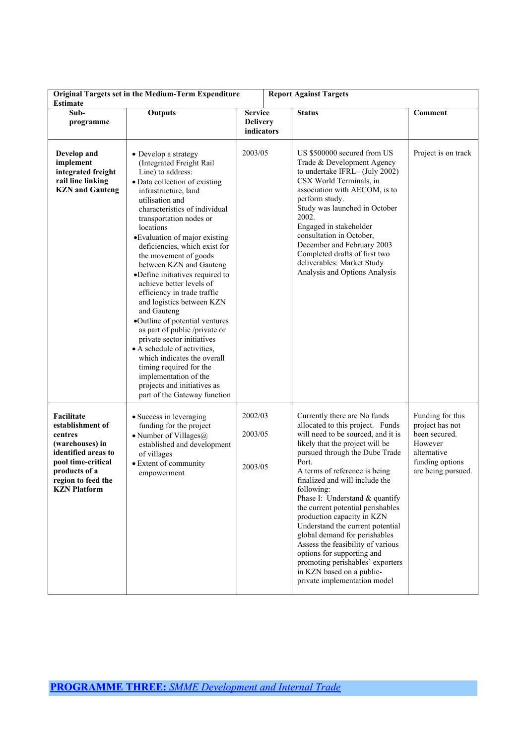| <b>Estimate</b>                                                                                                                                                         | Original Targets set in the Medium-Term Expenditure                                                                                                                                                                                                                                                                                                                                                                                                                                                                                                                                                                                                                                                                                                                          | <b>Report Against Targets</b>                   |                                                                                                                                                                                                                                                                                                                                                                                                                                                                                                                                                                                                                     |                                                                                                                         |
|-------------------------------------------------------------------------------------------------------------------------------------------------------------------------|------------------------------------------------------------------------------------------------------------------------------------------------------------------------------------------------------------------------------------------------------------------------------------------------------------------------------------------------------------------------------------------------------------------------------------------------------------------------------------------------------------------------------------------------------------------------------------------------------------------------------------------------------------------------------------------------------------------------------------------------------------------------------|-------------------------------------------------|---------------------------------------------------------------------------------------------------------------------------------------------------------------------------------------------------------------------------------------------------------------------------------------------------------------------------------------------------------------------------------------------------------------------------------------------------------------------------------------------------------------------------------------------------------------------------------------------------------------------|-------------------------------------------------------------------------------------------------------------------------|
| Sub-<br>programme                                                                                                                                                       | <b>Outputs</b>                                                                                                                                                                                                                                                                                                                                                                                                                                                                                                                                                                                                                                                                                                                                                               | <b>Service</b><br><b>Delivery</b><br>indicators | <b>Status</b>                                                                                                                                                                                                                                                                                                                                                                                                                                                                                                                                                                                                       | Comment                                                                                                                 |
| Develop and<br>implement<br>integrated freight<br>rail line linking<br><b>KZN</b> and Gauteng                                                                           | • Develop a strategy<br>(Integrated Freight Rail<br>Line) to address:<br>· Data collection of existing<br>infrastructure, land<br>utilisation and<br>characteristics of individual<br>transportation nodes or<br>locations<br>•Evaluation of major existing<br>deficiencies, which exist for<br>the movement of goods<br>between KZN and Gauteng<br>•Define initiatives required to<br>achieve better levels of<br>efficiency in trade traffic<br>and logistics between KZN<br>and Gauteng<br>•Outline of potential ventures<br>as part of public /private or<br>private sector initiatives<br>• A schedule of activities,<br>which indicates the overall<br>timing required for the<br>implementation of the<br>projects and initiatives as<br>part of the Gateway function | 2003/05                                         | US \$500000 secured from US<br>Trade & Development Agency<br>to undertake IFRL-(July 2002)<br>CSX World Terminals, in<br>association with AECOM, is to<br>perform study.<br>Study was launched in October<br>2002.<br>Engaged in stakeholder<br>consultation in October,<br>December and February 2003<br>Completed drafts of first two<br>deliverables: Market Study<br>Analysis and Options Analysis                                                                                                                                                                                                              | Project is on track                                                                                                     |
| Facilitate<br>establishment of<br>centres<br>(warehouses) in<br>identified areas to<br>pool time-critical<br>products of a<br>region to feed the<br><b>KZN</b> Platform | • Success in leveraging<br>funding for the project<br>• Number of Villages $@$<br>established and development<br>of villages<br>• Extent of community<br>empowerment                                                                                                                                                                                                                                                                                                                                                                                                                                                                                                                                                                                                         | 2002/03<br>2003/05<br>2003/05                   | Currently there are No funds<br>allocated to this project. Funds<br>will need to be sourced, and it is<br>likely that the project will be<br>pursued through the Dube Trade<br>Port.<br>A terms of reference is being<br>finalized and will include the<br>following:<br>Phase I: Understand & quantify<br>the current potential perishables<br>production capacity in KZN<br>Understand the current potential<br>global demand for perishables<br>Assess the feasibility of various<br>options for supporting and<br>promoting perishables' exporters<br>in KZN based on a public-<br>private implementation model | Funding for this<br>project has not<br>been secured.<br>However<br>alternative<br>funding options<br>are being pursued. |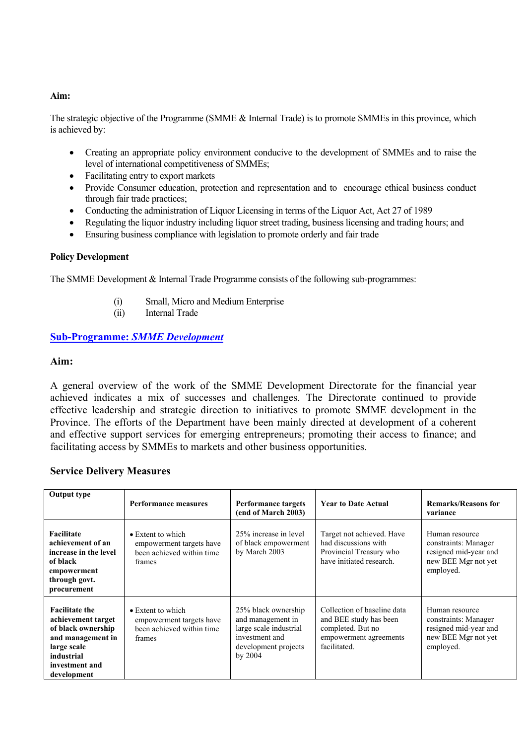#### **Aim:**

The strategic objective of the Programme (SMME & Internal Trade) is to promote SMMEs in this province, which is achieved by:

- Creating an appropriate policy environment conducive to the development of SMMEs and to raise the level of international competitiveness of SMMEs;
- Facilitating entry to export markets
- Provide Consumer education, protection and representation and to encourage ethical business conduct through fair trade practices;
- Conducting the administration of Liquor Licensing in terms of the Liquor Act, Act 27 of 1989
- Regulating the liquor industry including liquor street trading, business licensing and trading hours; and
- Ensuring business compliance with legislation to promote orderly and fair trade

#### **Policy Development**

The SMME Development & Internal Trade Programme consists of the following sub-programmes:

- (i) Small, Micro and Medium Enterprise
- (ii) Internal Trade

#### **Sub-Programme:** *SMME Development*

#### **Aim:**

A general overview of the work of the SMME Development Directorate for the financial year achieved indicates a mix of successes and challenges. The Directorate continued to provide effective leadership and strategic direction to initiatives to promote SMME development in the Province. The efforts of the Department have been mainly directed at development of a coherent and effective support services for emerging entrepreneurs; promoting their access to finance; and facilitating access by SMMEs to markets and other business opportunities.

#### **Service Delivery Measures**

| <b>Output type</b>                                                                                                                                   | <b>Performance measures</b>                                                                  | Performance targets<br>(end of March 2003)                                                                                | <b>Year to Date Actual</b>                                                                                           | <b>Remarks/Reasons for</b><br>variance                                                              |
|------------------------------------------------------------------------------------------------------------------------------------------------------|----------------------------------------------------------------------------------------------|---------------------------------------------------------------------------------------------------------------------------|----------------------------------------------------------------------------------------------------------------------|-----------------------------------------------------------------------------------------------------|
| Facilitate<br>achievement of an<br>increase in the level<br>of black<br>empowerment<br>through govt.<br>procurement                                  | $\bullet$ Extent to which<br>empowerment targets have<br>been achieved within time<br>frames | 25% increase in level<br>of black empowerment<br>by March 2003                                                            | Target not achieved. Have<br>had discussions with<br>Provincial Treasury who<br>have initiated research.             | Human resource<br>constraints: Manager<br>resigned mid-year and<br>new BEE Mgr not yet<br>employed. |
| <b>Facilitate the</b><br>achievement target<br>of black ownership<br>and management in<br>large scale<br>industrial<br>investment and<br>development | $\bullet$ Extent to which<br>empowerment targets have<br>been achieved within time<br>frames | 25% black ownership<br>and management in<br>large scale industrial<br>investment and<br>development projects<br>by $2004$ | Collection of baseline data<br>and BEE study has been<br>completed. But no<br>empowerment agreements<br>facilitated. | Human resource<br>constraints: Manager<br>resigned mid-year and<br>new BEE Mgr not yet<br>employed. |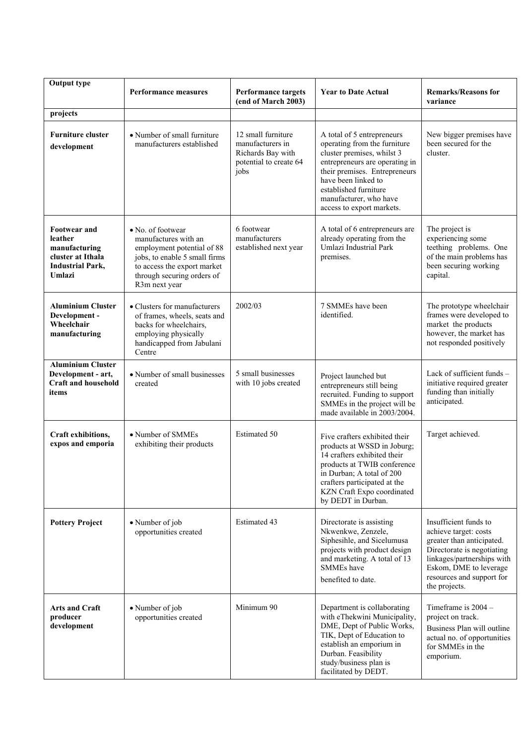| <b>Output type</b>                                                                                        |                                                                                                                                                                                        |                                                                                               |                                                                                                                                                                                                                                                                    |                                                                                                                                                                                                                 |
|-----------------------------------------------------------------------------------------------------------|----------------------------------------------------------------------------------------------------------------------------------------------------------------------------------------|-----------------------------------------------------------------------------------------------|--------------------------------------------------------------------------------------------------------------------------------------------------------------------------------------------------------------------------------------------------------------------|-----------------------------------------------------------------------------------------------------------------------------------------------------------------------------------------------------------------|
|                                                                                                           | <b>Performance measures</b>                                                                                                                                                            | <b>Performance targets</b><br>(end of March 2003)                                             | <b>Year to Date Actual</b>                                                                                                                                                                                                                                         | <b>Remarks/Reasons for</b><br>variance                                                                                                                                                                          |
| projects                                                                                                  |                                                                                                                                                                                        |                                                                                               |                                                                                                                                                                                                                                                                    |                                                                                                                                                                                                                 |
| <b>Furniture cluster</b><br>development                                                                   | • Number of small furniture<br>manufacturers established                                                                                                                               | 12 small furniture<br>manufacturers in<br>Richards Bay with<br>potential to create 64<br>jobs | A total of 5 entrepreneurs<br>operating from the furniture<br>cluster premises, whilst 3<br>entrepreneurs are operating in<br>their premises. Entrepreneurs<br>have been linked to<br>established furniture<br>manufacturer, who have<br>access to export markets. | New bigger premises have<br>been secured for the<br>cluster.                                                                                                                                                    |
| <b>Footwear and</b><br>leather<br>manufacturing<br>cluster at Ithala<br><b>Industrial Park,</b><br>Umlazi | • No. of footwear<br>manufactures with an<br>employment potential of 88<br>jobs, to enable 5 small firms<br>to access the export market<br>through securing orders of<br>R3m next year | 6 footwear<br>manufacturers<br>established next year                                          | A total of 6 entrepreneurs are<br>already operating from the<br>Umlazi Industrial Park<br>premises.                                                                                                                                                                | The project is<br>experiencing some<br>teething problems. One<br>of the main problems has<br>been securing working<br>capital.                                                                                  |
| <b>Aluminium Cluster</b><br>Development -<br>Wheelchair<br>manufacturing                                  | • Clusters for manufacturers<br>of frames, wheels, seats and<br>backs for wheelchairs,<br>employing physically<br>handicapped from Jabulani<br>Centre                                  | 2002/03                                                                                       | 7 SMMEs have been<br>identified.                                                                                                                                                                                                                                   | The prototype wheelchair<br>frames were developed to<br>market the products<br>however, the market has<br>not responded positively                                                                              |
| <b>Aluminium Cluster</b><br>Development - art,<br><b>Craft and household</b><br>items                     | • Number of small businesses<br>created                                                                                                                                                | 5 small businesses<br>with 10 jobs created                                                    | Project launched but<br>entrepreneurs still being<br>recruited. Funding to support<br>SMMEs in the project will be<br>made available in 2003/2004.                                                                                                                 | Lack of sufficient funds -<br>initiative required greater<br>funding than initially<br>anticipated.                                                                                                             |
| Craft exhibitions,<br>expos and emporia                                                                   | • Number of SMMEs<br>exhibiting their products                                                                                                                                         | <b>Estimated 50</b>                                                                           | Five crafters exhibited their<br>products at WSSD in Joburg;<br>14 crafters exhibited their<br>products at TWIB conference<br>in Durban; A total of 200<br>crafters participated at the<br>KZN Craft Expo coordinated<br>by DEDT in Durban.                        | Target achieved.                                                                                                                                                                                                |
| <b>Pottery Project</b>                                                                                    | • Number of job<br>opportunities created                                                                                                                                               | <b>Estimated 43</b>                                                                           | Directorate is assisting<br>Nkwenkwe, Zenzele,<br>Siphesihle, and Sicelumusa<br>projects with product design<br>and marketing. A total of 13<br><b>SMMEs</b> have<br>benefited to date.                                                                            | Insufficient funds to<br>achieve target: costs<br>greater than anticipated.<br>Directorate is negotiating<br>linkages/partnerships with<br>Eskom, DME to leverage<br>resources and support for<br>the projects. |
| <b>Arts and Craft</b><br>producer<br>development                                                          | • Number of job<br>opportunities created                                                                                                                                               | Minimum 90                                                                                    | Department is collaborating<br>with eThekwini Municipality,<br>DME, Dept of Public Works,<br>TIK, Dept of Education to<br>establish an emporium in<br>Durban. Feasibility<br>study/business plan is<br>facilitated by DEDT.                                        | Timeframe is 2004 -<br>project on track.<br>Business Plan will outline<br>actual no. of opportunities<br>for SMMEs in the<br>emporium.                                                                          |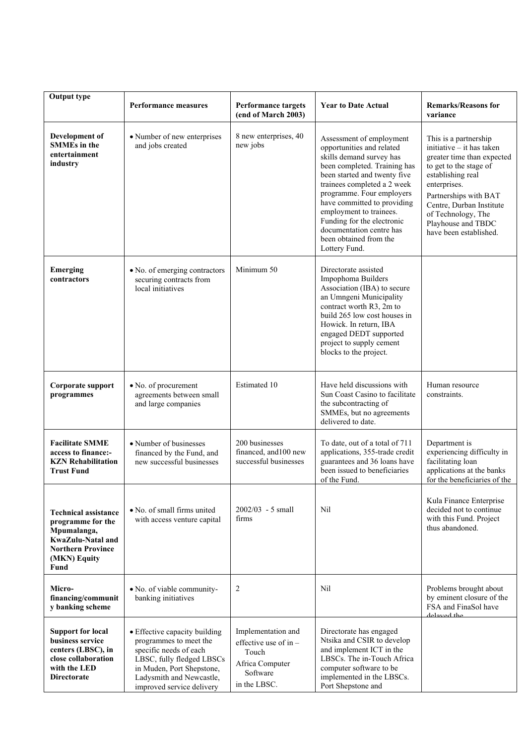| <b>Output type</b>                                                                                                                       | <b>Performance measures</b>                                                                                                                                                                          | <b>Performance targets</b><br>(end of March 2003)                                                     | <b>Year to Date Actual</b>                                                                                                                                                                                                                                                                                                                                                   | <b>Remarks/Reasons for</b><br>variance                                                                                                                                                                                                                                     |
|------------------------------------------------------------------------------------------------------------------------------------------|------------------------------------------------------------------------------------------------------------------------------------------------------------------------------------------------------|-------------------------------------------------------------------------------------------------------|------------------------------------------------------------------------------------------------------------------------------------------------------------------------------------------------------------------------------------------------------------------------------------------------------------------------------------------------------------------------------|----------------------------------------------------------------------------------------------------------------------------------------------------------------------------------------------------------------------------------------------------------------------------|
| Development of<br><b>SMMEs</b> in the<br>entertainment<br>industry                                                                       | • Number of new enterprises<br>and jobs created                                                                                                                                                      | 8 new enterprises, 40<br>new jobs                                                                     | Assessment of employment<br>opportunities and related<br>skills demand survey has<br>been completed. Training has<br>been started and twenty five<br>trainees completed a 2 week<br>programme. Four employers<br>have committed to providing<br>employment to trainees.<br>Funding for the electronic<br>documentation centre has<br>been obtained from the<br>Lottery Fund. | This is a partnership<br>initiative - it has taken<br>greater time than expected<br>to get to the stage of<br>establishing real<br>enterprises.<br>Partnerships with BAT<br>Centre, Durban Institute<br>of Technology, The<br>Playhouse and TBDC<br>have been established. |
| Emerging<br>contractors                                                                                                                  | • No. of emerging contractors<br>securing contracts from<br>local initiatives                                                                                                                        | Minimum 50                                                                                            | Directorate assisted<br>Impophoma Builders<br>Association (IBA) to secure<br>an Umngeni Municipality<br>contract worth R3, 2m to<br>build 265 low cost houses in<br>Howick. In return, IBA<br>engaged DEDT supported<br>project to supply cement<br>blocks to the project.                                                                                                   |                                                                                                                                                                                                                                                                            |
| Corporate support<br>programmes                                                                                                          | • No. of procurement<br>agreements between small<br>and large companies                                                                                                                              | Estimated 10                                                                                          | Have held discussions with<br>Sun Coast Casino to facilitate<br>the subcontracting of<br>SMMEs, but no agreements<br>delivered to date.                                                                                                                                                                                                                                      | Human resource<br>constraints.                                                                                                                                                                                                                                             |
| <b>Facilitate SMME</b><br>access to finance:-<br><b>KZN</b> Rehabilitation<br><b>Trust Fund</b>                                          | • Number of businesses<br>financed by the Fund, and<br>new successful businesses                                                                                                                     | 200 businesses<br>financed, and 100 new<br>successful businesses                                      | To date, out of a total of 711<br>applications, 355-trade credit<br>guarantees and 36 loans have<br>been issued to beneficiaries<br>of the Fund.                                                                                                                                                                                                                             | Department is<br>experiencing difficulty in<br>facilitating loan<br>applications at the banks<br>for the beneficiaries of the                                                                                                                                              |
| <b>Technical assistance</b><br>programme for the<br>Mpumalanga,<br>KwaZulu-Natal and<br><b>Northern Province</b><br>(MKN) Equity<br>Fund | • No. of small firms united<br>with access venture capital                                                                                                                                           | $2002/03 - 5$ small<br>firms                                                                          | Nil                                                                                                                                                                                                                                                                                                                                                                          | Kula Finance Enterprise<br>decided not to continue<br>with this Fund. Project<br>thus abandoned.                                                                                                                                                                           |
| Micro-<br>financing/communit<br>y banking scheme                                                                                         | • No. of viable community-<br>banking initiatives                                                                                                                                                    | 2                                                                                                     | Nil                                                                                                                                                                                                                                                                                                                                                                          | Problems brought about<br>by eminent closure of the<br>FSA and FinaSol have<br>delayed the                                                                                                                                                                                 |
| <b>Support for local</b><br>business service<br>centers (LBSC), in<br>close collaboration<br>with the LED<br><b>Directorate</b>          | • Effective capacity building<br>programmes to meet the<br>specific needs of each<br>LBSC, fully fledged LBSCs<br>in Muden, Port Shepstone,<br>Ladysmith and Newcastle,<br>improved service delivery | Implementation and<br>effective use of in $-$<br>Touch<br>Africa Computer<br>Software<br>in the LBSC. | Directorate has engaged<br>Ntsika and CSIR to develop<br>and implement ICT in the<br>LBSCs. The in-Touch Africa<br>computer software to be<br>implemented in the LBSCs.<br>Port Shepstone and                                                                                                                                                                                |                                                                                                                                                                                                                                                                            |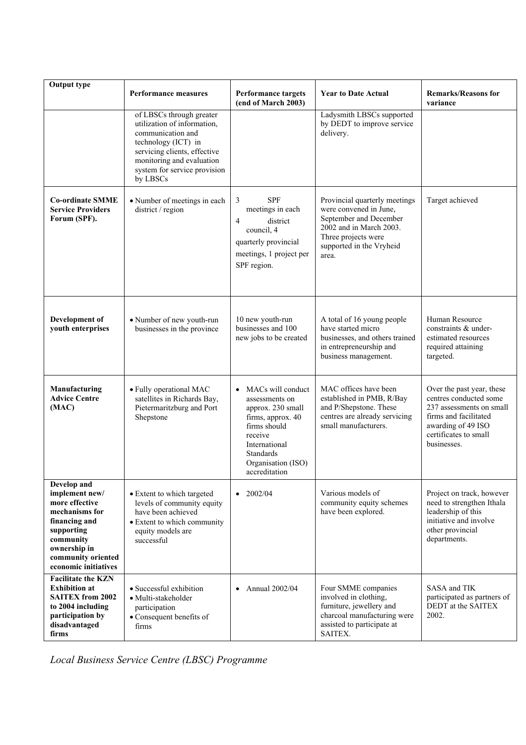| <b>Output type</b>                                                                                                                                                          | <b>Performance measures</b>                                                                                                                                                                                  |                                                                                                                                                                                                   | <b>Year to Date Actual</b>                                                                                                                                               | <b>Remarks/Reasons for</b>                                                                                                                                             |
|-----------------------------------------------------------------------------------------------------------------------------------------------------------------------------|--------------------------------------------------------------------------------------------------------------------------------------------------------------------------------------------------------------|---------------------------------------------------------------------------------------------------------------------------------------------------------------------------------------------------|--------------------------------------------------------------------------------------------------------------------------------------------------------------------------|------------------------------------------------------------------------------------------------------------------------------------------------------------------------|
|                                                                                                                                                                             |                                                                                                                                                                                                              | <b>Performance targets</b><br>(end of March 2003)                                                                                                                                                 |                                                                                                                                                                          | variance                                                                                                                                                               |
|                                                                                                                                                                             | of LBSCs through greater<br>utilization of information,<br>communication and<br>technology (ICT) in<br>servicing clients, effective<br>monitoring and evaluation<br>system for service provision<br>by LBSCs |                                                                                                                                                                                                   | Ladysmith LBSCs supported<br>by DEDT to improve service<br>delivery.                                                                                                     |                                                                                                                                                                        |
| <b>Co-ordinate SMME</b><br><b>Service Providers</b><br>Forum (SPF).                                                                                                         | · Number of meetings in each<br>district / region                                                                                                                                                            | <b>SPF</b><br>3<br>meetings in each<br>district<br>$\overline{4}$<br>council, 4<br>quarterly provincial<br>meetings, 1 project per<br>SPF region.                                                 | Provincial quarterly meetings<br>were convened in June,<br>September and December<br>2002 and in March 2003.<br>Three projects were<br>supported in the Vryheid<br>area. | Target achieved                                                                                                                                                        |
| Development of<br>youth enterprises                                                                                                                                         | • Number of new youth-run<br>businesses in the province                                                                                                                                                      | 10 new youth-run<br>businesses and 100<br>new jobs to be created                                                                                                                                  | A total of 16 young people<br>have started micro<br>businesses, and others trained<br>in entrepreneurship and<br>business management.                                    | Human Resource<br>constraints & under-<br>estimated resources<br>required attaining<br>targeted.                                                                       |
| Manufacturing<br><b>Advice Centre</b><br>(MAC)                                                                                                                              | • Fully operational MAC<br>satellites in Richards Bay,<br>Pietermaritzburg and Port<br>Shepstone                                                                                                             | MACs will conduct<br>$\bullet$<br>assessments on<br>approx. 230 small<br>firms, approx. 40<br>firms should<br>receive<br>International<br><b>Standards</b><br>Organisation (ISO)<br>accreditation | MAC offices have been<br>established in PMB, R/Bay<br>and P/Shepstone. These<br>centres are already servicing<br>small manufacturers.                                    | Over the past year, these<br>centres conducted some<br>237 assessments on small<br>firms and facilitated<br>awarding of 49 ISO<br>certificates to small<br>businesses. |
| Develop and<br>implement new/<br>more effective<br>mechanisms for<br>financing and<br>supporting<br>community<br>ownership in<br>community oriented<br>economic initiatives | • Extent to which targeted<br>levels of community equity<br>have been achieved<br>• Extent to which community<br>equity models are<br>successful                                                             | $\bullet$ 2002/04                                                                                                                                                                                 | Various models of<br>community equity schemes<br>have been explored.                                                                                                     | Project on track, however<br>need to strengthen Ithala<br>leadership of this<br>initiative and involve<br>other provincial<br>departments.                             |
| <b>Facilitate the KZN</b><br><b>Exhibition</b> at<br><b>SAITEX from 2002</b><br>to 2004 including<br>participation by<br>disadvantaged<br>firms                             | • Successful exhibition<br>• Multi-stakeholder<br>participation<br>• Consequent benefits of<br>firms                                                                                                         | Annual 2002/04<br>$\bullet$                                                                                                                                                                       | Four SMME companies<br>involved in clothing,<br>furniture, jewellery and<br>charcoal manufacturing were<br>assisted to participate at<br>SAITEX.                         | SASA and TIK<br>participated as partners of<br>DEDT at the SAITEX<br>2002.                                                                                             |

*Local Business Service Centre (LBSC) Programme*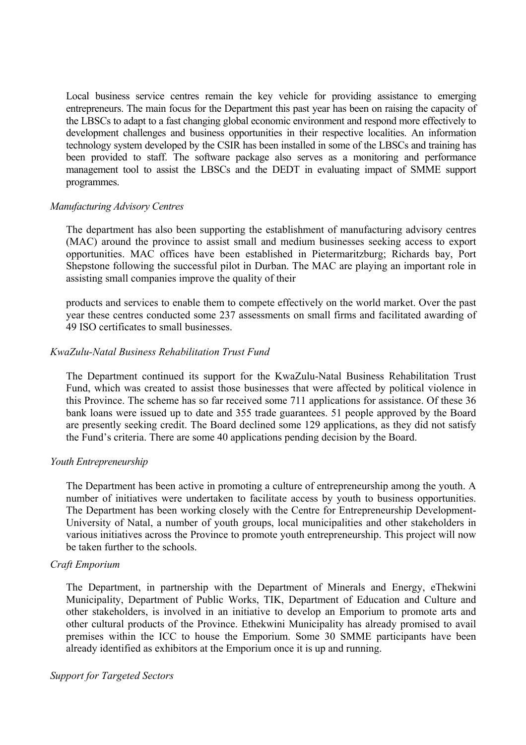Local business service centres remain the key vehicle for providing assistance to emerging entrepreneurs. The main focus for the Department this past year has been on raising the capacity of the LBSCs to adapt to a fast changing global economic environment and respond more effectively to development challenges and business opportunities in their respective localities. An information technology system developed by the CSIR has been installed in some of the LBSCs and training has been provided to staff. The software package also serves as a monitoring and performance management tool to assist the LBSCs and the DEDT in evaluating impact of SMME support programmes.

#### *Manufacturing Advisory Centres*

The department has also been supporting the establishment of manufacturing advisory centres (MAC) around the province to assist small and medium businesses seeking access to export opportunities. MAC offices have been established in Pietermaritzburg; Richards bay, Port Shepstone following the successful pilot in Durban. The MAC are playing an important role in assisting small companies improve the quality of their

products and services to enable them to compete effectively on the world market. Over the past year these centres conducted some 237 assessments on small firms and facilitated awarding of 49 ISO certificates to small businesses.

#### *KwaZulu-Natal Business Rehabilitation Trust Fund*

The Department continued its support for the KwaZulu-Natal Business Rehabilitation Trust Fund, which was created to assist those businesses that were affected by political violence in this Province. The scheme has so far received some 711 applications for assistance. Of these 36 bank loans were issued up to date and 355 trade guarantees. 51 people approved by the Board are presently seeking credit. The Board declined some 129 applications, as they did not satisfy the Fund's criteria. There are some 40 applications pending decision by the Board.

#### *Youth Entrepreneurship*

The Department has been active in promoting a culture of entrepreneurship among the youth. A number of initiatives were undertaken to facilitate access by youth to business opportunities. The Department has been working closely with the Centre for Entrepreneurship Development-University of Natal, a number of youth groups, local municipalities and other stakeholders in various initiatives across the Province to promote youth entrepreneurship. This project will now be taken further to the schools.

#### *Craft Emporium*

The Department, in partnership with the Department of Minerals and Energy, eThekwini Municipality, Department of Public Works, TIK, Department of Education and Culture and other stakeholders, is involved in an initiative to develop an Emporium to promote arts and other cultural products of the Province. Ethekwini Municipality has already promised to avail premises within the ICC to house the Emporium. Some 30 SMME participants have been already identified as exhibitors at the Emporium once it is up and running.

#### *Support for Targeted Sectors*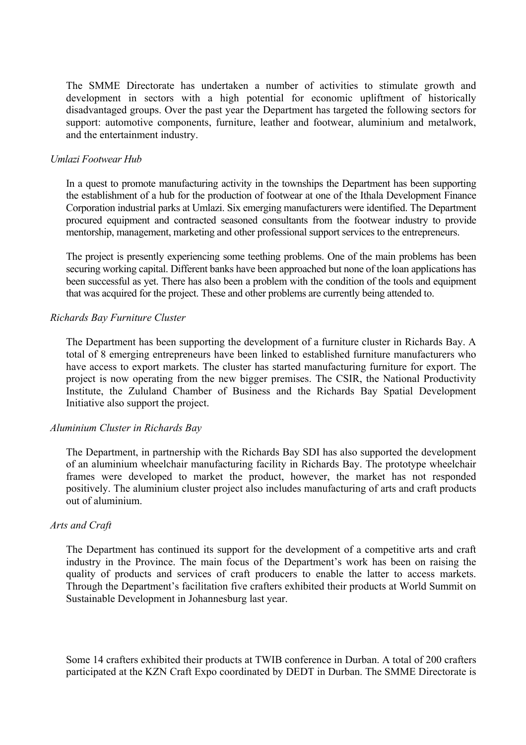The SMME Directorate has undertaken a number of activities to stimulate growth and development in sectors with a high potential for economic upliftment of historically disadvantaged groups. Over the past year the Department has targeted the following sectors for support: automotive components, furniture, leather and footwear, aluminium and metalwork, and the entertainment industry.

#### *Umlazi Footwear Hub*

In a quest to promote manufacturing activity in the townships the Department has been supporting the establishment of a hub for the production of footwear at one of the Ithala Development Finance Corporation industrial parks at Umlazi. Six emerging manufacturers were identified. The Department procured equipment and contracted seasoned consultants from the footwear industry to provide mentorship, management, marketing and other professional support services to the entrepreneurs.

The project is presently experiencing some teething problems. One of the main problems has been securing working capital. Different banks have been approached but none of the loan applications has been successful as yet. There has also been a problem with the condition of the tools and equipment that was acquired for the project. These and other problems are currently being attended to.

#### *Richards Bay Furniture Cluster*

The Department has been supporting the development of a furniture cluster in Richards Bay. A total of 8 emerging entrepreneurs have been linked to established furniture manufacturers who have access to export markets. The cluster has started manufacturing furniture for export. The project is now operating from the new bigger premises. The CSIR, the National Productivity Institute, the Zululand Chamber of Business and the Richards Bay Spatial Development Initiative also support the project.

#### *Aluminium Cluster in Richards Bay*

The Department, in partnership with the Richards Bay SDI has also supported the development of an aluminium wheelchair manufacturing facility in Richards Bay. The prototype wheelchair frames were developed to market the product, however, the market has not responded positively. The aluminium cluster project also includes manufacturing of arts and craft products out of aluminium.

#### *Arts and Craft*

The Department has continued its support for the development of a competitive arts and craft industry in the Province. The main focus of the Department's work has been on raising the quality of products and services of craft producers to enable the latter to access markets. Through the Department's facilitation five crafters exhibited their products at World Summit on Sustainable Development in Johannesburg last year.

Some 14 crafters exhibited their products at TWIB conference in Durban. A total of 200 crafters participated at the KZN Craft Expo coordinated by DEDT in Durban. The SMME Directorate is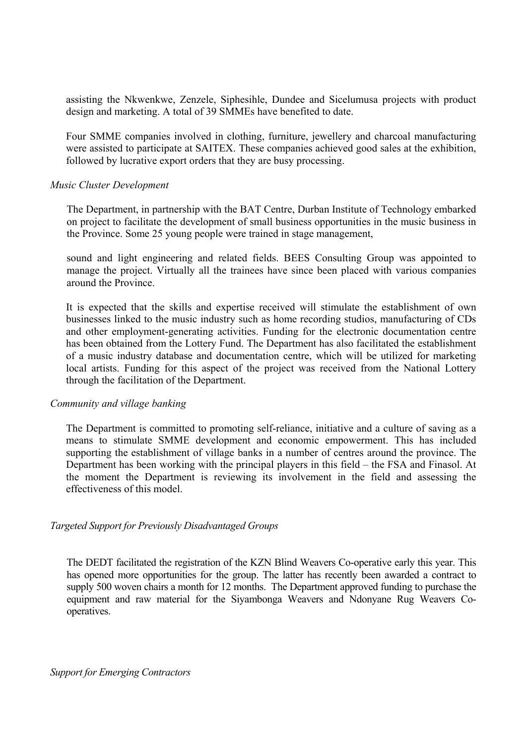assisting the Nkwenkwe, Zenzele, Siphesihle, Dundee and Sicelumusa projects with product design and marketing. A total of 39 SMMEs have benefited to date.

Four SMME companies involved in clothing, furniture, jewellery and charcoal manufacturing were assisted to participate at SAITEX. These companies achieved good sales at the exhibition, followed by lucrative export orders that they are busy processing.

#### *Music Cluster Development*

The Department, in partnership with the BAT Centre, Durban Institute of Technology embarked on project to facilitate the development of small business opportunities in the music business in the Province. Some 25 young people were trained in stage management,

sound and light engineering and related fields. BEES Consulting Group was appointed to manage the project. Virtually all the trainees have since been placed with various companies around the Province.

It is expected that the skills and expertise received will stimulate the establishment of own businesses linked to the music industry such as home recording studios, manufacturing of CDs and other employment-generating activities. Funding for the electronic documentation centre has been obtained from the Lottery Fund. The Department has also facilitated the establishment of a music industry database and documentation centre, which will be utilized for marketing local artists. Funding for this aspect of the project was received from the National Lottery through the facilitation of the Department.

#### *Community and village banking*

The Department is committed to promoting self-reliance, initiative and a culture of saving as a means to stimulate SMME development and economic empowerment. This has included supporting the establishment of village banks in a number of centres around the province. The Department has been working with the principal players in this field – the FSA and Finasol. At the moment the Department is reviewing its involvement in the field and assessing the effectiveness of this model.

#### *Targeted Support for Previously Disadvantaged Groups*

The DEDT facilitated the registration of the KZN Blind Weavers Co-operative early this year. This has opened more opportunities for the group. The latter has recently been awarded a contract to supply 500 woven chairs a month for 12 months. The Department approved funding to purchase the equipment and raw material for the Siyambonga Weavers and Ndonyane Rug Weavers Cooperatives.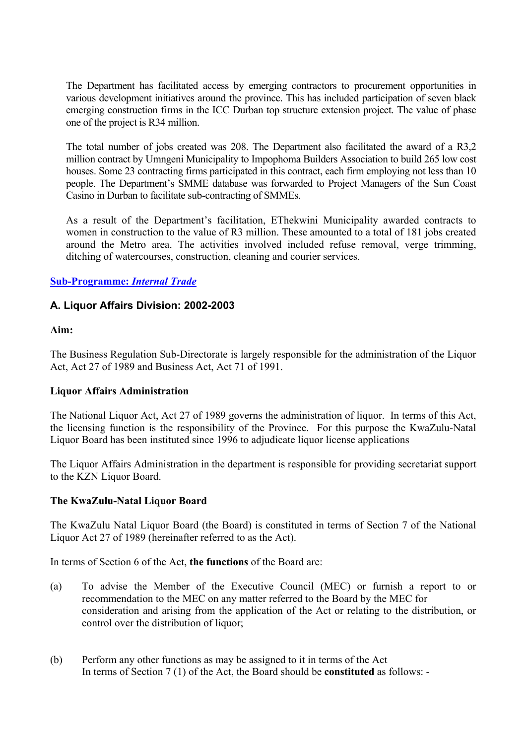The Department has facilitated access by emerging contractors to procurement opportunities in various development initiatives around the province. This has included participation of seven black emerging construction firms in the ICC Durban top structure extension project. The value of phase one of the project is R34 million.

The total number of jobs created was 208. The Department also facilitated the award of a R3,2 million contract by Umngeni Municipality to Impophoma Builders Association to build 265 low cost houses. Some 23 contracting firms participated in this contract, each firm employing not less than 10 people. The Department's SMME database was forwarded to Project Managers of the Sun Coast Casino in Durban to facilitate sub-contracting of SMMEs.

As a result of the Department's facilitation, EThekwini Municipality awarded contracts to women in construction to the value of R3 million. These amounted to a total of 181 jobs created around the Metro area. The activities involved included refuse removal, verge trimming, ditching of watercourses, construction, cleaning and courier services.

## **Sub-Programme:** *Internal Trade*

### **A. Liquor Affairs Division: 2002-2003**

### **Aim:**

The Business Regulation Sub-Directorate is largely responsible for the administration of the Liquor Act, Act 27 of 1989 and Business Act, Act 71 of 1991.

### **Liquor Affairs Administration**

The National Liquor Act, Act 27 of 1989 governs the administration of liquor. In terms of this Act, the licensing function is the responsibility of the Province. For this purpose the KwaZulu-Natal Liquor Board has been instituted since 1996 to adjudicate liquor license applications

The Liquor Affairs Administration in the department is responsible for providing secretariat support to the KZN Liquor Board.

### **The KwaZulu-Natal Liquor Board**

The KwaZulu Natal Liquor Board (the Board) is constituted in terms of Section 7 of the National Liquor Act 27 of 1989 (hereinafter referred to as the Act).

In terms of Section 6 of the Act, **the functions** of the Board are:

- (a) To advise the Member of the Executive Council (MEC) or furnish a report to or recommendation to the MEC on any matter referred to the Board by the MEC for consideration and arising from the application of the Act or relating to the distribution, or control over the distribution of liquor;
- (b) Perform any other functions as may be assigned to it in terms of the Act In terms of Section 7 (1) of the Act, the Board should be **constituted** as follows: -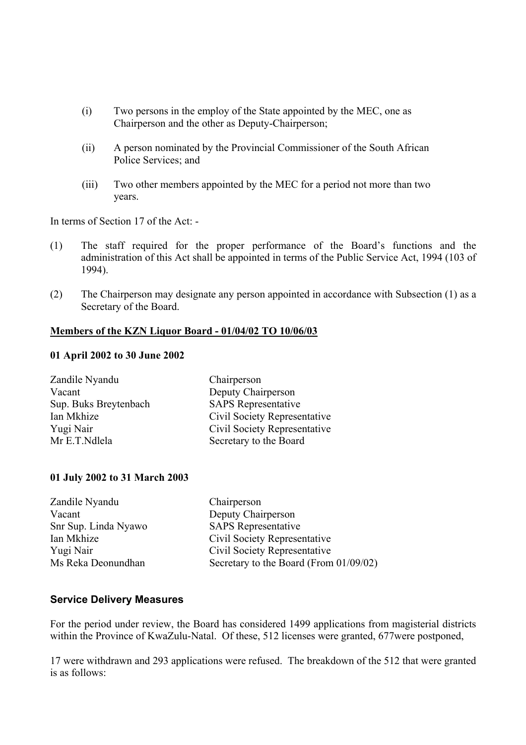- (i) Two persons in the employ of the State appointed by the MEC, one as Chairperson and the other as Deputy-Chairperson;
- (ii) A person nominated by the Provincial Commissioner of the South African Police Services; and
- (iii) Two other members appointed by the MEC for a period not more than two years.

In terms of Section 17 of the Act: -

- (1) The staff required for the proper performance of the Board's functions and the administration of this Act shall be appointed in terms of the Public Service Act, 1994 (103 of 1994).
- (2) The Chairperson may designate any person appointed in accordance with Subsection (1) as a Secretary of the Board.

#### **Members of the KZN Liquor Board - 01/04/02 TO 10/06/03**

#### **01 April 2002 to 30 June 2002**

| Zandile Nyandu        | Chairperson                  |
|-----------------------|------------------------------|
| Vacant                | Deputy Chairperson           |
| Sup. Buks Breytenbach | <b>SAPS</b> Representative   |
| Ian Mkhize            | Civil Society Representative |
| Yugi Nair             | Civil Society Representative |
| Mr E.T.Ndlela         | Secretary to the Board       |

#### **01 July 2002 to 31 March 2003**

| Zandile Nyandu       | Chairperson                            |
|----------------------|----------------------------------------|
| Vacant               | Deputy Chairperson                     |
| Snr Sup. Linda Nyawo | <b>SAPS</b> Representative             |
| Ian Mkhize           | Civil Society Representative           |
| Yugi Nair            | Civil Society Representative           |
| Ms Reka Deonundhan   | Secretary to the Board (From 01/09/02) |

#### **Service Delivery Measures**

For the period under review, the Board has considered 1499 applications from magisterial districts within the Province of KwaZulu-Natal. Of these, 512 licenses were granted, 677were postponed,

17 were withdrawn and 293 applications were refused. The breakdown of the 512 that were granted is as follows: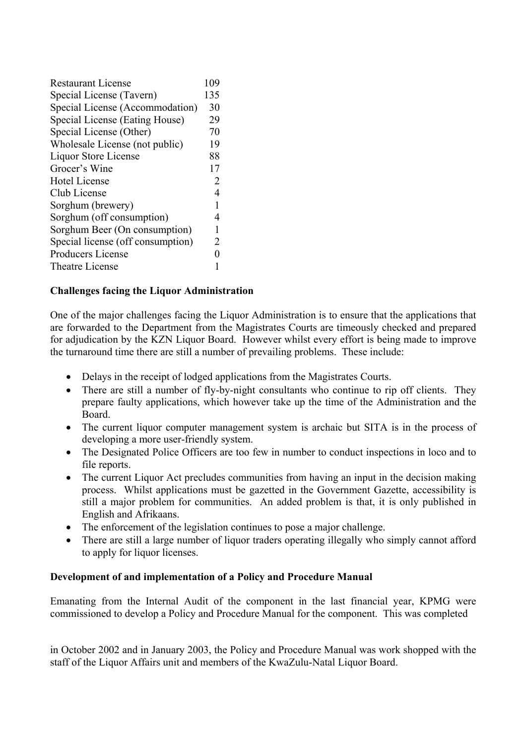| <b>Restaurant License</b>         | 109 |
|-----------------------------------|-----|
| Special License (Tavern)          | 135 |
| Special License (Accommodation)   | 30  |
| Special License (Eating House)    | 29  |
| Special License (Other)           | 70  |
| Wholesale License (not public)    | 19  |
| Liquor Store License              | 88  |
| Grocer's Wine                     | 17  |
| <b>Hotel License</b>              | 2   |
| Club License                      | 4   |
| Sorghum (brewery)                 | 1   |
| Sorghum (off consumption)         | 4   |
| Sorghum Beer (On consumption)     | 1   |
| Special license (off consumption) | 2   |
| Producers License                 |     |
| Theatre License                   |     |

## **Challenges facing the Liquor Administration**

One of the major challenges facing the Liquor Administration is to ensure that the applications that are forwarded to the Department from the Magistrates Courts are timeously checked and prepared for adjudication by the KZN Liquor Board. However whilst every effort is being made to improve the turnaround time there are still a number of prevailing problems. These include:

- Delays in the receipt of lodged applications from the Magistrates Courts.
- There are still a number of fly-by-night consultants who continue to rip off clients. They prepare faulty applications, which however take up the time of the Administration and the Board.
- The current liquor computer management system is archaic but SITA is in the process of developing a more user-friendly system.
- The Designated Police Officers are too few in number to conduct inspections in loco and to file reports.
- The current Liquor Act precludes communities from having an input in the decision making process. Whilst applications must be gazetted in the Government Gazette, accessibility is still a major problem for communities. An added problem is that, it is only published in English and Afrikaans.
- The enforcement of the legislation continues to pose a major challenge.
- There are still a large number of liquor traders operating illegally who simply cannot afford to apply for liquor licenses.

### **Development of and implementation of a Policy and Procedure Manual**

Emanating from the Internal Audit of the component in the last financial year, KPMG were commissioned to develop a Policy and Procedure Manual for the component. This was completed

in October 2002 and in January 2003, the Policy and Procedure Manual was work shopped with the staff of the Liquor Affairs unit and members of the KwaZulu-Natal Liquor Board.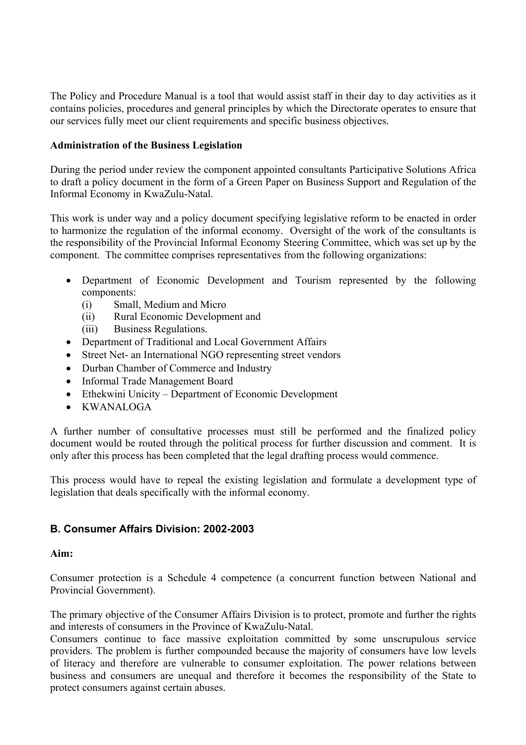The Policy and Procedure Manual is a tool that would assist staff in their day to day activities as it contains policies, procedures and general principles by which the Directorate operates to ensure that our services fully meet our client requirements and specific business objectives.

#### **Administration of the Business Legislation**

During the period under review the component appointed consultants Participative Solutions Africa to draft a policy document in the form of a Green Paper on Business Support and Regulation of the Informal Economy in KwaZulu-Natal.

This work is under way and a policy document specifying legislative reform to be enacted in order to harmonize the regulation of the informal economy. Oversight of the work of the consultants is the responsibility of the Provincial Informal Economy Steering Committee, which was set up by the component. The committee comprises representatives from the following organizations:

- Department of Economic Development and Tourism represented by the following components:
	- (i) Small, Medium and Micro
	- (ii) Rural Economic Development and
	- (iii) Business Regulations.
- Department of Traditional and Local Government Affairs
- Street Net- an International NGO representing street vendors
- Durban Chamber of Commerce and Industry
- Informal Trade Management Board
- Ethekwini Unicity Department of Economic Development
- KWANALOGA

A further number of consultative processes must still be performed and the finalized policy document would be routed through the political process for further discussion and comment. It is only after this process has been completed that the legal drafting process would commence.

This process would have to repeal the existing legislation and formulate a development type of legislation that deals specifically with the informal economy.

### **B. Consumer Affairs Division: 2002-2003**

#### **Aim:**

Consumer protection is a Schedule 4 competence (a concurrent function between National and Provincial Government).

The primary objective of the Consumer Affairs Division is to protect, promote and further the rights and interests of consumers in the Province of KwaZulu-Natal.

Consumers continue to face massive exploitation committed by some unscrupulous service providers. The problem is further compounded because the majority of consumers have low levels of literacy and therefore are vulnerable to consumer exploitation. The power relations between business and consumers are unequal and therefore it becomes the responsibility of the State to protect consumers against certain abuses.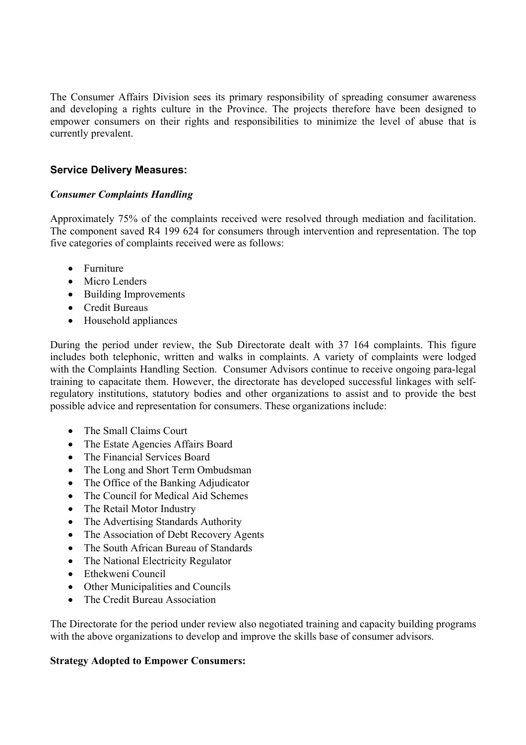The Consumer Affairs Division sees its primary responsibility of spreading consumer awareness and developing a rights culture in the Province. The projects therefore have been designed to empower consumers on their rights and responsibilities to minimize the level of abuse that is currently prevalent.

### **Service Delivery Measures:**

### *Consumer Complaints Handling*

Approximately 75% of the complaints received were resolved through mediation and facilitation. The component saved R4 199 624 for consumers through intervention and representation. The top five categories of complaints received were as follows:

- Furniture
- Micro Lenders
- Building Improvements
- Credit Bureaus
- Household appliances

During the period under review, the Sub Directorate dealt with 37 164 complaints. This figure includes both telephonic, written and walks in complaints. A variety of complaints were lodged with the Complaints Handling Section. Consumer Advisors continue to receive ongoing para-legal training to capacitate them. However, the directorate has developed successful linkages with selfregulatory institutions, statutory bodies and other organizations to assist and to provide the best possible advice and representation for consumers. These organizations include:

- The Small Claims Court
- The Estate Agencies Affairs Board
- The Financial Services Board
- The Long and Short Term Ombudsman
- The Office of the Banking Adjudicator
- The Council for Medical Aid Schemes
- The Retail Motor Industry
- The Advertising Standards Authority
- The Association of Debt Recovery Agents
- The South African Bureau of Standards
- The National Electricity Regulator
- Ethekweni Council
- Other Municipalities and Councils
- The Credit Bureau Association

The Directorate for the period under review also negotiated training and capacity building programs with the above organizations to develop and improve the skills base of consumer advisors.

### **Strategy Adopted to Empower Consumers:**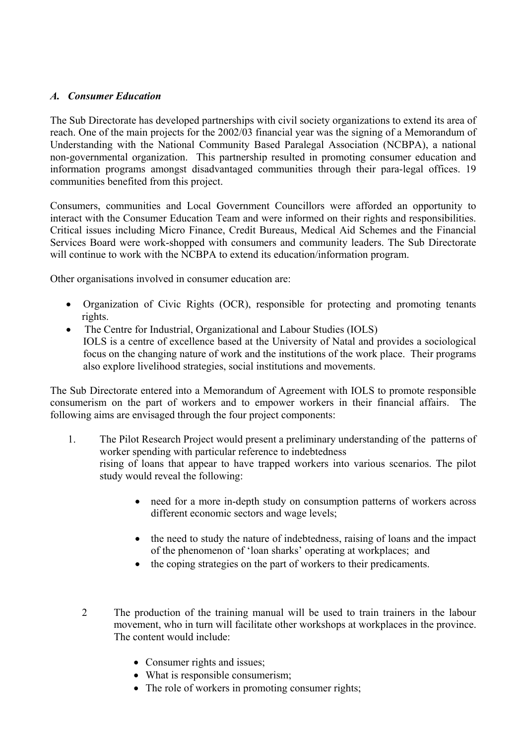### *A. Consumer Education*

The Sub Directorate has developed partnerships with civil society organizations to extend its area of reach. One of the main projects for the 2002/03 financial year was the signing of a Memorandum of Understanding with the National Community Based Paralegal Association (NCBPA), a national non-governmental organization. This partnership resulted in promoting consumer education and information programs amongst disadvantaged communities through their para-legal offices. 19 communities benefited from this project.

Consumers, communities and Local Government Councillors were afforded an opportunity to interact with the Consumer Education Team and were informed on their rights and responsibilities. Critical issues including Micro Finance, Credit Bureaus, Medical Aid Schemes and the Financial Services Board were work-shopped with consumers and community leaders. The Sub Directorate will continue to work with the NCBPA to extend its education/information program.

Other organisations involved in consumer education are:

- Organization of Civic Rights (OCR), responsible for protecting and promoting tenants rights.
- The Centre for Industrial, Organizational and Labour Studies (IOLS) IOLS is a centre of excellence based at the University of Natal and provides a sociological focus on the changing nature of work and the institutions of the work place. Their programs also explore livelihood strategies, social institutions and movements.

The Sub Directorate entered into a Memorandum of Agreement with IOLS to promote responsible consumerism on the part of workers and to empower workers in their financial affairs. The following aims are envisaged through the four project components:

- 1. The Pilot Research Project would present a preliminary understanding of the patterns of worker spending with particular reference to indebtedness rising of loans that appear to have trapped workers into various scenarios. The pilot study would reveal the following:
	- need for a more in-depth study on consumption patterns of workers across different economic sectors and wage levels;
	- the need to study the nature of indebtedness, raising of loans and the impact of the phenomenon of 'loan sharks' operating at workplaces; and
	- the coping strategies on the part of workers to their predicaments.
	- 2 The production of the training manual will be used to train trainers in the labour movement, who in turn will facilitate other workshops at workplaces in the province. The content would include:
		- Consumer rights and issues;
		- What is responsible consumerism;
		- The role of workers in promoting consumer rights;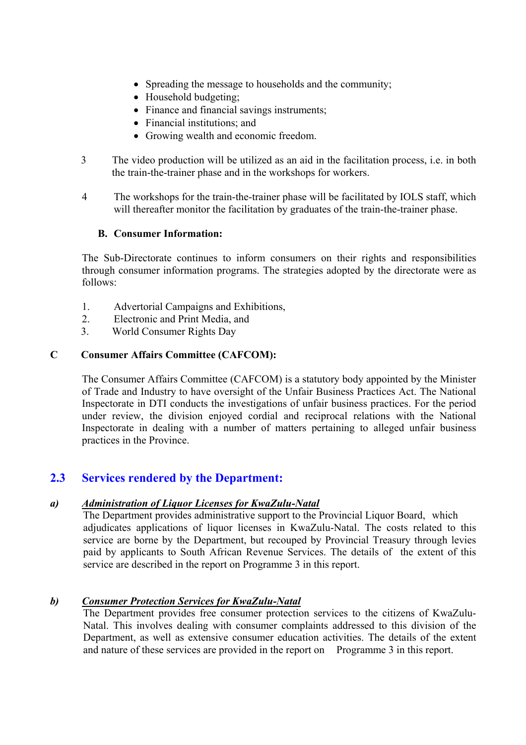- Spreading the message to households and the community;
- Household budgeting;
- Finance and financial savings instruments;
- Financial institutions: and
- Growing wealth and economic freedom.
- 3 The video production will be utilized as an aid in the facilitation process, i.e. in both the train-the-trainer phase and in the workshops for workers.
- 4 The workshops for the train-the-trainer phase will be facilitated by IOLS staff, which will thereafter monitor the facilitation by graduates of the train-the-trainer phase.

### **B. Consumer Information:**

The Sub-Directorate continues to inform consumers on their rights and responsibilities through consumer information programs. The strategies adopted by the directorate were as follows:

- 1. Advertorial Campaigns and Exhibitions,
- 2. Electronic and Print Media, and
- 3. World Consumer Rights Day

## **C Consumer Affairs Committee (CAFCOM):**

The Consumer Affairs Committee (CAFCOM) is a statutory body appointed by the Minister of Trade and Industry to have oversight of the Unfair Business Practices Act. The National Inspectorate in DTI conducts the investigations of unfair business practices. For the period under review, the division enjoyed cordial and reciprocal relations with the National Inspectorate in dealing with a number of matters pertaining to alleged unfair business practices in the Province.

# **2.3 Services rendered by the Department:**

### *a) Administration of Liquor Licenses for KwaZulu-Natal*

 The Department provides administrative support to the Provincial Liquor Board, which adjudicates applications of liquor licenses in KwaZulu-Natal. The costs related to this service are borne by the Department, but recouped by Provincial Treasury through levies paid by applicants to South African Revenue Services. The details of the extent of this service are described in the report on Programme 3 in this report.

## *b) Consumer Protection Services for KwaZulu-Natal*

The Department provides free consumer protection services to the citizens of KwaZulu-Natal. This involves dealing with consumer complaints addressed to this division of the Department, as well as extensive consumer education activities. The details of the extent and nature of these services are provided in the report on Programme 3 in this report.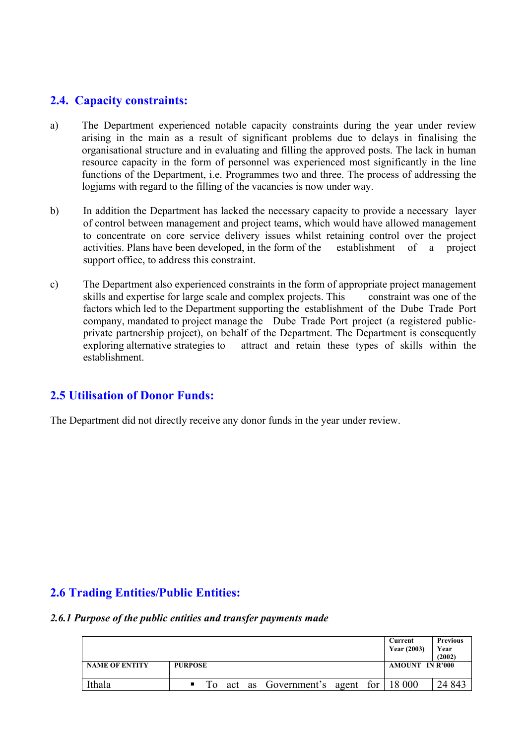# **2.4. Capacity constraints:**

- a) The Department experienced notable capacity constraints during the year under review arising in the main as a result of significant problems due to delays in finalising the organisational structure and in evaluating and filling the approved posts. The lack in human resource capacity in the form of personnel was experienced most significantly in the line functions of the Department, i.e. Programmes two and three. The process of addressing the logjams with regard to the filling of the vacancies is now under way.
- b) In addition the Department has lacked the necessary capacity to provide a necessary layer of control between management and project teams, which would have allowed management to concentrate on core service delivery issues whilst retaining control over the project activities. Plans have been developed, in the form of the establishment of a project support office, to address this constraint.
- c) The Department also experienced constraints in the form of appropriate project management skills and expertise for large scale and complex projects. This constraint was one of the factors which led to the Department supporting the establishment of the Dube Trade Port company, mandated to project manage the Dube Trade Port project (a registered publicprivate partnership project), on behalf of the Department. The Department is consequently exploring alternative strategies to attract and retain these types of skills within the establishment.

## **2.5 Utilisation of Donor Funds:**

The Department did not directly receive any donor funds in the year under review.

# **2.6 Trading Entities/Public Entities:**

#### *2.6.1 Purpose of the public entities and transfer payments made*

|                       |                                                | Current<br><b>Year (2003)</b> | <b>Previous</b><br>Year<br>(2002) |
|-----------------------|------------------------------------------------|-------------------------------|-----------------------------------|
| <b>NAME OF ENTITY</b> | <b>PURPOSE</b>                                 | <b>AMOUNT IN R'000</b>        |                                   |
| Ithala                | To act as Government's agent for 18 000<br>. . |                               | 24 843                            |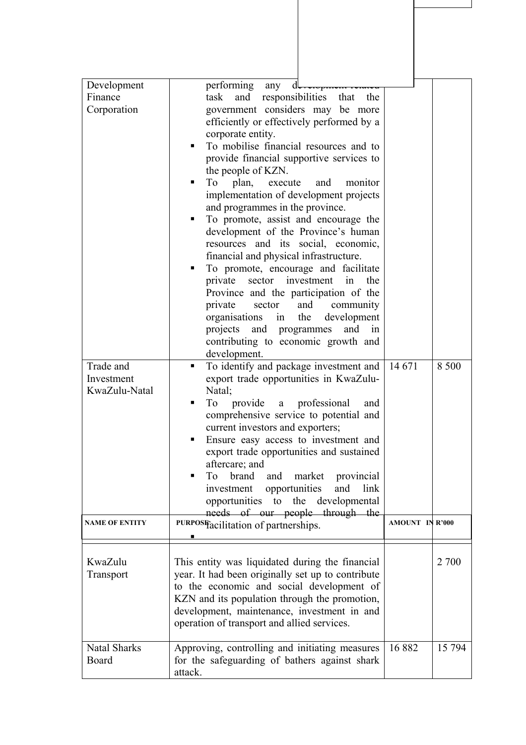| Development           | performing<br>any<br>d                                                                     |                        |        |
|-----------------------|--------------------------------------------------------------------------------------------|------------------------|--------|
| Finance               | responsibilities<br>task<br>and<br>that<br>the                                             |                        |        |
| Corporation           | government considers may be more                                                           |                        |        |
|                       | efficiently or effectively performed by a                                                  |                        |        |
|                       | corporate entity.                                                                          |                        |        |
|                       | To mobilise financial resources and to                                                     |                        |        |
|                       | provide financial supportive services to<br>the people of KZN.                             |                        |        |
|                       | plan,<br>and<br>monitor<br>To<br>execute                                                   |                        |        |
|                       | implementation of development projects                                                     |                        |        |
|                       | and programmes in the province.                                                            |                        |        |
|                       | To promote, assist and encourage the                                                       |                        |        |
|                       | development of the Province's human<br>resources and its social, economic,                 |                        |        |
|                       | financial and physical infrastructure.                                                     |                        |        |
|                       | To promote, encourage and facilitate                                                       |                        |        |
|                       | private<br>sector investment<br>the<br>in                                                  |                        |        |
|                       | Province and the participation of the                                                      |                        |        |
|                       | private<br>sector<br>and<br>community                                                      |                        |        |
|                       | organisations<br>the<br>development<br>in<br>projects<br>and<br>and<br>programmes<br>1n    |                        |        |
|                       | contributing to economic growth and                                                        |                        |        |
|                       | development.                                                                               |                        |        |
| Trade and             | To identify and package investment and<br>٠                                                | 14 671                 | 8 500  |
| Investment            | export trade opportunities in KwaZulu-                                                     |                        |        |
| KwaZulu-Natal         | Natal;<br>a professional<br>To<br>provide<br>and                                           |                        |        |
|                       | comprehensive service to potential and                                                     |                        |        |
|                       | current investors and exporters;                                                           |                        |        |
|                       | Ensure easy access to investment and                                                       |                        |        |
|                       | export trade opportunities and sustained                                                   |                        |        |
|                       | aftercare; and                                                                             |                        |        |
|                       | To<br>brand<br>and<br>market<br>provincial<br>investment opportunities<br>link<br>and      |                        |        |
|                       | opportunities to the developmental                                                         |                        |        |
|                       | needs of our people through the                                                            |                        |        |
| <b>NAME OF ENTITY</b> | PURPOSF <sub>acilitation</sub> of partnerships.                                            | <b>AMOUNT IN R'000</b> |        |
|                       |                                                                                            |                        |        |
| KwaZulu               | This entity was liquidated during the financial                                            |                        | 2 700  |
| Transport             | year. It had been originally set up to contribute                                          |                        |        |
|                       | to the economic and social development of                                                  |                        |        |
|                       | KZN and its population through the promotion,                                              |                        |        |
|                       | development, maintenance, investment in and<br>operation of transport and allied services. |                        |        |
|                       |                                                                                            |                        |        |
| <b>Natal Sharks</b>   | Approving, controlling and initiating measures                                             | 16882                  | 15 794 |
| Board                 | for the safeguarding of bathers against shark                                              |                        |        |
|                       | attack.                                                                                    |                        |        |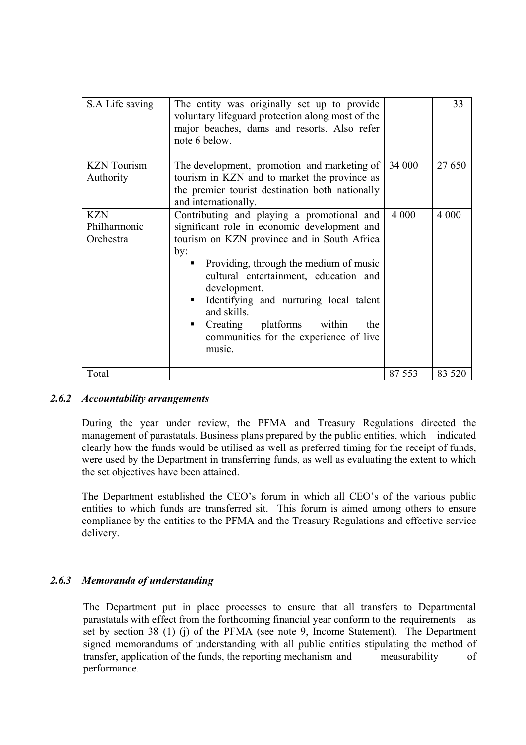| S.A Life saving                         | The entity was originally set up to provide<br>voluntary lifeguard protection along most of the<br>major beaches, dams and resorts. Also refer<br>note 6 below.                                                                                                                                                                                                                                         |         | 33      |
|-----------------------------------------|---------------------------------------------------------------------------------------------------------------------------------------------------------------------------------------------------------------------------------------------------------------------------------------------------------------------------------------------------------------------------------------------------------|---------|---------|
| <b>KZN</b> Tourism<br>Authority         | The development, promotion and marketing of<br>tourism in KZN and to market the province as<br>the premier tourist destination both nationally<br>and internationally.                                                                                                                                                                                                                                  | 34 000  | 27 650  |
| <b>KZN</b><br>Philharmonic<br>Orchestra | Contributing and playing a promotional and<br>significant role in economic development and<br>tourism on KZN province and in South Africa<br>by:<br>Providing, through the medium of music<br>cultural entertainment, education and<br>development.<br>Identifying and nurturing local talent<br>and skills.<br>Creating platforms<br>within<br>the<br>communities for the experience of live<br>music. | 4 0 0 0 | 4 0 0 0 |
| Total                                   |                                                                                                                                                                                                                                                                                                                                                                                                         | 87 553  | 83 5 20 |

#### *2.6.2 Accountability arrangements*

During the year under review, the PFMA and Treasury Regulations directed the management of parastatals. Business plans prepared by the public entities, which indicated clearly how the funds would be utilised as well as preferred timing for the receipt of funds, were used by the Department in transferring funds, as well as evaluating the extent to which the set objectives have been attained.

The Department established the CEO's forum in which all CEO's of the various public entities to which funds are transferred sit. This forum is aimed among others to ensure compliance by the entities to the PFMA and the Treasury Regulations and effective service delivery.

#### *2.6.3 Memoranda of understanding*

The Department put in place processes to ensure that all transfers to Departmental parastatals with effect from the forthcoming financial year conform to the requirements as set by section 38 (1) (j) of the PFMA (see note 9, Income Statement). The Department signed memorandums of understanding with all public entities stipulating the method of transfer, application of the funds, the reporting mechanism and measurability of performance.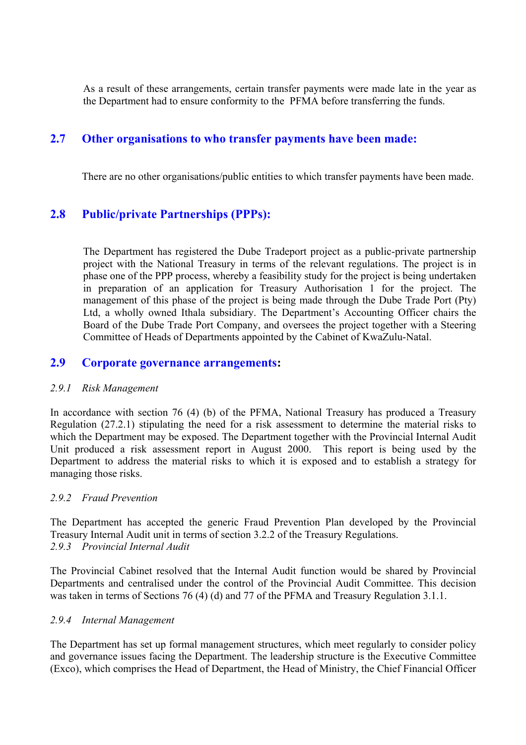As a result of these arrangements, certain transfer payments were made late in the year as the Department had to ensure conformity to the PFMA before transferring the funds.

# **2.7 Other organisations to who transfer payments have been made:**

There are no other organisations/public entities to which transfer payments have been made.

# **2.8 Public/private Partnerships (PPPs):**

The Department has registered the Dube Tradeport project as a public-private partnership project with the National Treasury in terms of the relevant regulations. The project is in phase one of the PPP process, whereby a feasibility study for the project is being undertaken in preparation of an application for Treasury Authorisation 1 for the project. The management of this phase of the project is being made through the Dube Trade Port (Pty) Ltd, a wholly owned Ithala subsidiary. The Department's Accounting Officer chairs the Board of the Dube Trade Port Company, and oversees the project together with a Steering Committee of Heads of Departments appointed by the Cabinet of KwaZulu-Natal.

## **2.9 Corporate governance arrangements:**

#### *2.9.1 Risk Management*

In accordance with section 76 (4) (b) of the PFMA, National Treasury has produced a Treasury Regulation (27.2.1) stipulating the need for a risk assessment to determine the material risks to which the Department may be exposed. The Department together with the Provincial Internal Audit Unit produced a risk assessment report in August 2000. This report is being used by the Department to address the material risks to which it is exposed and to establish a strategy for managing those risks.

#### *2.9.2 Fraud Prevention*

The Department has accepted the generic Fraud Prevention Plan developed by the Provincial Treasury Internal Audit unit in terms of section 3.2.2 of the Treasury Regulations. *2.9.3 Provincial Internal Audit* 

The Provincial Cabinet resolved that the Internal Audit function would be shared by Provincial Departments and centralised under the control of the Provincial Audit Committee. This decision was taken in terms of Sections 76 (4) (d) and 77 of the PFMA and Treasury Regulation 3.1.1.

#### *2.9.4 Internal Management*

The Department has set up formal management structures, which meet regularly to consider policy and governance issues facing the Department. The leadership structure is the Executive Committee (Exco), which comprises the Head of Department, the Head of Ministry, the Chief Financial Officer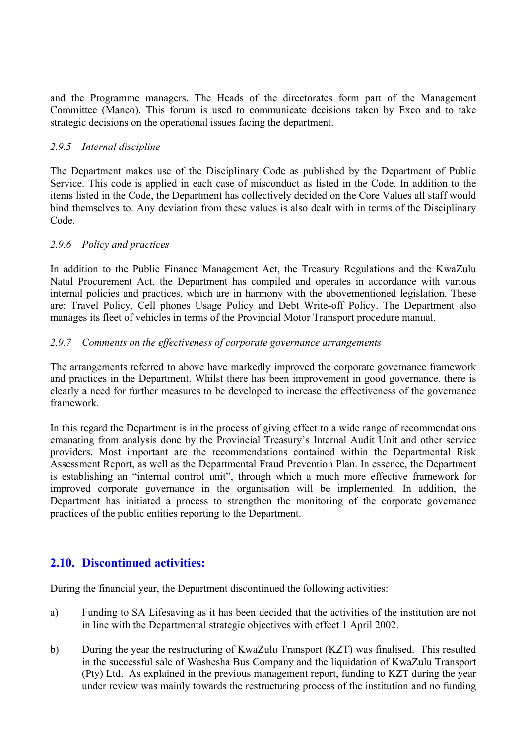and the Programme managers. The Heads of the directorates form part of the Management Committee (Manco). This forum is used to communicate decisions taken by Exco and to take strategic decisions on the operational issues facing the department.

### *2.9.5 Internal discipline*

The Department makes use of the Disciplinary Code as published by the Department of Public Service. This code is applied in each case of misconduct as listed in the Code. In addition to the items listed in the Code, the Department has collectively decided on the Core Values all staff would bind themselves to. Any deviation from these values is also dealt with in terms of the Disciplinary Code.

### *2.9.6 Policy and practices*

In addition to the Public Finance Management Act, the Treasury Regulations and the KwaZulu Natal Procurement Act, the Department has compiled and operates in accordance with various internal policies and practices, which are in harmony with the abovementioned legislation. These are: Travel Policy, Cell phones Usage Policy and Debt Write-off Policy. The Department also manages its fleet of vehicles in terms of the Provincial Motor Transport procedure manual.

#### *2.9.7 Comments on the effectiveness of corporate governance arrangements*

The arrangements referred to above have markedly improved the corporate governance framework and practices in the Department. Whilst there has been improvement in good governance, there is clearly a need for further measures to be developed to increase the effectiveness of the governance framework.

In this regard the Department is in the process of giving effect to a wide range of recommendations emanating from analysis done by the Provincial Treasury's Internal Audit Unit and other service providers. Most important are the recommendations contained within the Departmental Risk Assessment Report, as well as the Departmental Fraud Prevention Plan. In essence, the Department is establishing an "internal control unit", through which a much more effective framework for improved corporate governance in the organisation will be implemented. In addition, the Department has initiated a process to strengthen the monitoring of the corporate governance practices of the public entities reporting to the Department.

# **2.10. Discontinued activities:**

During the financial year, the Department discontinued the following activities:

- a) Funding to SA Lifesaving as it has been decided that the activities of the institution are not in line with the Departmental strategic objectives with effect 1 April 2002.
- b) During the year the restructuring of KwaZulu Transport (KZT) was finalised. This resulted in the successful sale of Washesha Bus Company and the liquidation of KwaZulu Transport (Pty) Ltd. As explained in the previous management report, funding to KZT during the year under review was mainly towards the restructuring process of the institution and no funding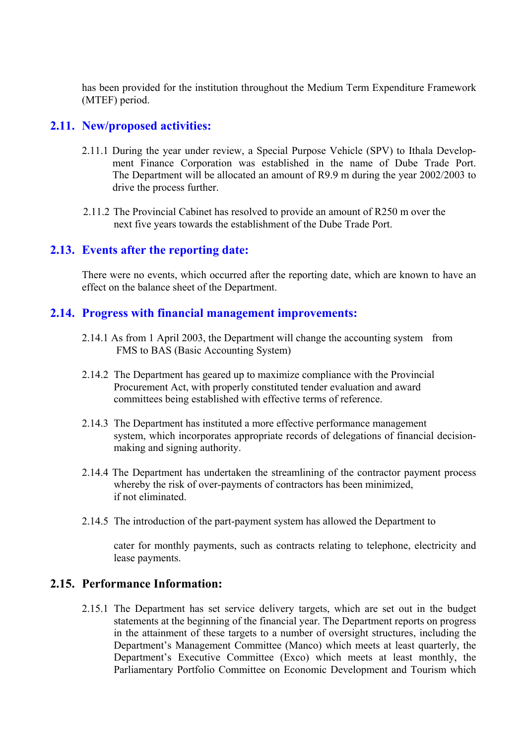has been provided for the institution throughout the Medium Term Expenditure Framework (MTEF) period.

### **2.11. New/proposed activities:**

- 2.11.1 During the year under review, a Special Purpose Vehicle (SPV) to Ithala Development Finance Corporation was established in the name of Dube Trade Port. The Department will be allocated an amount of R9.9 m during the year 2002/2003 to drive the process further.
- 2.11.2 The Provincial Cabinet has resolved to provide an amount of R250 m over the next five years towards the establishment of the Dube Trade Port.

## **2.13. Events after the reporting date:**

There were no events, which occurred after the reporting date, which are known to have an effect on the balance sheet of the Department.

## **2.14. Progress with financial management improvements:**

- 2.14.1 As from 1 April 2003, the Department will change the accounting system from FMS to BAS (Basic Accounting System)
- 2.14.2 The Department has geared up to maximize compliance with the Provincial Procurement Act, with properly constituted tender evaluation and award committees being established with effective terms of reference.
- 2.14.3 The Department has instituted a more effective performance management system, which incorporates appropriate records of delegations of financial decisionmaking and signing authority.
- 2.14.4 The Department has undertaken the streamlining of the contractor payment process whereby the risk of over-payments of contractors has been minimized, if not eliminated.
- 2.14.5 The introduction of the part-payment system has allowed the Department to

cater for monthly payments, such as contracts relating to telephone, electricity and lease payments.

## **2.15. Performance Information:**

2.15.1 The Department has set service delivery targets, which are set out in the budget statements at the beginning of the financial year. The Department reports on progress in the attainment of these targets to a number of oversight structures, including the Department's Management Committee (Manco) which meets at least quarterly, the Department's Executive Committee (Exco) which meets at least monthly, the Parliamentary Portfolio Committee on Economic Development and Tourism which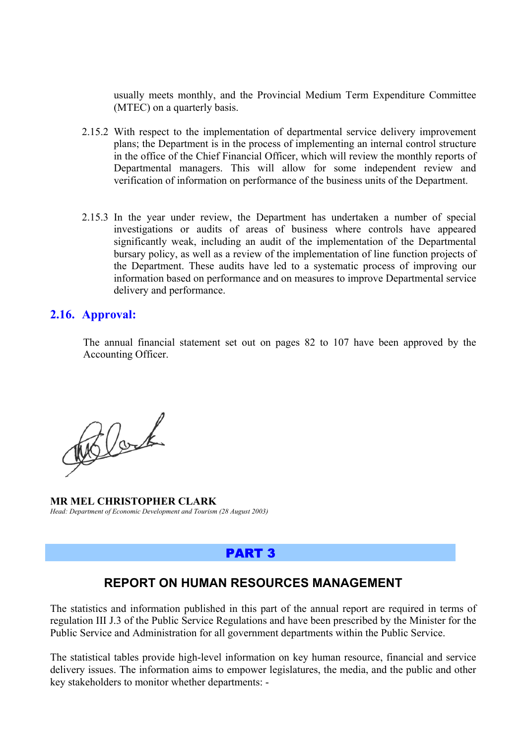usually meets monthly, and the Provincial Medium Term Expenditure Committee (MTEC) on a quarterly basis.

- 2.15.2 With respect to the implementation of departmental service delivery improvement plans; the Department is in the process of implementing an internal control structure in the office of the Chief Financial Officer, which will review the monthly reports of Departmental managers. This will allow for some independent review and verification of information on performance of the business units of the Department.
- 2.15.3 In the year under review, the Department has undertaken a number of special investigations or audits of areas of business where controls have appeared significantly weak, including an audit of the implementation of the Departmental bursary policy, as well as a review of the implementation of line function projects of the Department. These audits have led to a systematic process of improving our information based on performance and on measures to improve Departmental service delivery and performance.

### **2.16. Approval:**

The annual financial statement set out on pages 82 to 107 have been approved by the Accounting Officer.

Relate

**MR MEL CHRISTOPHER CLARK**  *Head: Department of Economic Development and Tourism (28 August 2003)* 

## PART 3

## **REPORT ON HUMAN RESOURCES MANAGEMENT**

The statistics and information published in this part of the annual report are required in terms of regulation III J.3 of the Public Service Regulations and have been prescribed by the Minister for the Public Service and Administration for all government departments within the Public Service.

The statistical tables provide high-level information on key human resource, financial and service delivery issues. The information aims to empower legislatures, the media, and the public and other key stakeholders to monitor whether departments: -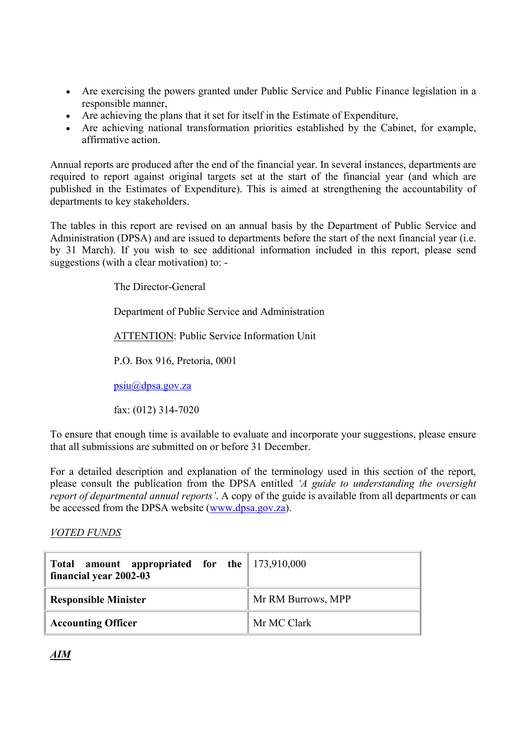- Are exercising the powers granted under Public Service and Public Finance legislation in a responsible manner,
- Are achieving the plans that it set for itself in the Estimate of Expenditure,
- Are achieving national transformation priorities established by the Cabinet, for example, affirmative action.

Annual reports are produced after the end of the financial year. In several instances, departments are required to report against original targets set at the start of the financial year (and which are published in the Estimates of Expenditure). This is aimed at strengthening the accountability of departments to key stakeholders.

The tables in this report are revised on an annual basis by the Department of Public Service and Administration (DPSA) and are issued to departments before the start of the next financial year (i.e. by 31 March). If you wish to see additional information included in this report, please send suggestions (with a clear motivation) to: -

The Director-General

Department of Public Service and Administration

ATTENTION: Public Service Information Unit

P.O. Box 916, Pretoria, 0001

psiu@dpsa.gov.za

fax: (012) 314-7020

To ensure that enough time is available to evaluate and incorporate your suggestions, please ensure that all submissions are submitted on or before 31 December.

For a detailed description and explanation of the terminology used in this section of the report, please consult the publication from the DPSA entitled *'A guide to understanding the oversight report of departmental annual reports'*. A copy of the guide is available from all departments or can be accessed from the DPSA website (www.dpsa.gov.za).

### *VOTED FUNDS*

| Total amount appropriated for the 173,910,000<br>financial year 2002-03 |  |                    |
|-------------------------------------------------------------------------|--|--------------------|
| <b>Responsible Minister</b>                                             |  | Mr RM Burrows, MPP |
| <b>Accounting Officer</b>                                               |  | Mr MC Clark        |

*AIM*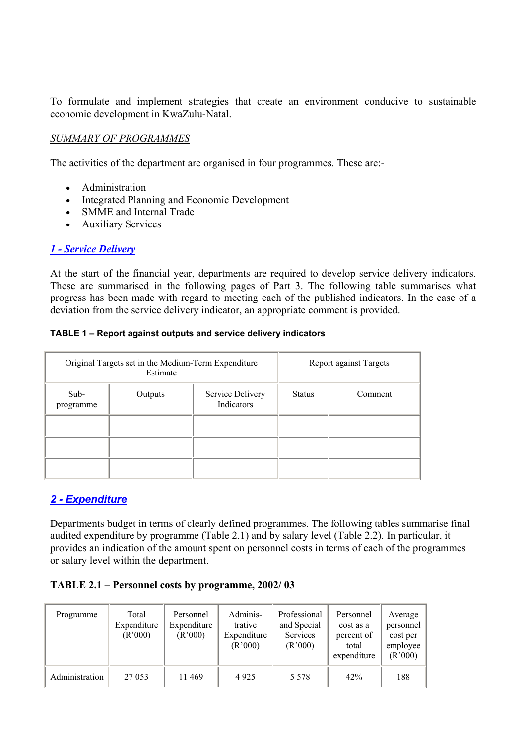To formulate and implement strategies that create an environment conducive to sustainable economic development in KwaZulu-Natal.

### *SUMMARY OF PROGRAMMES*

The activities of the department are organised in four programmes. These are:-

- Administration
- Integrated Planning and Economic Development
- SMME and Internal Trade
- Auxiliary Services

#### *1 - Service Delivery*

At the start of the financial year, departments are required to develop service delivery indicators. These are summarised in the following pages of Part 3. The following table summarises what progress has been made with regard to meeting each of the published indicators. In the case of a deviation from the service delivery indicator, an appropriate comment is provided.

#### **TABLE 1 – Report against outputs and service delivery indicators**

|                   | Original Targets set in the Medium-Term Expenditure<br>Estimate | Report against Targets         |  |         |
|-------------------|-----------------------------------------------------------------|--------------------------------|--|---------|
| Sub-<br>programme | Outputs                                                         | Service Delivery<br>Indicators |  | Comment |
|                   |                                                                 |                                |  |         |
|                   |                                                                 |                                |  |         |
|                   |                                                                 |                                |  |         |

## *2 - Expenditure*

Departments budget in terms of clearly defined programmes. The following tables summarise final audited expenditure by programme (Table 2.1) and by salary level (Table 2.2). In particular, it provides an indication of the amount spent on personnel costs in terms of each of the programmes or salary level within the department.

### **TABLE 2.1 – Personnel costs by programme, 2002/ 03**

| Programme      | Total<br>Expenditure<br>(R'000) | Personnel<br>Expenditure<br>(R'000) | Adminis-<br>trative<br>Expenditure<br>(R'000) | Professional<br>and Special<br>Services<br>(R'000) | Personnel<br>cost as a<br>percent of<br>total<br>expenditure | Average<br>personnel<br>cost per<br>employee<br>(R'000) |
|----------------|---------------------------------|-------------------------------------|-----------------------------------------------|----------------------------------------------------|--------------------------------------------------------------|---------------------------------------------------------|
| Administration | 27 053                          | 11469                               | 4925                                          | 5 5 7 8                                            | 42%                                                          | 188                                                     |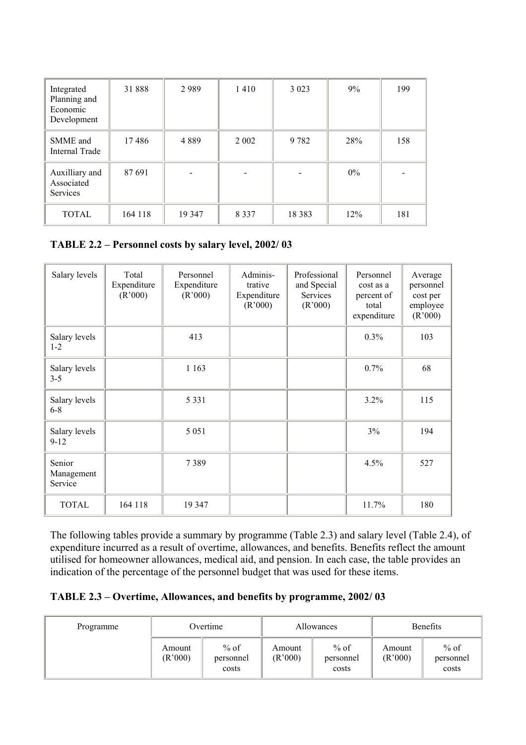| Integrated<br>Planning and<br>Economic<br>Development | 31888   | 2989   | 1410    | 3 0 2 3  | 9%    | 199 |
|-------------------------------------------------------|---------|--------|---------|----------|-------|-----|
| SMME and<br>Internal Trade                            | 17486   | 4889   | 2 0 0 2 | 9782     | 28%   | 158 |
| Auxilliary and<br>Associated<br><b>Services</b>       | 87691   |        |         |          | $0\%$ |     |
| <b>TOTAL</b>                                          | 164 118 | 19 347 | 8 3 3 7 | 18 3 8 3 | 12%   | 181 |

## **TABLE 2.2 – Personnel costs by salary level, 2002/ 03**

| Salary levels                   | Total<br>Expenditure<br>(R'000) | Personnel<br>Expenditure<br>(R'000) | Adminis-<br>trative<br>Expenditure<br>(R'000) | Professional<br>and Special<br>Services<br>(R'000) | Personnel<br>cost as a<br>percent of<br>total<br>expenditure | Average<br>personnel<br>cost per<br>employee<br>(R'000) |
|---------------------------------|---------------------------------|-------------------------------------|-----------------------------------------------|----------------------------------------------------|--------------------------------------------------------------|---------------------------------------------------------|
| Salary levels<br>$1 - 2$        |                                 | 413                                 |                                               |                                                    | 0.3%                                                         | 103                                                     |
| Salary levels<br>$3 - 5$        |                                 | 1 1 6 3                             |                                               |                                                    | 0.7%                                                         | 68                                                      |
| Salary levels<br>$6 - 8$        |                                 | 5 3 3 1                             |                                               |                                                    | $3.2\%$                                                      | 115                                                     |
| Salary levels<br>$9 - 12$       |                                 | 5 0 5 1                             |                                               |                                                    | 3%                                                           | 194                                                     |
| Senior<br>Management<br>Service |                                 | 7389                                |                                               |                                                    | 4.5%                                                         | 527                                                     |
| <b>TOTAL</b>                    | 164 118                         | 19 347                              |                                               |                                                    | 11.7%                                                        | 180                                                     |

The following tables provide a summary by programme (Table 2.3) and salary level (Table 2.4), of expenditure incurred as a result of overtime, allowances, and benefits. Benefits reflect the amount utilised for homeowner allowances, medical aid, and pension. In each case, the table provides an indication of the percentage of the personnel budget that was used for these items.

### **TABLE 2.3 – Overtime, Allowances, and benefits by programme, 2002/ 03**

| Programme | Overtime          |                            | Allowances        |                              | Benefits          |                              |
|-----------|-------------------|----------------------------|-------------------|------------------------------|-------------------|------------------------------|
|           | Amount<br>(R'000) | % of<br>personnel<br>costs | Amount<br>(R'000) | $%$ of<br>personnel<br>costs | Amount<br>(R'000) | $%$ of<br>personnel<br>costs |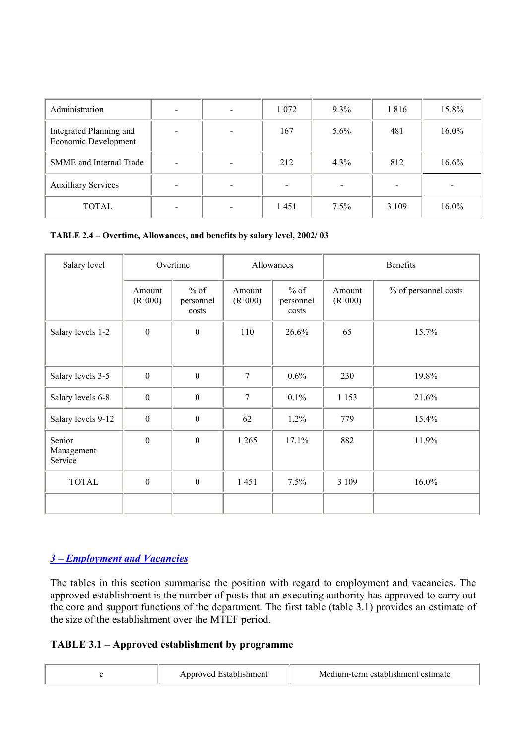| Administration                                  | $\qquad \qquad \blacksquare$ | 1 0 7 2 | $9.3\%$ | 1816    | 15.8%    |
|-------------------------------------------------|------------------------------|---------|---------|---------|----------|
| Integrated Planning and<br>Economic Development | $\qquad \qquad \blacksquare$ | 167     | 5.6%    | 481     | $16.0\%$ |
| SMME and Internal Trade                         | $\overline{\phantom{a}}$     | 212     | $4.3\%$ | 812     | $16.6\%$ |
| <b>Auxilliary Services</b>                      | $\overline{\phantom{a}}$     |         |         |         |          |
| TOTAL                                           | $\overline{\phantom{a}}$     | 1451    | $7.5\%$ | 3 1 0 9 | $16.0\%$ |

**TABLE 2.4 – Overtime, Allowances, and benefits by salary level, 2002/ 03** 

| Salary level                    | Overtime          |                              |                   | Allowances                   |                   | <b>Benefits</b>      |  |
|---------------------------------|-------------------|------------------------------|-------------------|------------------------------|-------------------|----------------------|--|
|                                 | Amount<br>(R'000) | $%$ of<br>personnel<br>costs | Amount<br>(R'000) | $%$ of<br>personnel<br>costs | Amount<br>(R'000) | % of personnel costs |  |
| Salary levels 1-2               | $\overline{0}$    | $\boldsymbol{0}$             | 110               | 26.6%                        | 65                | 15.7%                |  |
| Salary levels 3-5               | $\mathbf{0}$      | $\boldsymbol{0}$             | 7                 | 0.6%                         | 230               | 19.8%                |  |
| Salary levels 6-8               | $\mathbf{0}$      | $\boldsymbol{0}$             | 7                 | 0.1%                         | 1 1 5 3           | 21.6%                |  |
| Salary levels 9-12              | $\boldsymbol{0}$  | $\boldsymbol{0}$             | 62                | 1.2%                         | 779               | 15.4%                |  |
| Senior<br>Management<br>Service | $\boldsymbol{0}$  | $\boldsymbol{0}$             | 1 2 6 5           | 17.1%                        | 882               | 11.9%                |  |
| <b>TOTAL</b>                    | $\boldsymbol{0}$  | $\boldsymbol{0}$             | 1451              | 7.5%                         | 3 1 0 9           | 16.0%                |  |
|                                 |                   |                              |                   |                              |                   |                      |  |

## *3 – Employment and Vacancies*

The tables in this section summarise the position with regard to employment and vacancies. The approved establishment is the number of posts that an executing authority has approved to carry out the core and support functions of the department. The first table (table 3.1) provides an estimate of the size of the establishment over the MTEF period.

## **TABLE 3.1 – Approved establishment by programme**

|  | Approved Establishment | Medium-term establishment estimate |
|--|------------------------|------------------------------------|
|--|------------------------|------------------------------------|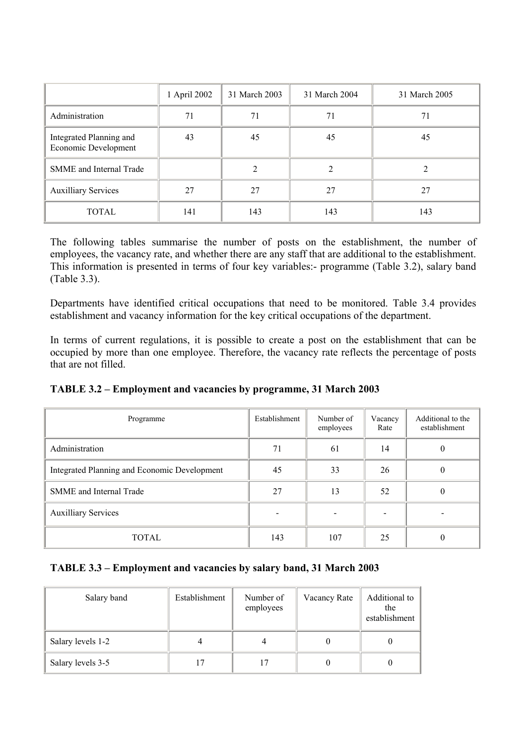|                                                 | 1 April 2002 | 31 March 2003 | 31 March 2004 | 31 March 2005 |
|-------------------------------------------------|--------------|---------------|---------------|---------------|
| Administration                                  | 71           | 71            | 71            | 71            |
| Integrated Planning and<br>Economic Development | 43           | 45            | 45            | 45            |
| SMME and Internal Trade                         |              | 2             | $\mathcal{L}$ |               |
| <b>Auxilliary Services</b>                      | 27           | 27            | 27            | 27            |
| <b>TOTAL</b>                                    | 141          | 143           | 143           | 143           |

The following tables summarise the number of posts on the establishment, the number of employees, the vacancy rate, and whether there are any staff that are additional to the establishment. This information is presented in terms of four key variables:- programme (Table 3.2), salary band (Table 3.3).

Departments have identified critical occupations that need to be monitored. Table 3.4 provides establishment and vacancy information for the key critical occupations of the department.

In terms of current regulations, it is possible to create a post on the establishment that can be occupied by more than one employee. Therefore, the vacancy rate reflects the percentage of posts that are not filled.

|  | TABLE 3.2 – Employment and vacancies by programme, 31 March 2003 |
|--|------------------------------------------------------------------|
|  |                                                                  |

| Programme                                    | Establishment | Number of<br>employees | Vacancy<br>Rate | Additional to the<br>establishment |
|----------------------------------------------|---------------|------------------------|-----------------|------------------------------------|
| Administration                               | 71            | 61                     | 14              | $\theta$                           |
| Integrated Planning and Economic Development | 45            | 33                     | 26              | U                                  |
| SMME and Internal Trade                      | 27            | 13                     | 52              | $\theta$                           |
| <b>Auxilliary Services</b>                   |               |                        |                 |                                    |
| <b>TOTAL</b>                                 | 143           | 107                    | 25              | $\theta$                           |

### **TABLE 3.3 – Employment and vacancies by salary band, 31 March 2003**

| Salary band       | Establishment | Number of<br>employees  | Vacancy Rate | Additional to<br>the<br>establishment |
|-------------------|---------------|-------------------------|--------------|---------------------------------------|
| Salary levels 1-2 |               |                         |              |                                       |
| Salary levels 3-5 |               | $\overline{\mathbf{z}}$ |              |                                       |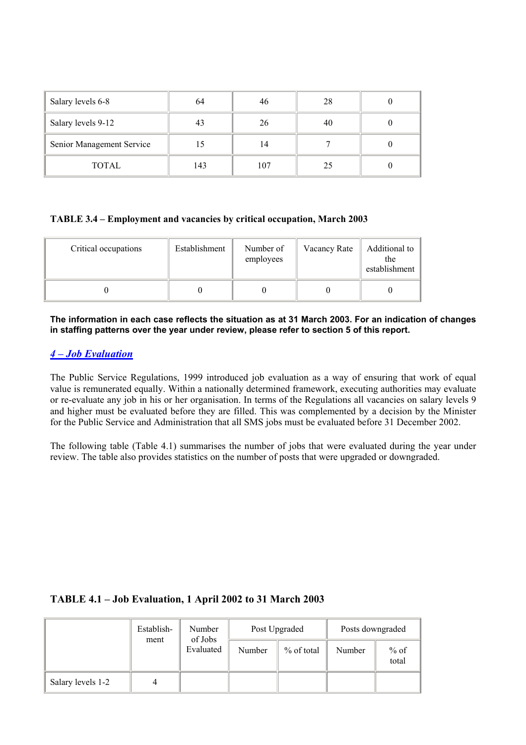| Salary levels 6-8         | 64  | 46  | 28 |  |
|---------------------------|-----|-----|----|--|
| Salary levels 9-12        | 43  | 26  | 40 |  |
| Senior Management Service | 15  | 14  |    |  |
| TOTAL                     | 143 | 107 | 25 |  |

#### **TABLE 3.4 – Employment and vacancies by critical occupation, March 2003**

| Critical occupations | Establishment | Number of<br>employees | Vacancy Rate | Additional to<br>the<br>establishment |
|----------------------|---------------|------------------------|--------------|---------------------------------------|
|                      |               |                        |              |                                       |

**The information in each case reflects the situation as at 31 March 2003. For an indication of changes in staffing patterns over the year under review, please refer to section 5 of this report.**

#### *4 – Job Evaluation*

The Public Service Regulations, 1999 introduced job evaluation as a way of ensuring that work of equal value is remunerated equally. Within a nationally determined framework, executing authorities may evaluate or re-evaluate any job in his or her organisation. In terms of the Regulations all vacancies on salary levels 9 and higher must be evaluated before they are filled. This was complemented by a decision by the Minister for the Public Service and Administration that all SMS jobs must be evaluated before 31 December 2002.

The following table (Table 4.1) summarises the number of jobs that were evaluated during the year under review. The table also provides statistics on the number of posts that were upgraded or downgraded.

### **TABLE 4.1 – Job Evaluation, 1 April 2002 to 31 March 2003**

|                   | Establish-<br>ment | Number    |        | Post Upgraded |        | Posts downgraded |  |
|-------------------|--------------------|-----------|--------|---------------|--------|------------------|--|
|                   | of Jobs            | Evaluated | Number | $%$ of total  | Number | $%$ of<br>total  |  |
| Salary levels 1-2 |                    |           |        |               |        |                  |  |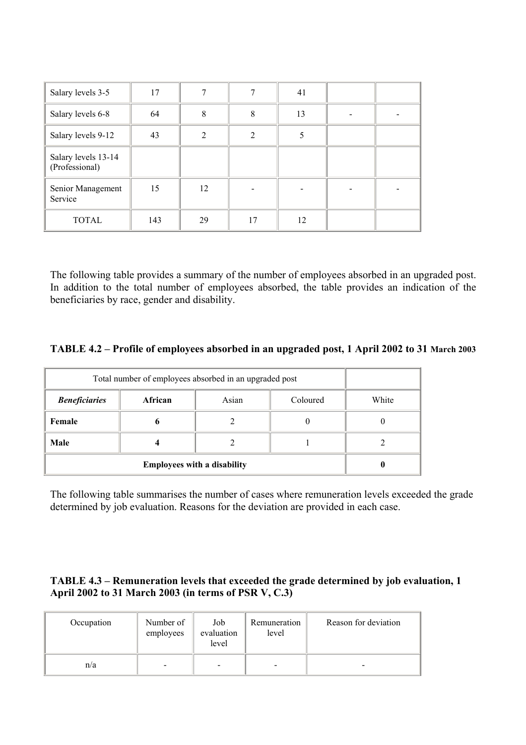| Salary levels 3-5                     | 17  |                |                | 41 |  |
|---------------------------------------|-----|----------------|----------------|----|--|
| Salary levels 6-8                     | 64  | 8              | 8              | 13 |  |
| Salary levels 9-12                    | 43  | $\mathfrak{D}$ | $\mathfrak{D}$ |    |  |
| Salary levels 13-14<br>(Professional) |     |                |                |    |  |
| Senior Management<br>Service          | 15  | 12             |                |    |  |
| <b>TOTAL</b>                          | 143 | 29             | 17             | 12 |  |

The following table provides a summary of the number of employees absorbed in an upgraded post. In addition to the total number of employees absorbed, the table provides an indication of the beneficiaries by race, gender and disability.

#### **TABLE 4.2 – Profile of employees absorbed in an upgraded post, 1 April 2002 to 31 March 2003**

| Total number of employees absorbed in an upgraded post |                              |  |   |  |  |
|--------------------------------------------------------|------------------------------|--|---|--|--|
| <b>Beneficiaries</b>                                   | African<br>Asian<br>Coloured |  |   |  |  |
| Female                                                 | o                            |  | O |  |  |
| Male                                                   |                              |  |   |  |  |
|                                                        |                              |  |   |  |  |

The following table summarises the number of cases where remuneration levels exceeded the grade determined by job evaluation. Reasons for the deviation are provided in each case.

#### **TABLE 4.3 – Remuneration levels that exceeded the grade determined by job evaluation, 1 April 2002 to 31 March 2003 (in terms of PSR V, C.3)**

| Occupation | Number of<br>employees   | Job<br>evaluation<br>level | Remuneration<br>level | Reason for deviation |
|------------|--------------------------|----------------------------|-----------------------|----------------------|
| n/a        | $\overline{\phantom{0}}$ | $\overline{\phantom{a}}$   | -                     |                      |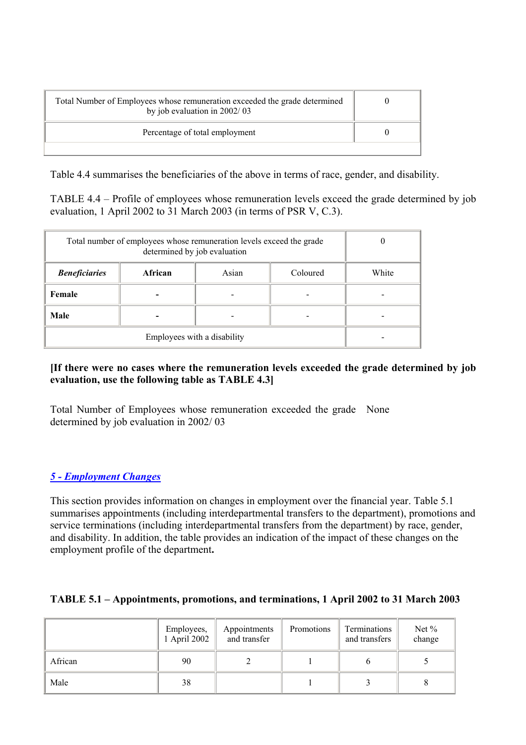| Total Number of Employees whose remuneration exceeded the grade determined<br>by job evaluation in 2002/03 |  |
|------------------------------------------------------------------------------------------------------------|--|
| Percentage of total employment                                                                             |  |
|                                                                                                            |  |

Table 4.4 summarises the beneficiaries of the above in terms of race, gender, and disability.

TABLE 4.4 – Profile of employees whose remuneration levels exceed the grade determined by job evaluation, 1 April 2002 to 31 March 2003 (in terms of PSR V, C.3).

| Total number of employees whose remuneration levels exceed the grade |       |  |  |  |
|----------------------------------------------------------------------|-------|--|--|--|
| <b>Beneficiaries</b>                                                 | White |  |  |  |
| Female                                                               |       |  |  |  |
| Male                                                                 |       |  |  |  |
|                                                                      |       |  |  |  |

### **[If there were no cases where the remuneration levels exceeded the grade determined by job evaluation, use the following table as TABLE 4.3]**

Total Number of Employees whose remuneration exceeded the grade None determined by job evaluation in 2002/ 03

## *5 - Employment Changes*

This section provides information on changes in employment over the financial year. Table 5.1 summarises appointments (including interdepartmental transfers to the department), promotions and service terminations (including interdepartmental transfers from the department) by race, gender, and disability. In addition, the table provides an indication of the impact of these changes on the employment profile of the department**.** 

### **TABLE 5.1 – Appointments, promotions, and terminations, 1 April 2002 to 31 March 2003**

|         | Employees,<br>1 April 2002 | Appointments<br>and transfer | Promotions | Terminations<br>and transfers | Net %<br>change |
|---------|----------------------------|------------------------------|------------|-------------------------------|-----------------|
| African | 90                         |                              |            |                               |                 |
| Male    | 38                         |                              |            |                               |                 |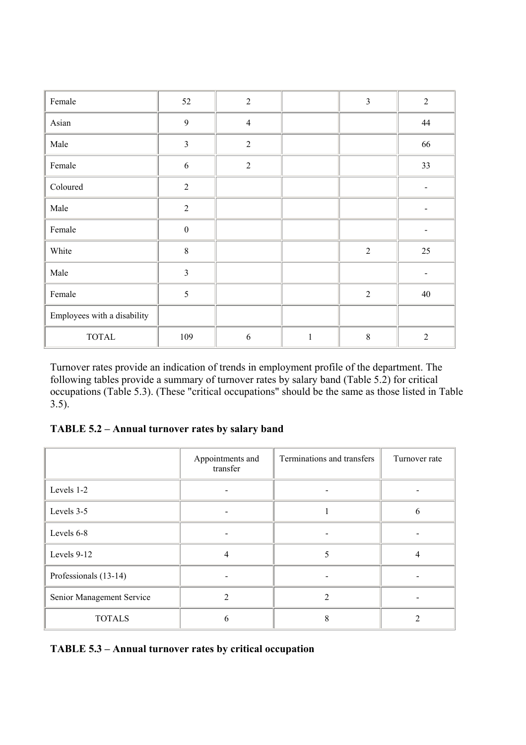| Female                      | 52                      | $\overline{2}$ |              | $\overline{3}$ | $\overline{2}$ |
|-----------------------------|-------------------------|----------------|--------------|----------------|----------------|
| Asian                       | 9                       | $\overline{4}$ |              |                | 44             |
| Male                        | $\overline{\mathbf{3}}$ | $\sqrt{2}$     |              |                | 66             |
| Female                      | $\sqrt{6}$              | $\sqrt{2}$     |              |                | 33             |
| Coloured                    | $\sqrt{2}$              |                |              |                | -              |
| Male                        | $\overline{2}$          |                |              |                | -              |
| Female                      | $\boldsymbol{0}$        |                |              |                |                |
| White                       | $\,8\,$                 |                |              | $\overline{2}$ | 25             |
| Male                        | $\overline{3}$          |                |              |                |                |
| Female                      | 5                       |                |              | $\overline{2}$ | 40             |
| Employees with a disability |                         |                |              |                |                |
| <b>TOTAL</b>                | 109                     | 6              | $\mathbf{1}$ | $\,8\,$        | $\overline{2}$ |

Turnover rates provide an indication of trends in employment profile of the department. The following tables provide a summary of turnover rates by salary band (Table 5.2) for critical occupations (Table 5.3). (These "critical occupations" should be the same as those listed in Table 3.5).

**TABLE 5.2 – Annual turnover rates by salary band** 

|                           | Appointments and<br>transfer | Terminations and transfers | Turnover rate |
|---------------------------|------------------------------|----------------------------|---------------|
| Levels 1-2                |                              | -                          |               |
| Levels 3-5                |                              |                            | 6             |
| Levels 6-8                |                              |                            |               |
| Levels 9-12               | $\overline{4}$               | 5                          | 4             |
| Professionals (13-14)     |                              |                            |               |
| Senior Management Service | $\mathfrak{D}$               | $\mathfrak{D}$             |               |
| <b>TOTALS</b>             | 6                            | 8                          | 2             |

**TABLE 5.3 – Annual turnover rates by critical occupation**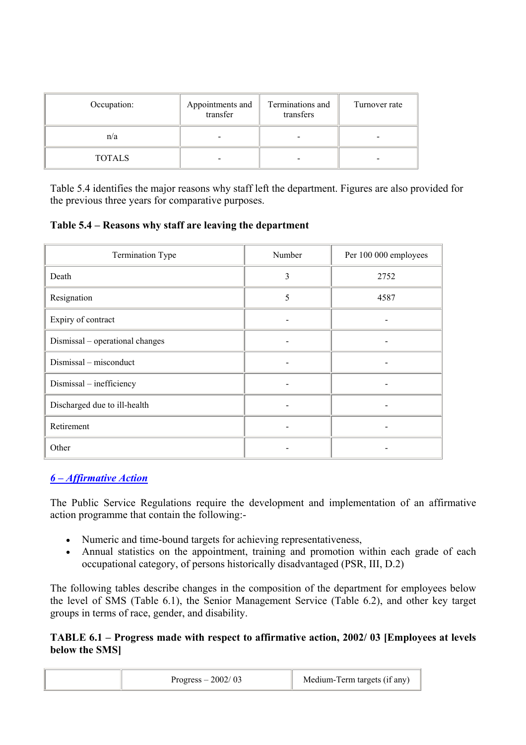| Occupation:   | Appointments and<br>transfer | Terminations and<br>transfers | Turnover rate |
|---------------|------------------------------|-------------------------------|---------------|
| n/a           |                              |                               |               |
| <b>TOTALS</b> |                              |                               |               |

Table 5.4 identifies the major reasons why staff left the department. Figures are also provided for the previous three years for comparative purposes.

**Table 5.4 – Reasons why staff are leaving the department** 

| Termination Type                | Number | Per 100 000 employees |
|---------------------------------|--------|-----------------------|
| Death                           | 3      | 2752                  |
| Resignation                     | 5      | 4587                  |
| Expiry of contract              |        |                       |
| Dismissal – operational changes |        |                       |
| Dismissal – misconduct          |        |                       |
| Dismissal - inefficiency        |        |                       |
| Discharged due to ill-health    |        |                       |
| Retirement                      |        |                       |
| Other                           |        |                       |

## *6 – Affirmative Action*

The Public Service Regulations require the development and implementation of an affirmative action programme that contain the following:-

- Numeric and time-bound targets for achieving representativeness,
- Annual statistics on the appointment, training and promotion within each grade of each occupational category, of persons historically disadvantaged (PSR, III, D.2)

The following tables describe changes in the composition of the department for employees below the level of SMS (Table 6.1), the Senior Management Service (Table 6.2), and other key target groups in terms of race, gender, and disability.

**TABLE 6.1 – Progress made with respect to affirmative action, 2002/ 03 [Employees at levels below the SMS]** 

|  | Progress $-2002/03$ | Medium-Term targets (if any) |  |
|--|---------------------|------------------------------|--|
|--|---------------------|------------------------------|--|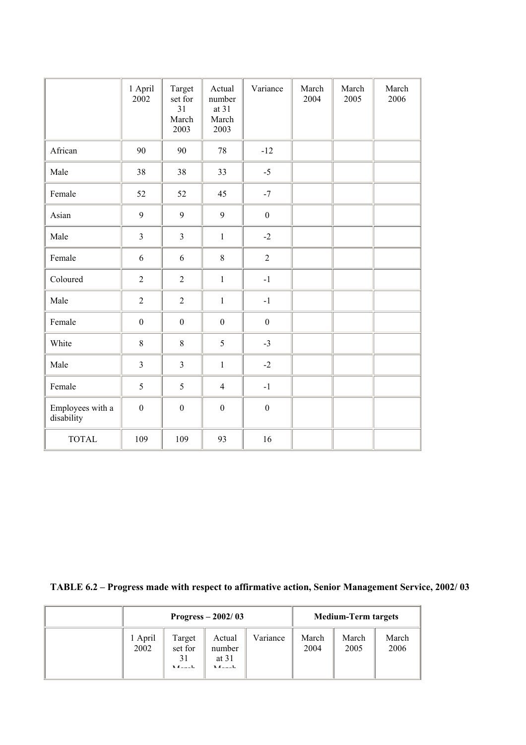|                                | 1 April<br>2002  | Target<br>set for<br>31<br>March<br>2003 | Actual<br>number<br>at 31<br>March<br>2003 | Variance         | March<br>2004 | March<br>2005 | March<br>2006 |
|--------------------------------|------------------|------------------------------------------|--------------------------------------------|------------------|---------------|---------------|---------------|
| African                        | 90               | 90                                       | $78\,$                                     | $-12$            |               |               |               |
| Male                           | 38               | 38                                       | 33                                         | $-5$             |               |               |               |
| Female                         | 52               | 52                                       | 45                                         | $-7$             |               |               |               |
| Asian                          | 9                | 9                                        | 9                                          | $\boldsymbol{0}$ |               |               |               |
| Male                           | $\overline{3}$   | $\overline{3}$                           | $\mathbf{1}$                               | $-2$             |               |               |               |
| Female                         | 6                | 6                                        | $8\,$                                      | $\overline{2}$   |               |               |               |
| Coloured                       | $\overline{2}$   | $\overline{2}$                           | $\mathbf{1}$                               | $-1$             |               |               |               |
| Male                           | $\overline{2}$   | $\overline{2}$                           | $\mathbf{1}$                               | $-1$             |               |               |               |
| Female                         | $\boldsymbol{0}$ | $\boldsymbol{0}$                         | $\boldsymbol{0}$                           | $\boldsymbol{0}$ |               |               |               |
| White                          | $8\,$            | $8\,$                                    | 5                                          | $-3$             |               |               |               |
| Male                           | $\overline{3}$   | $\overline{3}$                           | $\mathbf{1}$                               | $-2$             |               |               |               |
| Female                         | 5                | 5                                        | $\overline{4}$                             | $-1$             |               |               |               |
| Employees with a<br>disability | $\mathbf{0}$     | $\boldsymbol{0}$                         | $\boldsymbol{0}$                           | $\boldsymbol{0}$ |               |               |               |
| <b>TOTAL</b>                   | 109              | 109                                      | 93                                         | 16               |               |               |               |

**TABLE 6.2 – Progress made with respect to affirmative action, Senior Management Service, 2002/ 03** 

| Progress $-2002/03$ |                               |                                          |          | <b>Medium-Term targets</b> |               |               |
|---------------------|-------------------------------|------------------------------------------|----------|----------------------------|---------------|---------------|
| 1 April<br>2002     | Target<br>set for<br>$M = -1$ | Actual<br>number<br>at $31$<br>$M$ anala | Variance | March<br>2004              | March<br>2005 | March<br>2006 |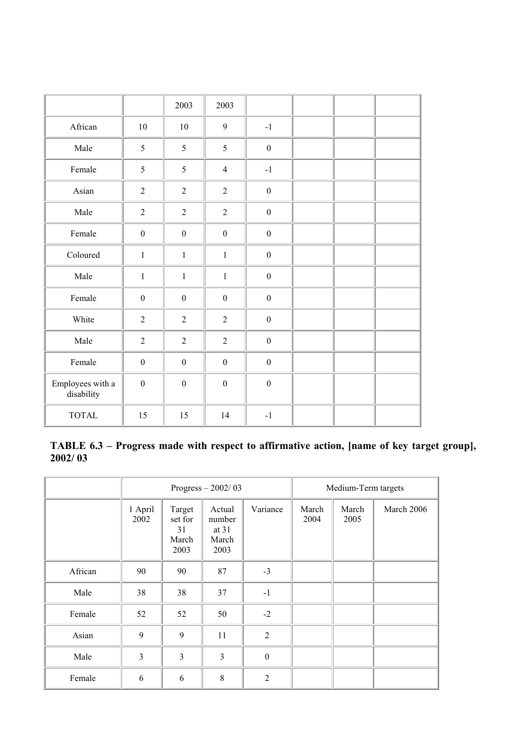|                                |                  | 2003             | 2003             |                  |  |  |
|--------------------------------|------------------|------------------|------------------|------------------|--|--|
| African                        | 10               | $10\,$           | 9                | $-1$             |  |  |
| Male                           | 5                | 5                | 5                | $\boldsymbol{0}$ |  |  |
| Female                         | 5                | 5                | $\overline{4}$   | $-1$             |  |  |
| Asian                          | $\overline{2}$   | $\overline{2}$   | $\overline{2}$   | $\boldsymbol{0}$ |  |  |
| Male                           | $\sqrt{2}$       | $\sqrt{2}$       | $\sqrt{2}$       | $\boldsymbol{0}$ |  |  |
| Female                         | $\boldsymbol{0}$ | $\boldsymbol{0}$ | $\boldsymbol{0}$ | $\boldsymbol{0}$ |  |  |
| Coloured                       | $\mathbf{1}$     | $\mathbf{1}$     | $\,1\,$          | $\boldsymbol{0}$ |  |  |
| Male                           | $\mathbf{1}$     | $\mathbf{1}$     | $\mathbf{1}$     | $\boldsymbol{0}$ |  |  |
| Female                         | $\boldsymbol{0}$ | $\boldsymbol{0}$ | $\boldsymbol{0}$ | $\boldsymbol{0}$ |  |  |
| White                          | $\sqrt{2}$       | $\overline{2}$   | $\sqrt{2}$       | $\boldsymbol{0}$ |  |  |
| Male                           | $\overline{2}$   | $\overline{2}$   | $\overline{2}$   | $\boldsymbol{0}$ |  |  |
| Female                         | $\boldsymbol{0}$ | $\boldsymbol{0}$ | $\boldsymbol{0}$ | $\boldsymbol{0}$ |  |  |
| Employees with a<br>disability | $\boldsymbol{0}$ | $\boldsymbol{0}$ | $\boldsymbol{0}$ | $\boldsymbol{0}$ |  |  |
| <b>TOTAL</b>                   | 15               | 15               | 14               | $-1$             |  |  |

**TABLE 6.3 – Progress made with respect to affirmative action, [name of key target group], 2002/ 03** 

|         |                 |                                          | Progress $-2002/03$                          | Medium-Term targets |               |               |            |
|---------|-----------------|------------------------------------------|----------------------------------------------|---------------------|---------------|---------------|------------|
|         | 1 April<br>2002 | Target<br>set for<br>31<br>March<br>2003 | Actual<br>number<br>at $31$<br>March<br>2003 | Variance            | March<br>2004 | March<br>2005 | March 2006 |
| African | 90              | 90                                       | 87                                           | $-3$                |               |               |            |
| Male    | 38              | 38                                       | 37                                           | $-1$                |               |               |            |
| Female  | 52              | 52                                       | 50                                           | $-2$                |               |               |            |
| Asian   | 9               | 9                                        | 11                                           | $\overline{2}$      |               |               |            |
| Male    | 3               | 3                                        | $\overline{3}$                               | $\boldsymbol{0}$    |               |               |            |
| Female  | 6               | 6                                        | 8                                            | $\overline{2}$      |               |               |            |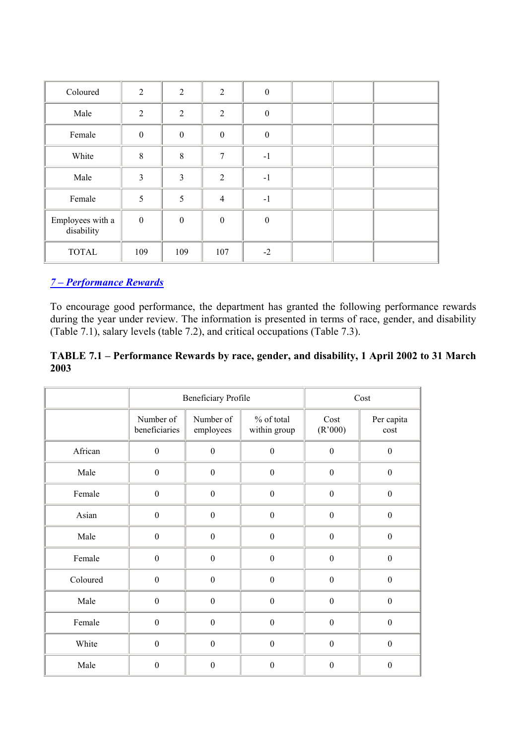| Coloured                       | $\overline{2}$          | $\overline{2}$ | 2              | $\boldsymbol{0}$ |  |  |
|--------------------------------|-------------------------|----------------|----------------|------------------|--|--|
| Male                           | $\overline{2}$          | $\overline{2}$ | $\overline{2}$ | $\boldsymbol{0}$ |  |  |
| Female                         | $\boldsymbol{0}$        | $\mathbf{0}$   | $\mathbf{0}$   | $\boldsymbol{0}$ |  |  |
| White                          | $8\,$                   | 8              | $\tau$         | $-1$             |  |  |
| Male                           | $\overline{\mathbf{3}}$ | 3              | $\overline{2}$ | $-1$             |  |  |
| Female                         | 5                       | 5              | $\overline{4}$ | $-1$             |  |  |
| Employees with a<br>disability | $\boldsymbol{0}$        | $\mathbf{0}$   | $\mathbf{0}$   | $\boldsymbol{0}$ |  |  |
| <b>TOTAL</b>                   | 109                     | 109            | 107            | $-2$             |  |  |

# *7 – Performance Rewards*

To encourage good performance, the department has granted the following performance rewards during the year under review. The information is presented in terms of race, gender, and disability (Table 7.1), salary levels (table 7.2), and critical occupations (Table 7.3).

## **TABLE 7.1 – Performance Rewards by race, gender, and disability, 1 April 2002 to 31 March 2003**

|          |                            | <b>Beneficiary Profile</b> |                            |                  | Cost               |
|----------|----------------------------|----------------------------|----------------------------|------------------|--------------------|
|          | Number of<br>beneficiaries | Number of<br>employees     | % of total<br>within group | Cost<br>(R'000)  | Per capita<br>cost |
| African  | $\boldsymbol{0}$           | $\boldsymbol{0}$           | $\mathbf{0}$               | $\boldsymbol{0}$ | $\boldsymbol{0}$   |
| Male     | $\boldsymbol{0}$           | $\boldsymbol{0}$           | $\boldsymbol{0}$           | $\boldsymbol{0}$ | $\boldsymbol{0}$   |
| Female   | $\boldsymbol{0}$           | $\mathbf{0}$               | $\boldsymbol{0}$           | $\boldsymbol{0}$ | $\boldsymbol{0}$   |
| Asian    | $\boldsymbol{0}$           | $\boldsymbol{0}$           | $\mathbf{0}$               | $\boldsymbol{0}$ | $\boldsymbol{0}$   |
| Male     | $\boldsymbol{0}$           | $\mathbf{0}$               | $\mathbf{0}$               | $\boldsymbol{0}$ | $\boldsymbol{0}$   |
| Female   | $\boldsymbol{0}$           | $\mathbf{0}$               | $\mathbf{0}$               | $\boldsymbol{0}$ | $\boldsymbol{0}$   |
| Coloured | $\boldsymbol{0}$           | $\mathbf{0}$               | $\boldsymbol{0}$           | $\boldsymbol{0}$ | $\boldsymbol{0}$   |
| Male     | $\boldsymbol{0}$           | $\boldsymbol{0}$           | $\mathbf{0}$               | $\boldsymbol{0}$ | $\boldsymbol{0}$   |
| Female   | $\boldsymbol{0}$           | $\mathbf{0}$               | $\mathbf{0}$               | $\boldsymbol{0}$ | $\boldsymbol{0}$   |
| White    | $\mathbf{0}$               | $\mathbf{0}$               | $\mathbf{0}$               | $\boldsymbol{0}$ | $\boldsymbol{0}$   |
| Male     | $\boldsymbol{0}$           | $\boldsymbol{0}$           | $\boldsymbol{0}$           | $\boldsymbol{0}$ | $\boldsymbol{0}$   |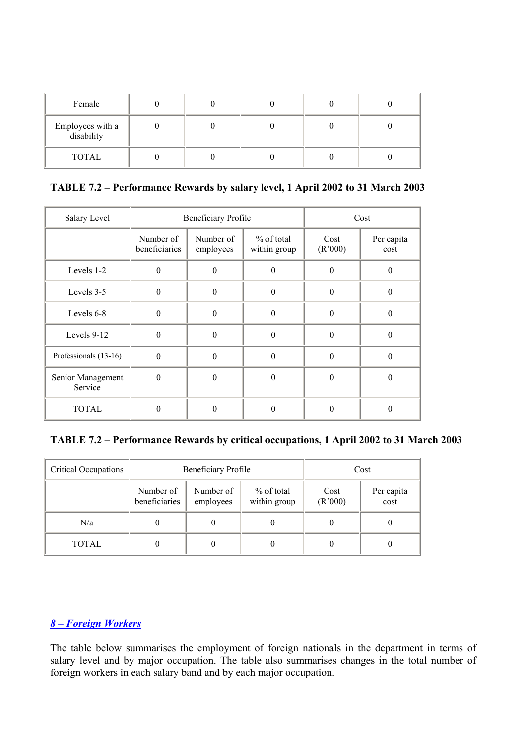| Female                         |  |  |  |
|--------------------------------|--|--|--|
| Employees with a<br>disability |  |  |  |
| TOTAL                          |  |  |  |

**TABLE 7.2 – Performance Rewards by salary level, 1 April 2002 to 31 March 2003** 

| Salary Level                 |                            | Beneficiary Profile    | Cost                       |                 |                    |
|------------------------------|----------------------------|------------------------|----------------------------|-----------------|--------------------|
|                              | Number of<br>beneficiaries | Number of<br>employees | % of total<br>within group | Cost<br>(R'000) | Per capita<br>cost |
| Levels 1-2                   | $\theta$                   | 0                      | 0                          | 0               | 0                  |
| Levels 3-5                   | $\theta$                   | $\Omega$               | $\theta$                   | 0               | 0                  |
| Levels 6-8                   | $\mathbf{0}$               | $\Omega$               | $\theta$                   | $\Omega$        | 0                  |
| Levels 9-12                  | $\theta$                   | $\Omega$               | $\theta$                   | 0               | $\Omega$           |
| Professionals (13-16)        | $\overline{0}$             | $\Omega$               | $\Omega$                   | 0               | $\Omega$           |
| Senior Management<br>Service | $\boldsymbol{0}$           | $\Omega$               | $\theta$                   | 0               | 0                  |
| <b>TOTAL</b>                 | $\theta$                   | $\theta$               | 0                          | 0               | 0                  |

## **TABLE 7.2 – Performance Rewards by critical occupations, 1 April 2002 to 31 March 2003**

| <b>Critical Occupations</b> |                            | Beneficiary Profile                                     |  | Cost            |                    |
|-----------------------------|----------------------------|---------------------------------------------------------|--|-----------------|--------------------|
|                             | Number of<br>beneficiaries | $\%$ of total<br>Number of<br>within group<br>employees |  | Cost<br>(R'000) | Per capita<br>cost |
| N/a                         | 0                          |                                                         |  |                 |                    |
| TOTAL                       | 0                          |                                                         |  |                 |                    |

## *8 – Foreign Workers*

The table below summarises the employment of foreign nationals in the department in terms of salary level and by major occupation. The table also summarises changes in the total number of foreign workers in each salary band and by each major occupation.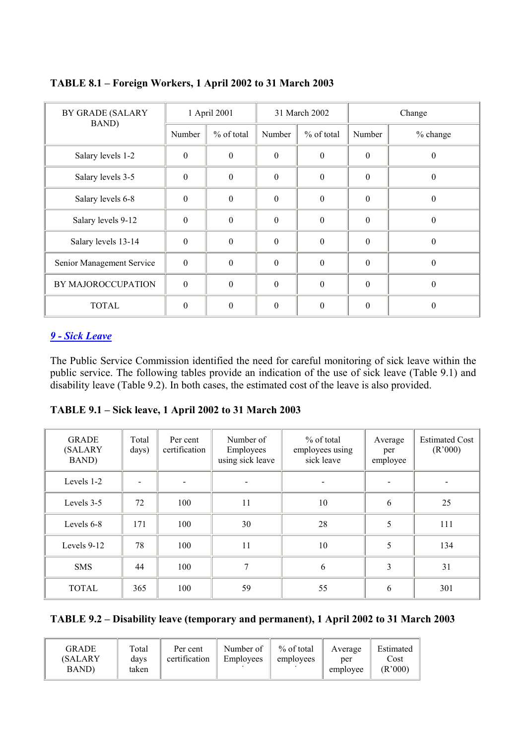| <b>BY GRADE (SALARY</b><br>BAND) | 1 April 2001     |              | 31 March 2002 |                  | Change   |              |  |
|----------------------------------|------------------|--------------|---------------|------------------|----------|--------------|--|
|                                  | Number           | $%$ of total | Number        | % of total       | Number   | % change     |  |
| Salary levels 1-2                | $\mathbf{0}$     | $\theta$     | $\Omega$      | $\theta$         | $\theta$ | $\Omega$     |  |
| Salary levels 3-5                | $\boldsymbol{0}$ | $\theta$     | $\Omega$      | $\theta$         | $\theta$ | $\theta$     |  |
| Salary levels 6-8                | $\boldsymbol{0}$ | $\theta$     | $\Omega$      | $\boldsymbol{0}$ | $\theta$ | $\theta$     |  |
| Salary levels 9-12               | $\boldsymbol{0}$ | $\theta$     | $\theta$      | $\theta$         | $\theta$ | $\mathbf{0}$ |  |
| Salary levels 13-14              | $\boldsymbol{0}$ | $\theta$     | $\Omega$      | $\Omega$         | $\theta$ | $\Omega$     |  |
| Senior Management Service        | $\mathbf{0}$     | $\theta$     | $\Omega$      | $\theta$         | $\theta$ | $\Omega$     |  |
| BY MAJOROCCUPATION               | $\boldsymbol{0}$ | $\theta$     | $\Omega$      | $\theta$         | $\theta$ | $\theta$     |  |
| <b>TOTAL</b>                     | $\theta$         | $\theta$     | $\Omega$      | $\Omega$         | $\theta$ | $\Omega$     |  |

**TABLE 8.1 – Foreign Workers, 1 April 2002 to 31 March 2003** 

## *9 - Sick Leave*

The Public Service Commission identified the need for careful monitoring of sick leave within the public service. The following tables provide an indication of the use of sick leave (Table 9.1) and disability leave (Table 9.2). In both cases, the estimated cost of the leave is also provided.

| TABLE 9.1 – Sick leave, 1 April 2002 to 31 March 2003 |  |  |
|-------------------------------------------------------|--|--|
|-------------------------------------------------------|--|--|

| <b>GRADE</b><br>(SALARY<br>BAND) | Total<br>days)           | Per cent<br>certification | Number of<br>Employees<br>using sick leave | % of total<br>employees using<br>sick leave | Average<br>per<br>employee | <b>Estimated Cost</b><br>(R'000) |
|----------------------------------|--------------------------|---------------------------|--------------------------------------------|---------------------------------------------|----------------------------|----------------------------------|
| Levels 1-2                       | $\overline{\phantom{a}}$ |                           |                                            |                                             |                            |                                  |
| Levels 3-5                       | 72                       | 100                       | 11                                         | 10                                          | 6                          | 25                               |
| Levels 6-8                       | 171                      | 100                       | 30                                         | 28                                          | 5                          | 111                              |
| Levels 9-12                      | 78                       | 100                       | 11                                         | 10                                          | 5                          | 134                              |
| <b>SMS</b>                       | 44                       | 100                       | 7                                          | 6                                           | 3                          | 31                               |
| <b>TOTAL</b>                     | 365                      | 100                       | 59                                         | 55                                          | 6                          | 301                              |

**TABLE 9.2 – Disability leave (temporary and permanent), 1 April 2002 to 31 March 2003** 

| GRADE<br>(SALARY<br><b>BAND</b> | Total<br>Per cent<br>certification<br>days<br>taken | Number of<br>Employees | % of total<br>employees | Average<br>per<br>employee | Estimated<br>Cost<br>(R'000) |
|---------------------------------|-----------------------------------------------------|------------------------|-------------------------|----------------------------|------------------------------|
|---------------------------------|-----------------------------------------------------|------------------------|-------------------------|----------------------------|------------------------------|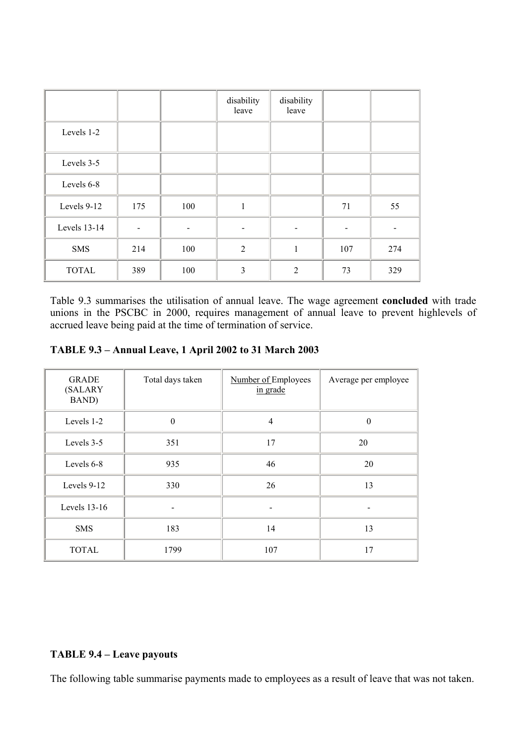|              |     |     | disability<br>leave | disability<br>leave |     |     |
|--------------|-----|-----|---------------------|---------------------|-----|-----|
| Levels 1-2   |     |     |                     |                     |     |     |
| Levels 3-5   |     |     |                     |                     |     |     |
| Levels 6-8   |     |     |                     |                     |     |     |
| Levels 9-12  | 175 | 100 | 1                   |                     | 71  | 55  |
| Levels 13-14 |     |     |                     |                     |     |     |
| <b>SMS</b>   | 214 | 100 | 2                   | $\mathbf{1}$        | 107 | 274 |
| <b>TOTAL</b> | 389 | 100 | 3                   | $\overline{2}$      | 73  | 329 |

Table 9.3 summarises the utilisation of annual leave. The wage agreement **concluded** with trade unions in the PSCBC in 2000, requires management of annual leave to prevent highlevels of accrued leave being paid at the time of termination of service.

| <b>GRADE</b><br>(SALARY<br>BAND) | Total days taken | Number of Employees<br>in grade | Average per employee |  |  |
|----------------------------------|------------------|---------------------------------|----------------------|--|--|
| Levels 1-2                       | $\theta$         | $\overline{4}$                  | $\boldsymbol{0}$     |  |  |
| Levels 3-5                       | 351              | 17                              | 20                   |  |  |
| Levels 6-8                       | 935              | 46                              | 20                   |  |  |
| Levels 9-12                      | 330              | 26                              | 13                   |  |  |
| Levels 13-16                     |                  |                                 |                      |  |  |
| <b>SMS</b>                       | 183              | 14                              | 13                   |  |  |
| <b>TOTAL</b>                     | 1799             | 107                             | 17                   |  |  |

## **TABLE 9.4 – Leave payouts**

The following table summarise payments made to employees as a result of leave that was not taken.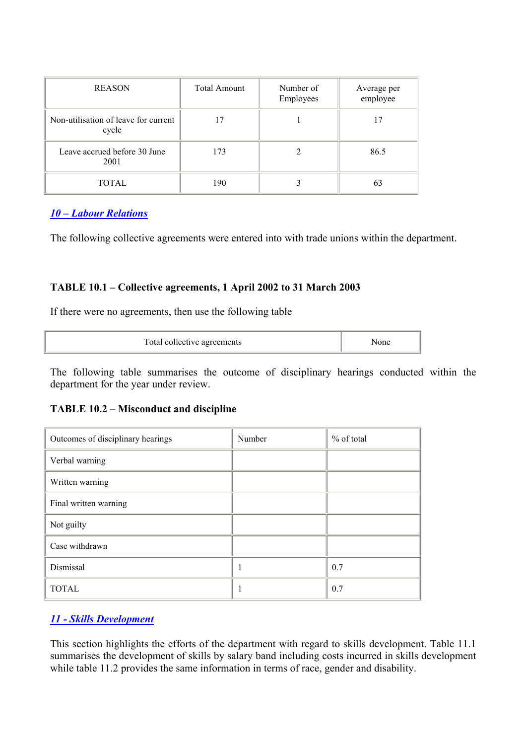| <b>REASON</b>                                 | <b>Total Amount</b> | Number of<br>Employees | Average per<br>employee |  |  |  |
|-----------------------------------------------|---------------------|------------------------|-------------------------|--|--|--|
| Non-utilisation of leave for current<br>cycle |                     |                        |                         |  |  |  |
| Leave accrued before 30 June<br>2001          | 173                 |                        | 86.5                    |  |  |  |
| TOTAL                                         | 190                 |                        | 63                      |  |  |  |

## *10 – Labour Relations*

The following collective agreements were entered into with trade unions within the department.

## **TABLE 10.1 – Collective agreements, 1 April 2002 to 31 March 2003**

If there were no agreements, then use the following table

| Total collective agreements | √one |
|-----------------------------|------|
|-----------------------------|------|

The following table summarises the outcome of disciplinary hearings conducted within the department for the year under review.

### **TABLE 10.2 – Misconduct and discipline**

| Outcomes of disciplinary hearings | Number | % of total |  |  |
|-----------------------------------|--------|------------|--|--|
| Verbal warning                    |        |            |  |  |
| Written warning                   |        |            |  |  |
| Final written warning             |        |            |  |  |
| Not guilty                        |        |            |  |  |
| Case withdrawn                    |        |            |  |  |
| Dismissal                         |        | 0.7        |  |  |
| <b>TOTAL</b>                      |        | 0.7        |  |  |

## *11 - Skills Development*

This section highlights the efforts of the department with regard to skills development. Table 11.1 summarises the development of skills by salary band including costs incurred in skills development while table 11.2 provides the same information in terms of race, gender and disability.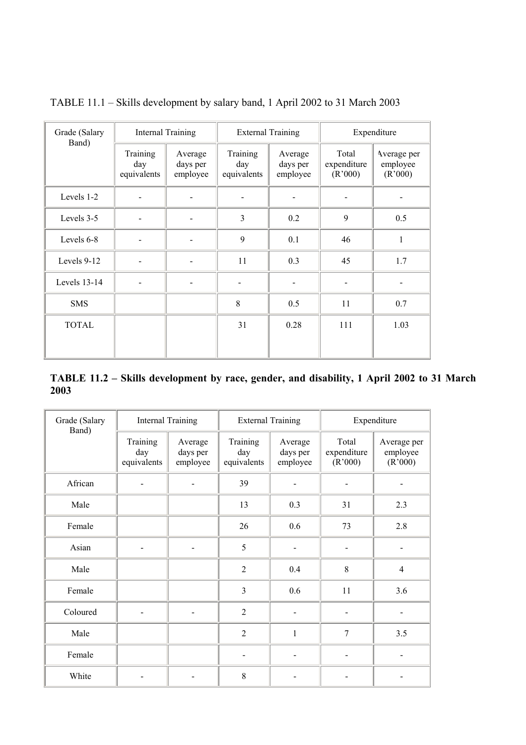| Grade (Salary<br>Band) | <b>Internal Training</b>       |                                 | <b>External Training</b>       |                                 | Expenditure                     |                                    |  |
|------------------------|--------------------------------|---------------------------------|--------------------------------|---------------------------------|---------------------------------|------------------------------------|--|
|                        | Training<br>day<br>equivalents | Average<br>days per<br>employee | Training<br>day<br>equivalents | Average<br>days per<br>employee | Total<br>expenditure<br>(R'000) | Average per<br>employee<br>(R'000) |  |
| Levels 1-2             |                                |                                 |                                |                                 |                                 |                                    |  |
| Levels 3-5             |                                |                                 | 3                              | 0.2                             | 9                               | 0.5                                |  |
| Levels 6-8             |                                |                                 | 9                              | 0.1                             | 46                              | 1                                  |  |
| Levels 9-12            |                                |                                 | 11                             | 0.3                             | 45                              | 1.7                                |  |
| Levels 13-14           |                                |                                 |                                |                                 |                                 |                                    |  |
| <b>SMS</b>             |                                |                                 | 8                              | 0.5                             | 11                              | 0.7                                |  |
| <b>TOTAL</b>           |                                |                                 | 31                             | 0.28                            | 111                             | 1.03                               |  |
|                        |                                |                                 |                                |                                 |                                 |                                    |  |

TABLE 11.1 – Skills development by salary band, 1 April 2002 to 31 March 2003

| TABLE 11.2 – Skills development by race, gender, and disability, 1 April 2002 to 31 March |  |  |  |  |  |  |
|-------------------------------------------------------------------------------------------|--|--|--|--|--|--|
| 2003                                                                                      |  |  |  |  |  |  |

| Grade (Salary<br>Band) | <b>Internal Training</b>       |                                 | <b>External Training</b>       |                                 | Expenditure                     |                                    |  |
|------------------------|--------------------------------|---------------------------------|--------------------------------|---------------------------------|---------------------------------|------------------------------------|--|
|                        | Training<br>day<br>equivalents | Average<br>days per<br>employee | Training<br>day<br>equivalents | Average<br>days per<br>employee | Total<br>expenditure<br>(R'000) | Average per<br>employee<br>(R'000) |  |
| African                |                                |                                 | 39                             |                                 |                                 |                                    |  |
| Male                   |                                |                                 | 13                             | 0.3                             | 31                              | 2.3                                |  |
| Female                 |                                |                                 | 26                             | 0.6                             | 73                              | 2.8                                |  |
| Asian                  |                                |                                 | 5                              |                                 |                                 |                                    |  |
| Male                   |                                |                                 | $\overline{2}$                 | 0.4                             | 8                               | $\overline{4}$                     |  |
| Female                 |                                |                                 | 3                              | 0.6                             | 11                              | 3.6                                |  |
| Coloured               | $\overline{\phantom{0}}$       | $\blacksquare$                  | $\overline{2}$                 | $\overline{a}$                  | ÷                               |                                    |  |
| Male                   |                                |                                 | $\overline{2}$                 | $\mathbf{1}$                    | $\overline{7}$                  | 3.5                                |  |
| Female                 |                                |                                 | $\overline{a}$                 |                                 |                                 |                                    |  |
| White                  |                                |                                 | 8                              |                                 |                                 |                                    |  |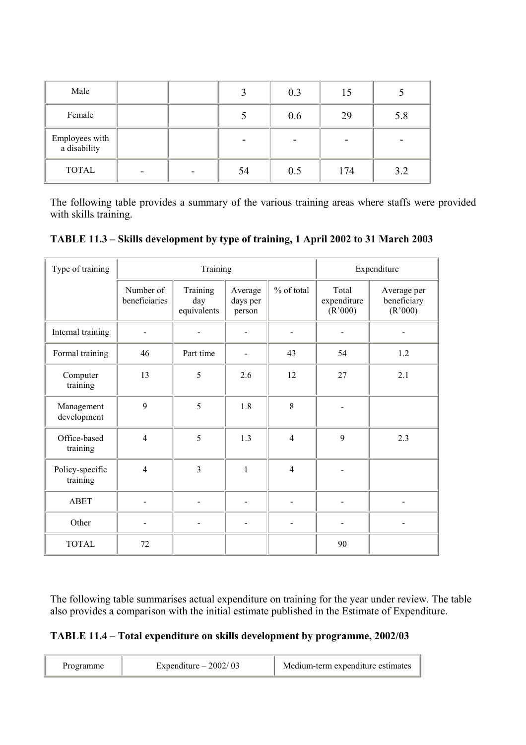| Male                           |  |    | 0.3 | 15  |     |
|--------------------------------|--|----|-----|-----|-----|
| Female                         |  |    | 0.6 | 29  | 5.8 |
| Employees with<br>a disability |  |    |     |     |     |
| <b>TOTAL</b>                   |  | 54 | 0.5 | 174 | 3.2 |

The following table provides a summary of the various training areas where staffs were provided with skills training.

| TABLE 11.3 - Skills development by type of training, 1 April 2002 to 31 March 2003 |  |  |
|------------------------------------------------------------------------------------|--|--|
|                                                                                    |  |  |

| Type of training            |                            | Training                       |                               | Expenditure    |                                 |                                       |
|-----------------------------|----------------------------|--------------------------------|-------------------------------|----------------|---------------------------------|---------------------------------------|
|                             | Number of<br>beneficiaries | Training<br>day<br>equivalents | Average<br>days per<br>person | % of total     | Total<br>expenditure<br>(R'000) | Average per<br>beneficiary<br>(R'000) |
| Internal training           |                            |                                |                               |                |                                 |                                       |
| Formal training             | 46                         | Part time                      |                               | 43             | 54                              | 1.2                                   |
| Computer<br>training        | 13                         | 5                              | 2.6                           | 12             | 27                              | 2.1                                   |
| Management<br>development   | 9                          | 5                              | 1.8                           | 8              |                                 |                                       |
| Office-based<br>training    | $\overline{4}$             | 5                              | 1.3                           | $\overline{4}$ | 9                               | 2.3                                   |
| Policy-specific<br>training | $\overline{4}$             | $\overline{3}$                 | $\mathbf{1}$                  | $\overline{4}$ |                                 |                                       |
| <b>ABET</b>                 |                            |                                |                               |                |                                 |                                       |
| Other                       |                            |                                |                               |                |                                 |                                       |
| <b>TOTAL</b>                | 72                         |                                |                               |                | 90                              |                                       |

The following table summarises actual expenditure on training for the year under review. The table also provides a comparison with the initial estimate published in the Estimate of Expenditure.

# **TABLE 11.4 – Total expenditure on skills development by programme, 2002/03**

| Programme | Expenditure $-2002/03$ | Medium-term expenditure estimates |
|-----------|------------------------|-----------------------------------|
|-----------|------------------------|-----------------------------------|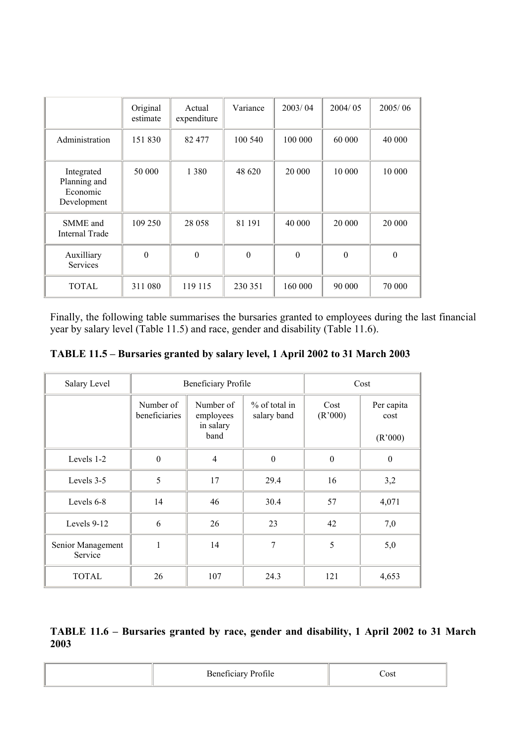|                                                       | Original<br>estimate | Actual<br>expenditure | Variance     | 2003/04          | 2004/05  | 2005/06  |
|-------------------------------------------------------|----------------------|-----------------------|--------------|------------------|----------|----------|
| Administration                                        | 151 830              | 82 477                | 100 540      | 100 000          | 60 000   | 40 000   |
| Integrated<br>Planning and<br>Economic<br>Development | 50 000               | 1 3 8 0               | 48 620       | 20 000           | 10 000   | 10 000   |
| SMME and<br>Internal Trade                            | 109 250              | 28 058                | 81 191       | 40 000           | 20 000   | 20 000   |
| Auxilliary<br>Services                                | $\mathbf{0}$         | $\boldsymbol{0}$      | $\mathbf{0}$ | $\boldsymbol{0}$ | $\Omega$ | $\Omega$ |
| <b>TOTAL</b>                                          | 311 080              | 119 115               | 230 351      | 160 000          | 90 000   | 70 000   |

Finally, the following table summarises the bursaries granted to employees during the last financial year by salary level (Table 11.5) and race, gender and disability (Table 11.6).

| Salary Level                 |                            | Beneficiary Profile                         | Cost                            |                 |                               |
|------------------------------|----------------------------|---------------------------------------------|---------------------------------|-----------------|-------------------------------|
|                              | Number of<br>beneficiaries | Number of<br>employees<br>in salary<br>band | $\%$ of total in<br>salary band | Cost<br>(R'000) | Per capita<br>cost<br>(R'000) |
| Levels 1-2                   | $\theta$                   | $\overline{4}$                              | $\theta$                        | $\theta$        | $\boldsymbol{0}$              |
| Levels 3-5                   | 5                          | 17                                          | 29.4                            | 16              | 3,2                           |
| Levels 6-8                   | 14                         | 46                                          | 30.4                            | 57              | 4,071                         |
| Levels 9-12                  | 6                          | 26                                          | 23                              | 42              | 7,0                           |
| Senior Management<br>Service | 1                          | 14                                          | 7                               | 5               | 5,0                           |
| <b>TOTAL</b>                 | 26                         | 107                                         | 24.3                            | 121             | 4,653                         |

# **TABLE 11.6 – Bursaries granted by race, gender and disability, 1 April 2002 to 31 March 2003**

| <b>Profile</b><br>$\mathsf{Repefivier}$<br>. <b>.</b> .<br>. | `ost |
|--------------------------------------------------------------|------|
|--------------------------------------------------------------|------|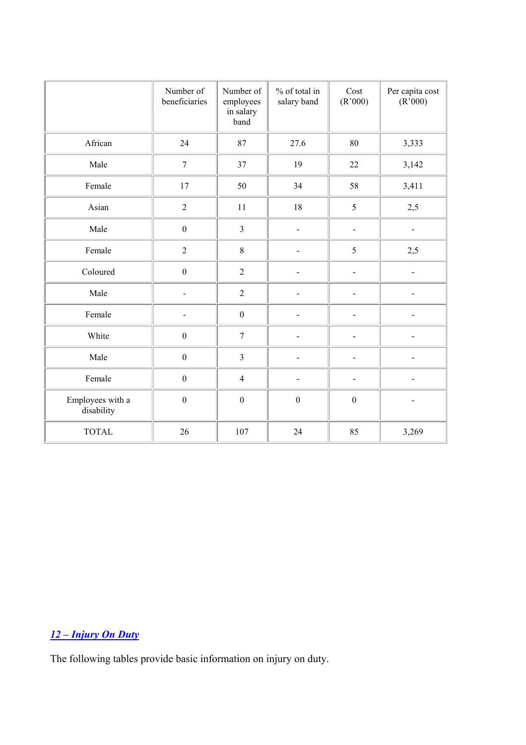|                                | Number of<br>beneficiaries | Number of<br>employees<br>in salary<br>band | % of total in<br>salary band | Cost<br>(R'000)          | Per capita cost<br>(R'000) |
|--------------------------------|----------------------------|---------------------------------------------|------------------------------|--------------------------|----------------------------|
| African                        | 24                         | 87                                          | 27.6                         | 80                       | 3,333                      |
| Male                           | $\boldsymbol{7}$           | 37                                          | 19                           | 22                       | 3,142                      |
| Female                         | $17$                       | 50                                          | 34                           | 58                       | 3,411                      |
| Asian                          | $\sqrt{2}$                 | 11                                          | $18\,$                       | 5                        | 2,5                        |
| Male                           | $\boldsymbol{0}$           | $\overline{3}$                              | $\overline{\phantom{0}}$     | -                        | $\qquad \qquad -$          |
| Female                         | $\sqrt{2}$                 | $8\,$                                       |                              | 5                        | 2,5                        |
| Coloured                       | $\boldsymbol{0}$           | $\overline{2}$                              |                              | -                        | $\overline{\phantom{0}}$   |
| Male                           | $\overline{\phantom{0}}$   | $\overline{2}$                              | $\overline{a}$               | $\overline{a}$           | $\overline{\phantom{0}}$   |
| Female                         | $\overline{\phantom{0}}$   | $\boldsymbol{0}$                            | $\overline{\phantom{0}}$     | $\overline{a}$           | -                          |
| White                          | $\boldsymbol{0}$           | $\boldsymbol{7}$                            |                              |                          |                            |
| Male                           | $\boldsymbol{0}$           | $\overline{3}$                              |                              | -                        |                            |
| Female                         | $\boldsymbol{0}$           | $\overline{4}$                              |                              | $\overline{\phantom{0}}$ |                            |
| Employees with a<br>disability | $\boldsymbol{0}$           | $\boldsymbol{0}$                            | $\boldsymbol{0}$             | $\boldsymbol{0}$         |                            |
| <b>TOTAL</b>                   | 26                         | 107                                         | 24                           | 85                       | 3,269                      |

# *12 – Injury On Duty*

The following tables provide basic information on injury on duty.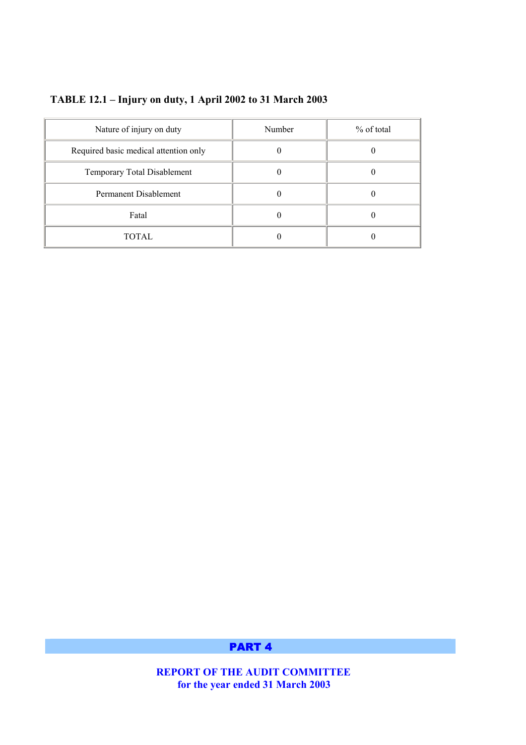| Nature of injury on duty              | Number | % of total |
|---------------------------------------|--------|------------|
| Required basic medical attention only |        |            |
| Temporary Total Disablement           |        |            |
| Permanent Disablement                 |        |            |
| Fatal                                 |        |            |
| TOTAL                                 |        |            |

# **TABLE 12.1 – Injury on duty, 1 April 2002 to 31 March 2003**

PART 4

 **REPORT OF THE AUDIT COMMITTEE for the year ended 31 March 2003**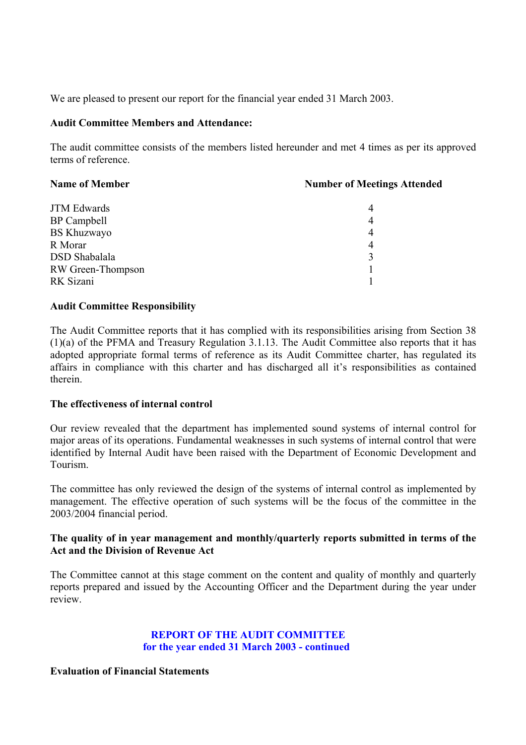We are pleased to present our report for the financial year ended 31 March 2003.

## **Audit Committee Members and Attendance:**

The audit committee consists of the members listed hereunder and met 4 times as per its approved terms of reference.

| <b>Name of Member</b> | <b>Number of Meetings Attended</b> |  |  |
|-----------------------|------------------------------------|--|--|
| <b>JTM Edwards</b>    | 4                                  |  |  |
| BP Campbell           | 4                                  |  |  |
| <b>BS Khuzwayo</b>    | 4                                  |  |  |
| R Morar               | 4                                  |  |  |
| <b>DSD</b> Shabalala  | 3                                  |  |  |
| RW Green-Thompson     |                                    |  |  |
| RK Sizani             |                                    |  |  |

## **Audit Committee Responsibility**

The Audit Committee reports that it has complied with its responsibilities arising from Section 38 (1)(a) of the PFMA and Treasury Regulation 3.1.13. The Audit Committee also reports that it has adopted appropriate formal terms of reference as its Audit Committee charter, has regulated its affairs in compliance with this charter and has discharged all it's responsibilities as contained therein.

## **The effectiveness of internal control**

Our review revealed that the department has implemented sound systems of internal control for major areas of its operations. Fundamental weaknesses in such systems of internal control that were identified by Internal Audit have been raised with the Department of Economic Development and Tourism.

The committee has only reviewed the design of the systems of internal control as implemented by management. The effective operation of such systems will be the focus of the committee in the 2003/2004 financial period.

# **The quality of in year management and monthly/quarterly reports submitted in terms of the Act and the Division of Revenue Act**

The Committee cannot at this stage comment on the content and quality of monthly and quarterly reports prepared and issued by the Accounting Officer and the Department during the year under review.

# **REPORT OF THE AUDIT COMMITTEE for the year ended 31 March 2003 - continued**

## **Evaluation of Financial Statements**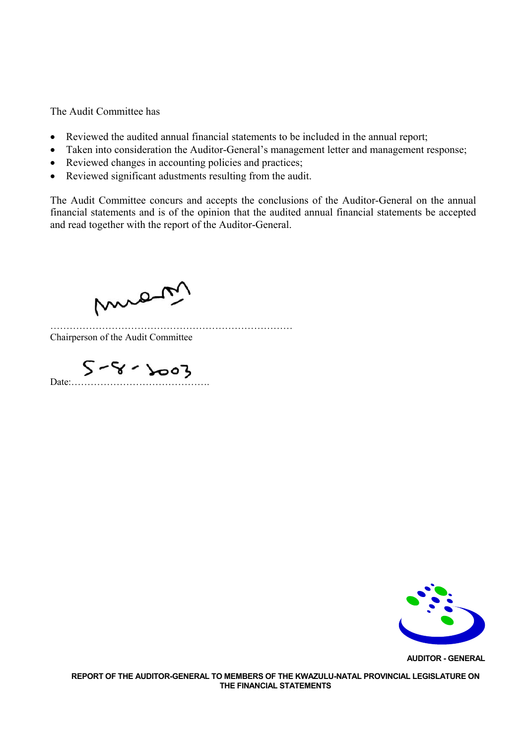The Audit Committee has

- Reviewed the audited annual financial statements to be included in the annual report;
- Taken into consideration the Auditor-General's management letter and management response;
- Reviewed changes in accounting policies and practices;
- Reviewed significant adustments resulting from the audit.

The Audit Committee concurs and accepts the conclusions of the Auditor-General on the annual financial statements and is of the opinion that the audited annual financial statements be accepted and read together with the report of the Auditor-General.

mist

………………………………………………………………… Chairperson of the Audit Committee

 $S - 8 - 2003$ 



**AUDITOR - GENERAL**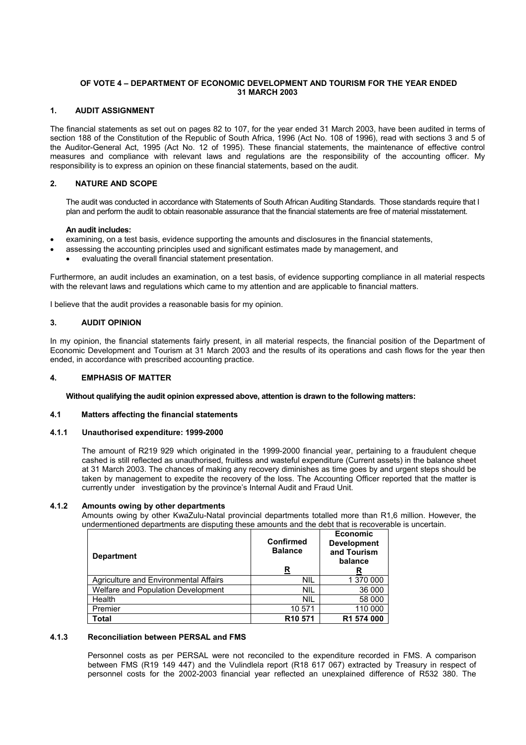#### **OF VOTE 4 – DEPARTMENT OF ECONOMIC DEVELOPMENT AND TOURISM FOR THE YEAR ENDED 31 MARCH 2003**

#### **1. AUDIT ASSIGNMENT**

The financial statements as set out on pages 82 to 107, for the year ended 31 March 2003, have been audited in terms of section 188 of the Constitution of the Republic of South Africa, 1996 (Act No. 108 of 1996), read with sections 3 and 5 of the Auditor-General Act, 1995 (Act No. 12 of 1995). These financial statements, the maintenance of effective control measures and compliance with relevant laws and regulations are the responsibility of the accounting officer. My responsibility is to express an opinion on these financial statements, based on the audit.

#### **2. NATURE AND SCOPE**

The audit was conducted in accordance with Statements of South African Auditing Standards. Those standards require that I plan and perform the audit to obtain reasonable assurance that the financial statements are free of material misstatement.

#### **An audit includes:**

- examining, on a test basis, evidence supporting the amounts and disclosures in the financial statements,
- assessing the accounting principles used and significant estimates made by management, and
- evaluating the overall financial statement presentation.

Furthermore, an audit includes an examination, on a test basis, of evidence supporting compliance in all material respects with the relevant laws and regulations which came to my attention and are applicable to financial matters.

I believe that the audit provides a reasonable basis for my opinion.

#### **3. AUDIT OPINION**

In my opinion, the financial statements fairly present, in all material respects, the financial position of the Department of Economic Development and Tourism at 31 March 2003 and the results of its operations and cash flows for the year then ended, in accordance with prescribed accounting practice.

#### **4. EMPHASIS OF MATTER**

**Without qualifying the audit opinion expressed above, attention is drawn to the following matters:** 

#### **4.1 Matters affecting the financial statements**

#### **4.1.1 Unauthorised expenditure: 1999-2000**

The amount of R219 929 which originated in the 1999-2000 financial year, pertaining to a fraudulent cheque cashed is still reflected as unauthorised, fruitless and wasteful expenditure (Current assets) in the balance sheet at 31 March 2003. The chances of making any recovery diminishes as time goes by and urgent steps should be taken by management to expedite the recovery of the loss. The Accounting Officer reported that the matter is currently under investigation by the province's Internal Audit and Fraud Unit.

#### **4.1.2 Amounts owing by other departments**

Amounts owing by other KwaZulu-Natal provincial departments totalled more than R1,6 million. However, the undermentioned departments are disputing these amounts and the debt that is recoverable is uncertain.

| <b>Department</b>                     | <b>Confirmed</b><br><b>Balance</b><br>R | <b>Economic</b><br><b>Development</b><br>and Tourism<br>balance<br>R |
|---------------------------------------|-----------------------------------------|----------------------------------------------------------------------|
| Agriculture and Environmental Affairs | <b>NIL</b>                              | 1 370 000                                                            |
| Welfare and Population Development    | <b>NIL</b>                              | 36 000                                                               |
| Health                                | <b>NIL</b>                              | 58 000                                                               |
| Premier                               | 10 571                                  | 110 000                                                              |
| <b>Total</b>                          | R <sub>10</sub> 571                     | R1 574 000                                                           |

#### **4.1.3 Reconciliation between PERSAL and FMS**

Personnel costs as per PERSAL were not reconciled to the expenditure recorded in FMS. A comparison between FMS (R19 149 447) and the Vulindlela report (R18 617 067) extracted by Treasury in respect of personnel costs for the 2002-2003 financial year reflected an unexplained difference of R532 380. The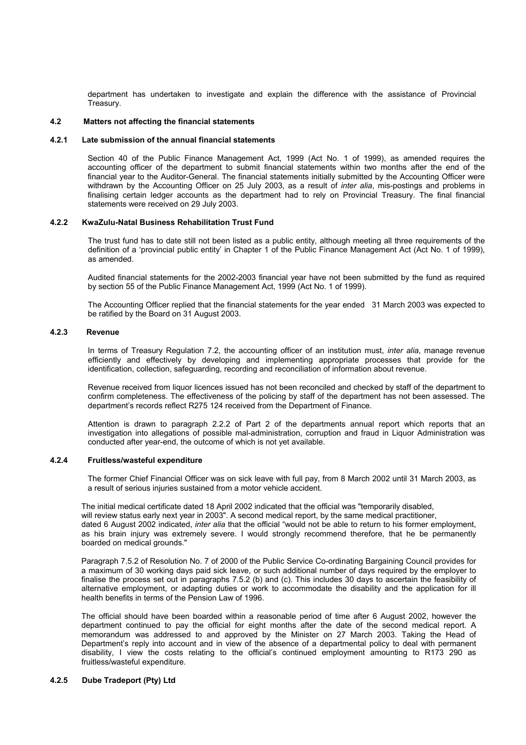department has undertaken to investigate and explain the difference with the assistance of Provincial Treasury.

#### **4.2 Matters not affecting the financial statements**

#### **4.2.1 Late submission of the annual financial statements**

Section 40 of the Public Finance Management Act, 1999 (Act No. 1 of 1999), as amended requires the accounting officer of the department to submit financial statements within two months after the end of the financial year to the Auditor-General. The financial statements initially submitted by the Accounting Officer were withdrawn by the Accounting Officer on 25 July 2003, as a result of *inter alia*, mis-postings and problems in finalising certain ledger accounts as the department had to rely on Provincial Treasury. The final financial statements were received on 29 July 2003.

#### **4.2.2 KwaZulu-Natal Business Rehabilitation Trust Fund**

The trust fund has to date still not been listed as a public entity, although meeting all three requirements of the definition of a 'provincial public entity' in Chapter 1 of the Public Finance Management Act (Act No. 1 of 1999), as amended.

Audited financial statements for the 2002-2003 financial year have not been submitted by the fund as required by section 55 of the Public Finance Management Act, 1999 (Act No. 1 of 1999).

The Accounting Officer replied that the financial statements for the year ended 31 March 2003 was expected to be ratified by the Board on 31 August 2003.

#### **4.2.3 Revenue**

In terms of Treasury Regulation 7.2, the accounting officer of an institution must, *inter alia*, manage revenue efficiently and effectively by developing and implementing appropriate processes that provide for the identification, collection, safeguarding, recording and reconciliation of information about revenue.

Revenue received from liquor licences issued has not been reconciled and checked by staff of the department to confirm completeness. The effectiveness of the policing by staff of the department has not been assessed. The department's records reflect R275 124 received from the Department of Finance.

Attention is drawn to paragraph 2.2.2 of Part 2 of the departments annual report which reports that an investigation into allegations of possible mal-administration, corruption and fraud in Liquor Administration was conducted after year-end, the outcome of which is not yet available.

#### **4.2.4 Fruitless/wasteful expenditure**

The former Chief Financial Officer was on sick leave with full pay, from 8 March 2002 until 31 March 2003, as a result of serious injuries sustained from a motor vehicle accident.

The initial medical certificate dated 18 April 2002 indicated that the official was "temporarily disabled, will review status early next year in 2003". A second medical report, by the same medical practitioner, dated 6 August 2002 indicated, *inter alia* that the official "would not be able to return to his former employment, as his brain injury was extremely severe. I would strongly recommend therefore, that he be permanently boarded on medical grounds."

Paragraph 7.5.2 of Resolution No. 7 of 2000 of the Public Service Co-ordinating Bargaining Council provides for a maximum of 30 working days paid sick leave, or such additional number of days required by the employer to finalise the process set out in paragraphs 7.5.2 (b) and (c). This includes 30 days to ascertain the feasibility of alternative employment, or adapting duties or work to accommodate the disability and the application for ill health benefits in terms of the Pension Law of 1996.

The official should have been boarded within a reasonable period of time after 6 August 2002, however the department continued to pay the official for eight months after the date of the second medical report. A memorandum was addressed to and approved by the Minister on 27 March 2003. Taking the Head of Department's reply into account and in view of the absence of a departmental policy to deal with permanent disability, I view the costs relating to the official's continued employment amounting to R173 290 as fruitless/wasteful expenditure.

#### **4.2.5 Dube Tradeport (Pty) Ltd**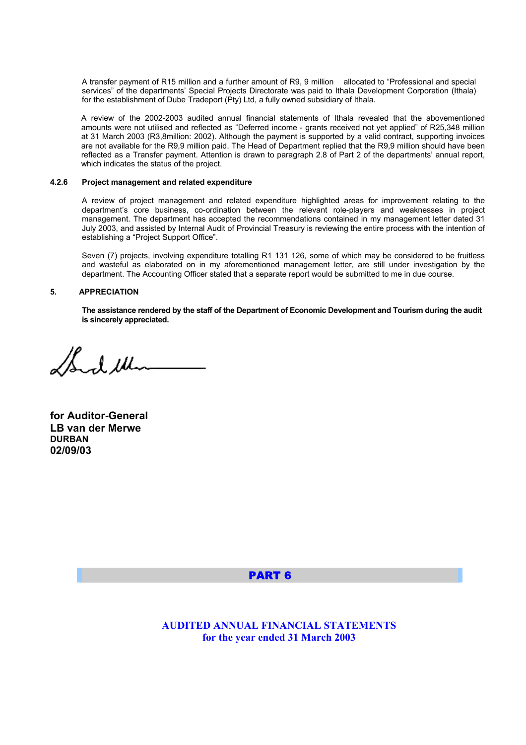A transfer payment of R15 million and a further amount of R9, 9 million allocated to "Professional and special services" of the departments' Special Projects Directorate was paid to Ithala Development Corporation (Ithala) for the establishment of Dube Tradeport (Pty) Ltd, a fully owned subsidiary of Ithala.

A review of the 2002-2003 audited annual financial statements of Ithala revealed that the abovementioned amounts were not utilised and reflected as "Deferred income - grants received not yet applied" of R25,348 million at 31 March 2003 (R3,8million: 2002). Although the payment is supported by a valid contract, supporting invoices are not available for the R9,9 million paid. The Head of Department replied that the R9,9 million should have been reflected as a Transfer payment. Attention is drawn to paragraph 2.8 of Part 2 of the departments' annual report, which indicates the status of the project.

#### **4.2.6 Project management and related expenditure**

A review of project management and related expenditure highlighted areas for improvement relating to the department's core business, co-ordination between the relevant role-players and weaknesses in project management. The department has accepted the recommendations contained in my management letter dated 31 July 2003, and assisted by Internal Audit of Provincial Treasury is reviewing the entire process with the intention of establishing a "Project Support Office".

Seven (7) projects, involving expenditure totalling R1 131 126, some of which may be considered to be fruitless and wasteful as elaborated on in my aforementioned management letter, are still under investigation by the department. The Accounting Officer stated that a separate report would be submitted to me in due course.

#### **5. APPRECIATION**

**The assistance rendered by the staff of the Department of Economic Development and Tourism during the audit is sincerely appreciated.**

Soul Mi

**for Auditor-General LB van der Merwe DURBAN 02/09/03** 

#### PART 6

**AUDITED ANNUAL FINANCIAL STATEMENTS for the year ended 31 March 2003**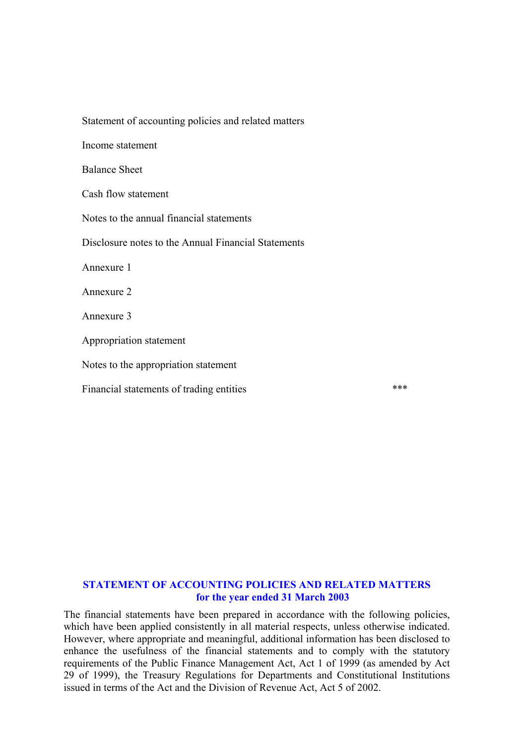| Statement of accounting policies and related matters |     |
|------------------------------------------------------|-----|
| Income statement                                     |     |
| <b>Balance Sheet</b>                                 |     |
| Cash flow statement                                  |     |
| Notes to the annual financial statements             |     |
| Disclosure notes to the Annual Financial Statements  |     |
| Annexure 1                                           |     |
| Annexure 2                                           |     |
| Annexure 3                                           |     |
| Appropriation statement                              |     |
| Notes to the appropriation statement                 |     |
| Financial statements of trading entities             | *** |

# **STATEMENT OF ACCOUNTING POLICIES AND RELATED MATTERS for the year ended 31 March 2003**

The financial statements have been prepared in accordance with the following policies, which have been applied consistently in all material respects, unless otherwise indicated. However, where appropriate and meaningful, additional information has been disclosed to enhance the usefulness of the financial statements and to comply with the statutory requirements of the Public Finance Management Act, Act 1 of 1999 (as amended by Act 29 of 1999), the Treasury Regulations for Departments and Constitutional Institutions issued in terms of the Act and the Division of Revenue Act, Act 5 of 2002.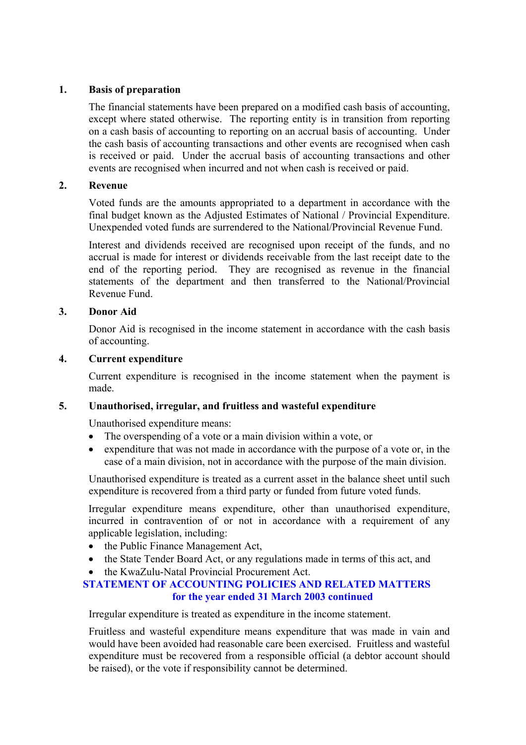# **1. Basis of preparation**

The financial statements have been prepared on a modified cash basis of accounting, except where stated otherwise. The reporting entity is in transition from reporting on a cash basis of accounting to reporting on an accrual basis of accounting. Under the cash basis of accounting transactions and other events are recognised when cash is received or paid. Under the accrual basis of accounting transactions and other events are recognised when incurred and not when cash is received or paid.

## **2. Revenue**

Voted funds are the amounts appropriated to a department in accordance with the final budget known as the Adjusted Estimates of National / Provincial Expenditure. Unexpended voted funds are surrendered to the National/Provincial Revenue Fund.

Interest and dividends received are recognised upon receipt of the funds, and no accrual is made for interest or dividends receivable from the last receipt date to the end of the reporting period. They are recognised as revenue in the financial statements of the department and then transferred to the National/Provincial Revenue Fund.

## **3. Donor Aid**

Donor Aid is recognised in the income statement in accordance with the cash basis of accounting.

## **4. Current expenditure**

Current expenditure is recognised in the income statement when the payment is made.

# **5. Unauthorised, irregular, and fruitless and wasteful expenditure**

Unauthorised expenditure means:

- The overspending of a vote or a main division within a vote, or
- expenditure that was not made in accordance with the purpose of a vote or, in the case of a main division, not in accordance with the purpose of the main division.

Unauthorised expenditure is treated as a current asset in the balance sheet until such expenditure is recovered from a third party or funded from future voted funds.

Irregular expenditure means expenditure, other than unauthorised expenditure, incurred in contravention of or not in accordance with a requirement of any applicable legislation, including:

- the Public Finance Management Act,
- the State Tender Board Act, or any regulations made in terms of this act, and

# • the KwaZulu-Natal Provincial Procurement Act.

# **STATEMENT OF ACCOUNTING POLICIES AND RELATED MATTERS for the year ended 31 March 2003 continued**

Irregular expenditure is treated as expenditure in the income statement.

Fruitless and wasteful expenditure means expenditure that was made in vain and would have been avoided had reasonable care been exercised. Fruitless and wasteful expenditure must be recovered from a responsible official (a debtor account should be raised), or the vote if responsibility cannot be determined.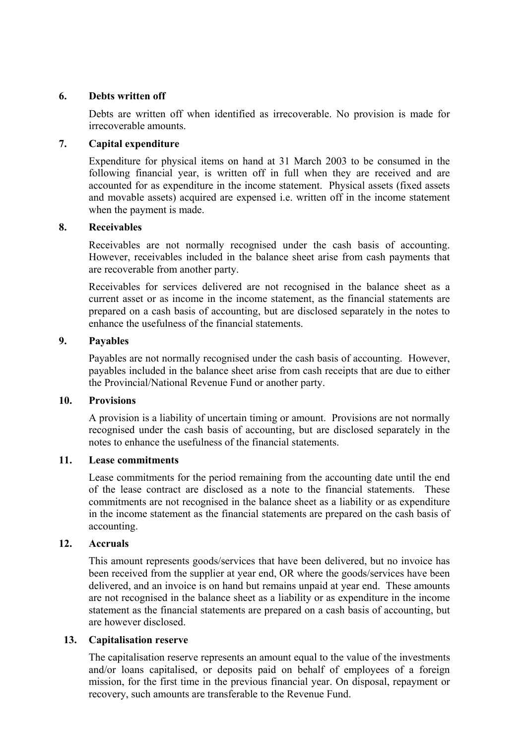# **6. Debts written off**

Debts are written off when identified as irrecoverable. No provision is made for irrecoverable amounts.

# **7. Capital expenditure**

Expenditure for physical items on hand at 31 March 2003 to be consumed in the following financial year, is written off in full when they are received and are accounted for as expenditure in the income statement. Physical assets (fixed assets and movable assets) acquired are expensed i.e. written off in the income statement when the payment is made.

## **8. Receivables**

Receivables are not normally recognised under the cash basis of accounting. However, receivables included in the balance sheet arise from cash payments that are recoverable from another party.

Receivables for services delivered are not recognised in the balance sheet as a current asset or as income in the income statement, as the financial statements are prepared on a cash basis of accounting, but are disclosed separately in the notes to enhance the usefulness of the financial statements.

## **9. Payables**

Payables are not normally recognised under the cash basis of accounting. However, payables included in the balance sheet arise from cash receipts that are due to either the Provincial/National Revenue Fund or another party.

## **10. Provisions**

A provision is a liability of uncertain timing or amount. Provisions are not normally recognised under the cash basis of accounting, but are disclosed separately in the notes to enhance the usefulness of the financial statements.

## **11. Lease commitments**

Lease commitments for the period remaining from the accounting date until the end of the lease contract are disclosed as a note to the financial statements. These commitments are not recognised in the balance sheet as a liability or as expenditure in the income statement as the financial statements are prepared on the cash basis of accounting.

## **12. Accruals**

This amount represents goods/services that have been delivered, but no invoice has been received from the supplier at year end, OR where the goods/services have been delivered, and an invoice is on hand but remains unpaid at year end. These amounts are not recognised in the balance sheet as a liability or as expenditure in the income statement as the financial statements are prepared on a cash basis of accounting, but are however disclosed.

## **13. Capitalisation reserve**

The capitalisation reserve represents an amount equal to the value of the investments and/or loans capitalised, or deposits paid on behalf of employees of a foreign mission, for the first time in the previous financial year. On disposal, repayment or recovery, such amounts are transferable to the Revenue Fund.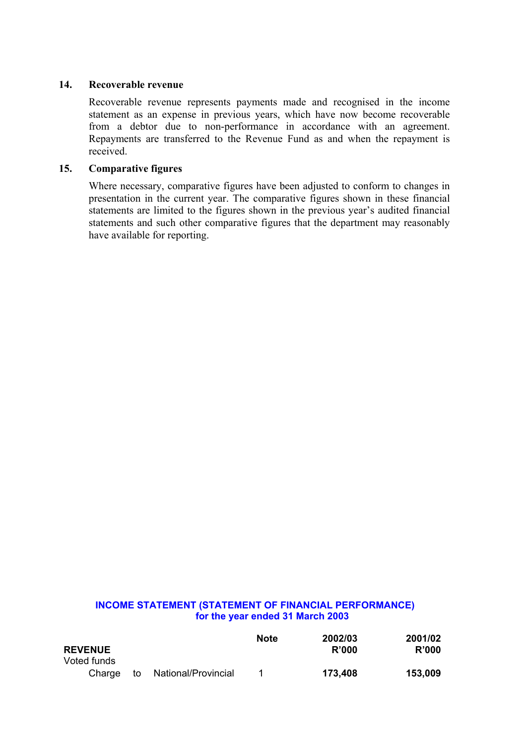## **14. Recoverable revenue**

Recoverable revenue represents payments made and recognised in the income statement as an expense in previous years, which have now become recoverable from a debtor due to non-performance in accordance with an agreement. Repayments are transferred to the Revenue Fund as and when the repayment is received.

## **15. Comparative figures**

Where necessary, comparative figures have been adjusted to conform to changes in presentation in the current year. The comparative figures shown in these financial statements are limited to the figures shown in the previous year's audited financial statements and such other comparative figures that the department may reasonably have available for reporting.

## **INCOME STATEMENT (STATEMENT OF FINANCIAL PERFORMANCE) for the year ended 31 March 2003**

|                |    |                     | <b>Note</b> | 2002/03      | 2001/02 |
|----------------|----|---------------------|-------------|--------------|---------|
| <b>REVENUE</b> |    |                     |             | <b>R'000</b> | R'000   |
| Voted funds    |    |                     |             |              |         |
| Charge         | to | National/Provincial |             | 173,408      | 153,009 |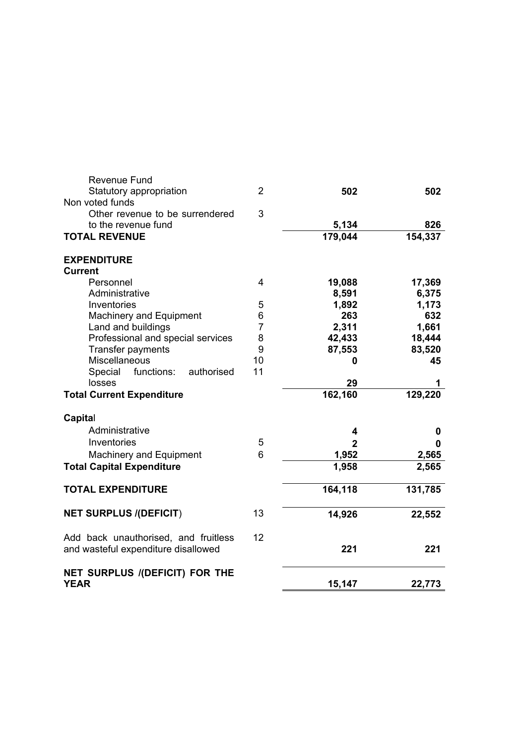| Revenue Fund<br>Statutory appropriation<br>Non voted funds<br>Other revenue to be surrendered<br>to the revenue fund<br><b>TOTAL REVENUE</b> | $\overline{2}$<br>3 | 502<br>5,134<br>179,044 | 502<br>826<br>154,337 |
|----------------------------------------------------------------------------------------------------------------------------------------------|---------------------|-------------------------|-----------------------|
| <b>EXPENDITURE</b>                                                                                                                           |                     |                         |                       |
| <b>Current</b>                                                                                                                               |                     |                         |                       |
| Personnel                                                                                                                                    | 4                   | 19,088                  | 17,369                |
| Administrative                                                                                                                               |                     | 8,591                   | 6,375                 |
| Inventories                                                                                                                                  | 5                   | 1,892                   | 1,173                 |
| <b>Machinery and Equipment</b>                                                                                                               | 6                   | 263                     | 632                   |
| Land and buildings                                                                                                                           | $\overline{7}$      | 2,311                   | 1,661                 |
| Professional and special services                                                                                                            | 8                   | 42,433                  | 18,444                |
| Transfer payments                                                                                                                            | 9                   | 87,553                  | 83,520                |
| Miscellaneous                                                                                                                                | 10                  | 0                       | 45                    |
| Special<br>functions:<br>authorised                                                                                                          | 11                  |                         |                       |
| losses                                                                                                                                       |                     | 29                      | 1                     |
| <b>Total Current Expenditure</b>                                                                                                             |                     | 162, 160                | 129,220               |
| Capital                                                                                                                                      |                     |                         |                       |
| Administrative                                                                                                                               |                     | 4                       | 0                     |
| Inventories                                                                                                                                  | 5                   | $\overline{2}$          | $\mathbf{0}$          |
| Machinery and Equipment                                                                                                                      | 6                   | 1,952                   | 2,565                 |
| <b>Total Capital Expenditure</b>                                                                                                             |                     | 1,958                   | 2,565                 |
| <b>TOTAL EXPENDITURE</b>                                                                                                                     |                     | 164,118                 | 131,785               |
|                                                                                                                                              |                     |                         |                       |
| <b>NET SURPLUS /(DEFICIT)</b>                                                                                                                | 13                  | 14,926                  | 22,552                |
| Add back unauthorised, and fruitless                                                                                                         | 12                  |                         |                       |
| and wasteful expenditure disallowed                                                                                                          |                     | 221                     | 221                   |
| NET SURPLUS /(DEFICIT) FOR THE                                                                                                               |                     |                         |                       |
| <b>YEAR</b>                                                                                                                                  |                     | 15,147                  | 22,773                |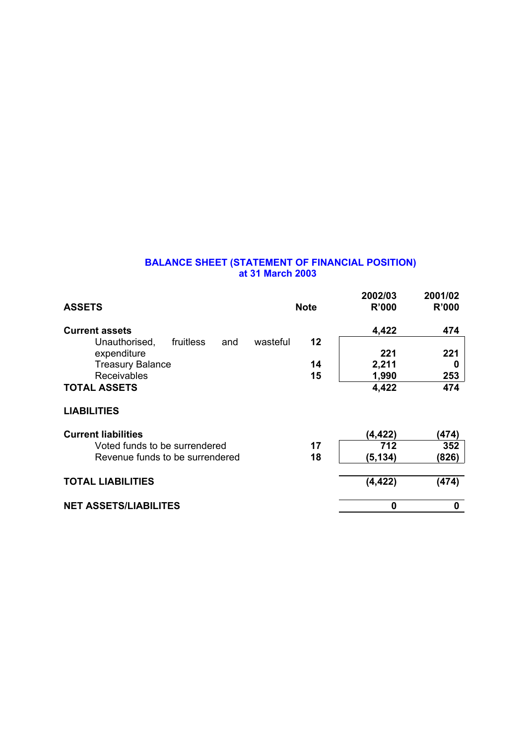#### **BALANCE SHEET (STATEMENT OF FINANCIAL POSITION) at 31 March 2003**

| <b>ASSETS</b>                                 | <b>Note</b> | 2002/03<br><b>R'000</b> | 2001/02<br><b>R'000</b> |
|-----------------------------------------------|-------------|-------------------------|-------------------------|
| <b>Current assets</b>                         |             | 4,422                   | 474                     |
| fruitless<br>wasteful<br>Unauthorised,<br>and | 12          |                         |                         |
| expenditure                                   |             | 221                     | 221                     |
| <b>Treasury Balance</b>                       | 14          | 2,211                   | 0                       |
| Receivables                                   | 15          | 1,990                   | 253                     |
| <b>TOTAL ASSETS</b>                           |             | 4,422                   | 474                     |
| <b>LIABILITIES</b>                            |             |                         |                         |
| <b>Current liabilities</b>                    |             | (4,422)                 | (474)                   |
| Voted funds to be surrendered                 | 17          | 712                     | 352                     |
| Revenue funds to be surrendered               | 18          | (5, 134)                | (826)                   |
| <b>TOTAL LIABILITIES</b>                      |             | (4, 422)                | (474)                   |
| <b>NET ASSETS/LIABILITES</b>                  |             | 0                       | 0                       |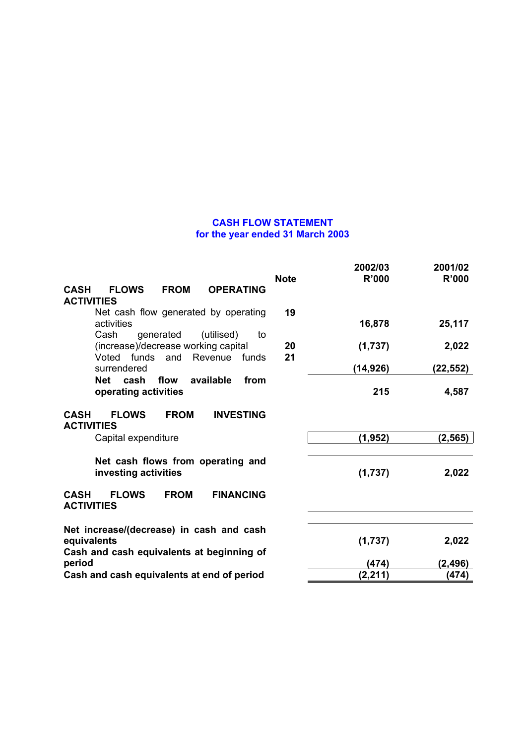#### **CASH FLOW STATEMENT for the year ended 31 March 2003**

|                                                                                                                        |             | 2002/03      | 2001/02      |
|------------------------------------------------------------------------------------------------------------------------|-------------|--------------|--------------|
|                                                                                                                        | <b>Note</b> | <b>R'000</b> | <b>R'000</b> |
| <b>CASH</b><br><b>FLOWS</b><br><b>FROM</b><br><b>OPERATING</b><br><b>ACTIVITIES</b>                                    |             |              |              |
| Net cash flow generated by operating<br>activities                                                                     | 19          | 16,878       | 25,117       |
| Cash<br>generated<br>(utilised)<br>to<br>(increase)/decrease working capital<br>Voted funds<br>Revenue<br>and<br>funds | 20<br>21    | (1,737)      | 2,022        |
| surrendered                                                                                                            |             | (14,926)     | (22,552)     |
| flow<br>available<br>cash<br>from<br>Net<br>operating activities                                                       |             | 215          | 4,587        |
| <b>FLOWS</b><br><b>FROM</b><br><b>INVESTING</b><br><b>CASH</b><br><b>ACTIVITIES</b>                                    |             |              |              |
| Capital expenditure                                                                                                    |             | (1, 952)     | (2, 565)     |
| Net cash flows from operating and<br>investing activities                                                              |             | (1,737)      | 2,022        |
| <b>FROM</b><br><b>CASH</b><br><b>FLOWS</b><br><b>FINANCING</b><br><b>ACTIVITIES</b>                                    |             |              |              |
| Net increase/(decrease) in cash and cash<br>equivalents<br>Cash and cash equivalents at beginning of                   |             | (1,737)      | 2,022        |
| period                                                                                                                 |             | (474)        | (2, 496)     |
| Cash and cash equivalents at end of period                                                                             |             | (2, 211)     | (474)        |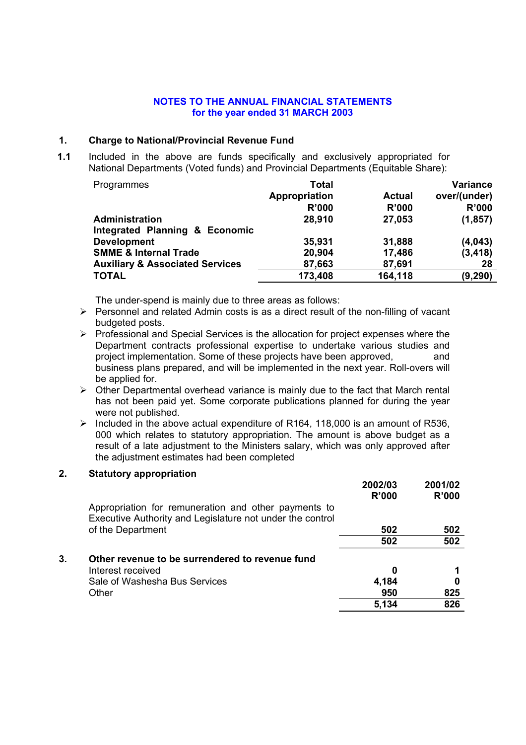#### **1. Charge to National/Provincial Revenue Fund**

**1.1** Included in the above are funds specifically and exclusively appropriated for National Departments (Voted funds) and Provincial Departments (Equitable Share):

| Programmes                                 | <b>Total</b>  |               | <b>Variance</b> |
|--------------------------------------------|---------------|---------------|-----------------|
|                                            | Appropriation | <b>Actual</b> | over/(under)    |
|                                            | R'000         | <b>R'000</b>  | <b>R'000</b>    |
| <b>Administration</b>                      | 28,910        | 27,053        | (1, 857)        |
| Integrated Planning & Economic             |               |               |                 |
| <b>Development</b>                         | 35,931        | 31,888        | (4,043)         |
| <b>SMME &amp; Internal Trade</b>           | 20,904        | 17,486        | (3, 418)        |
| <b>Auxiliary &amp; Associated Services</b> | 87,663        | 87,691        | 28              |
| <b>TOTAL</b>                               | 173,408       | 164,118       | (9, 290)        |

The under-spend is mainly due to three areas as follows:

- $\triangleright$  Personnel and related Admin costs is as a direct result of the non-filling of vacant budgeted posts.
- $\triangleright$  Professional and Special Services is the allocation for project expenses where the Department contracts professional expertise to undertake various studies and project implementation. Some of these projects have been approved, and business plans prepared, and will be implemented in the next year. Roll-overs will be applied for.
- $\triangleright$  Other Departmental overhead variance is mainly due to the fact that March rental has not been paid yet. Some corporate publications planned for during the year were not published.
- ¾ Included in the above actual expenditure of R164, 118,000 is an amount of R536, 000 which relates to statutory appropriation. The amount is above budget as a result of a late adjustment to the Ministers salary, which was only approved after the adjustment estimates had been completed

#### **2. Statutory appropriation**

|    |                                                                                                                   | 2002/03<br>R'000 | 2001/02<br>R'000 |
|----|-------------------------------------------------------------------------------------------------------------------|------------------|------------------|
|    | Appropriation for remuneration and other payments to<br>Executive Authority and Legislature not under the control |                  |                  |
|    | of the Department                                                                                                 | 502              | 502              |
|    |                                                                                                                   | 502              | 502              |
| 3. | Other revenue to be surrendered to revenue fund                                                                   |                  |                  |
|    | Interest received                                                                                                 | 0                |                  |
|    | Sale of Washesha Bus Services                                                                                     | 4,184            |                  |
|    | Other                                                                                                             | 950              | 825              |
|    |                                                                                                                   | 5,134            | 826              |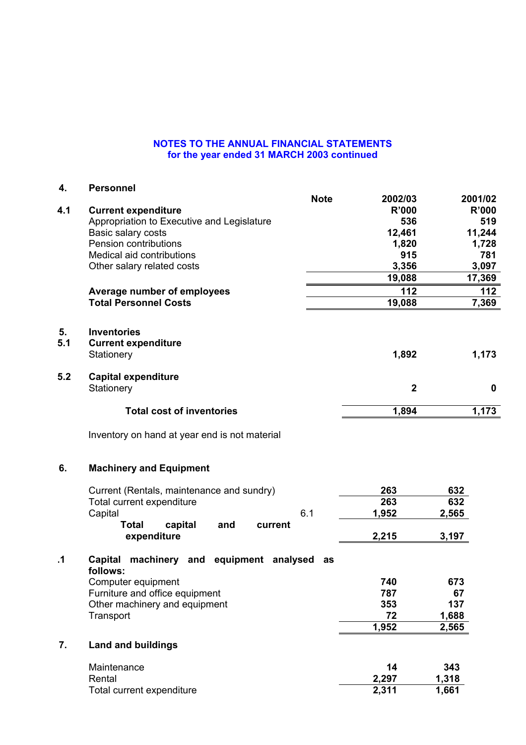| 4.        | <b>Personnel</b>                                                 |                         |       |              |
|-----------|------------------------------------------------------------------|-------------------------|-------|--------------|
|           | <b>Note</b>                                                      | 2002/03                 |       | 2001/02      |
| 4.1       | <b>Current expenditure</b>                                       | <b>R'000</b>            |       | <b>R'000</b> |
|           | Appropriation to Executive and Legislature                       | 536                     |       | 519          |
|           | Basic salary costs                                               | 12,461                  |       | 11,244       |
|           | Pension contributions                                            | 1,820                   |       | 1,728        |
|           | Medical aid contributions                                        | 915                     |       | 781          |
|           | Other salary related costs                                       | 3,356                   |       | 3,097        |
|           |                                                                  | 19,088                  |       | 17,369       |
|           | Average number of employees                                      | 112                     |       | 112          |
|           | <b>Total Personnel Costs</b>                                     | 19,088                  |       | 7,369        |
| 5.        | <b>Inventories</b>                                               |                         |       |              |
| 5.1       | <b>Current expenditure</b>                                       |                         |       |              |
|           | Stationery                                                       | 1,892                   |       | 1,173        |
| 5.2       | <b>Capital expenditure</b>                                       |                         |       |              |
|           | Stationery                                                       | $\overline{\mathbf{2}}$ |       | 0            |
|           | <b>Total cost of inventories</b>                                 | 1,894                   |       | 1,173        |
|           | Inventory on hand at year end is not material                    |                         |       |              |
| 6.        | <b>Machinery and Equipment</b>                                   |                         |       |              |
|           | Current (Rentals, maintenance and sundry)                        | 263                     | 632   |              |
|           | Total current expenditure                                        | 263                     | 632   |              |
|           | 6.1<br>Capital                                                   | 1,952                   | 2,565 |              |
|           | <b>Total</b><br>capital<br>and<br>current                        |                         |       |              |
|           | expenditure                                                      | 2,215                   | 3,197 |              |
| $\cdot$ 1 | Capital<br>machinery<br>and equipment analysed<br>as<br>follows: |                         |       |              |
|           | Computer equipment                                               | 740                     | 673   |              |
|           | Furniture and office equipment                                   | 787                     | 67    |              |
|           | Other machinery and equipment                                    | 353                     | 137   |              |
|           | Transport                                                        | 72                      | 1,688 |              |
|           |                                                                  | 1,952                   | 2,565 |              |
| 7.        | <b>Land and buildings</b>                                        |                         |       |              |
|           | Maintenance                                                      | 14                      | 343   |              |
|           | Rental                                                           | 2,297                   | 1,318 |              |
|           | Total current expenditure                                        | 2,311                   | 1,661 |              |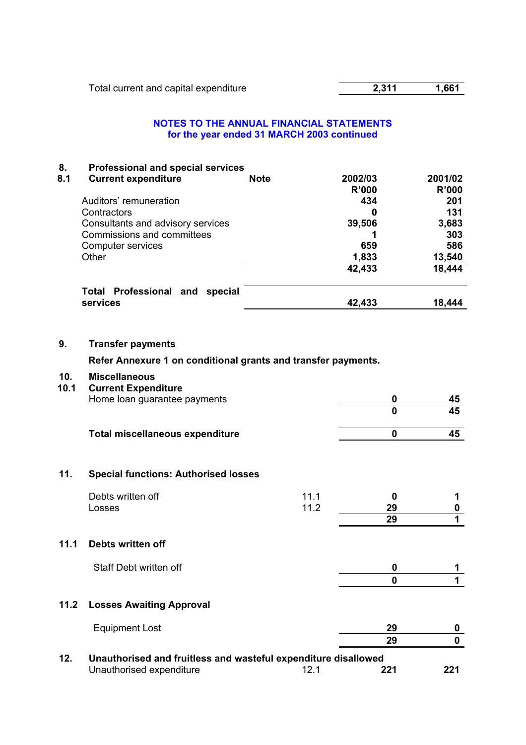## **8. Professional and special services**

| 8.1 | <b>Current expenditure</b>               | <b>Note</b> | 2002/03      | 2001/02      |
|-----|------------------------------------------|-------------|--------------|--------------|
|     |                                          |             | <b>R'000</b> | <b>R'000</b> |
|     | Auditors' remuneration                   |             | 434          | 201          |
|     | Contractors                              |             | 0            | 131          |
|     | Consultants and advisory services        |             | 39,506       | 3,683        |
|     | Commissions and committees               |             |              | 303          |
|     | Computer services                        |             | 659          | 586          |
|     | Other                                    |             | 1,833        | 13,540       |
|     |                                          |             | 42,433       | 18,444       |
|     | <b>Total Professional and</b><br>special |             |              |              |
|     | services                                 |             | 42,433       | 18,444       |

## **9. Transfer payments**

**Refer Annexure 1 on conditional grants and transfer payments.** 

#### **10. Miscellaneous**

| 10.1   | <b>Current Expenditure</b>                                     |      |     |     |
|--------|----------------------------------------------------------------|------|-----|-----|
|        | Home loan guarantee payments                                   |      | 0   | 45  |
|        |                                                                |      | 0   | 45  |
|        | <b>Total miscellaneous expenditure</b>                         |      | 0   | 45  |
| 11.    | <b>Special functions: Authorised losses</b>                    |      |     |     |
|        | Debts written off                                              | 11.1 | 0   |     |
|        | Losses                                                         | 11.2 | 29  | 0   |
|        |                                                                |      | 29  | 1   |
| 11.1   | Debts written off                                              |      |     |     |
|        | Staff Debt written off                                         |      | 0   | 1   |
|        |                                                                |      | 0   | 1   |
| $11.2$ | <b>Losses Awaiting Approval</b>                                |      |     |     |
|        | <b>Equipment Lost</b>                                          |      | 29  | 0   |
|        |                                                                |      | 29  | 0   |
| 12.    | Unauthorised and fruitless and wasteful expenditure disallowed |      |     |     |
|        | Unauthorised expenditure                                       | 12.1 | 221 | 221 |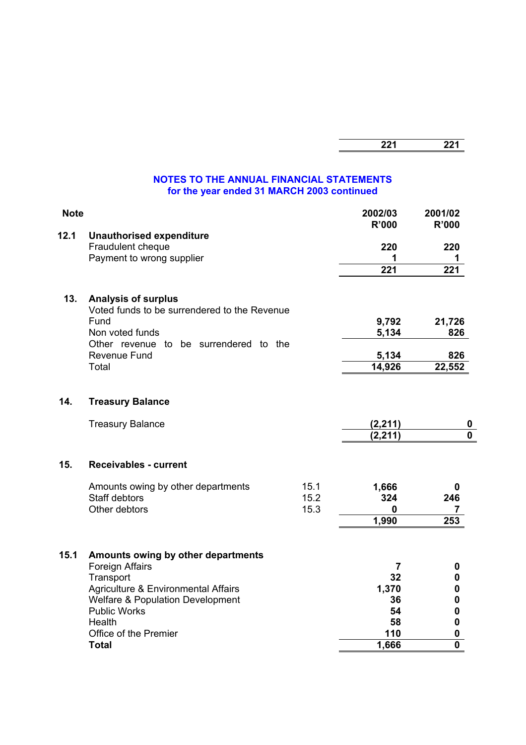| -- -<br>. .<br>-- - | <br>--- |
|---------------------|---------|
|                     |         |

| <b>Note</b> |                                                                                                                                                                                                                                    |                      | 2002/03<br>R'000                                                | 2001/02<br><b>R'000</b>                        |
|-------------|------------------------------------------------------------------------------------------------------------------------------------------------------------------------------------------------------------------------------------|----------------------|-----------------------------------------------------------------|------------------------------------------------|
| 12.1        | <b>Unauthorised expenditure</b><br>Fraudulent cheque<br>Payment to wrong supplier                                                                                                                                                  |                      | 220<br>1<br>221                                                 | 220<br>1<br>221                                |
| 13.         | <b>Analysis of surplus</b><br>Voted funds to be surrendered to the Revenue<br>Fund<br>Non voted funds<br>Other revenue to be surrendered to the<br>Revenue Fund<br>Total                                                           |                      | 9,792<br>5,134<br>5,134<br>14,926                               | 21,726<br>826<br>826<br>22,552                 |
| 14.         | <b>Treasury Balance</b>                                                                                                                                                                                                            |                      |                                                                 |                                                |
|             | <b>Treasury Balance</b>                                                                                                                                                                                                            |                      | (2, 211)<br>(2, 211)                                            | 0<br>$\mathbf 0$                               |
| 15.         | <b>Receivables - current</b>                                                                                                                                                                                                       |                      |                                                                 |                                                |
|             | Amounts owing by other departments<br><b>Staff debtors</b><br>Other debtors                                                                                                                                                        | 15.1<br>15.2<br>15.3 | 1,666<br>324<br>0<br>1,990                                      | 0<br>246<br>7<br>253                           |
| 15.1        | Amounts owing by other departments<br>Foreign Affairs<br>Transport<br>Agriculture & Environmental Affairs<br><b>Welfare &amp; Population Development</b><br><b>Public Works</b><br>Health<br>Office of the Premier<br><b>Total</b> |                      | $\overline{7}$<br>32<br>1,370<br>36<br>54<br>58<br>110<br>1,666 | 0<br>0<br>0<br>0<br>0<br>0<br>0<br>$\mathbf 0$ |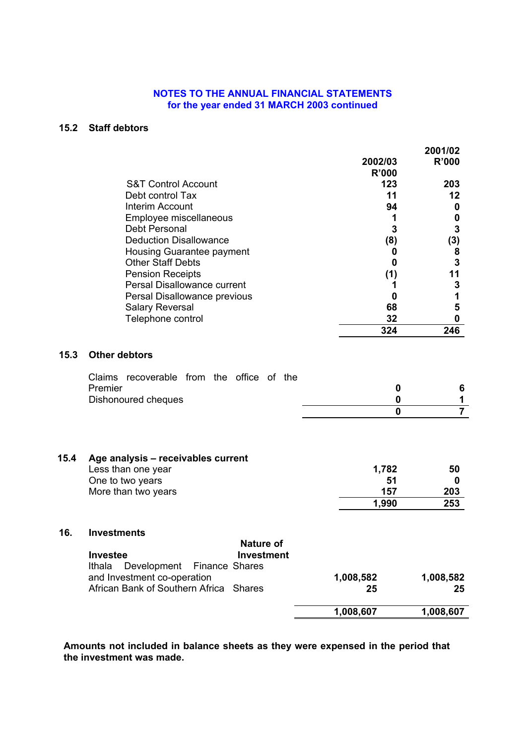#### **15.2 Staff debtors**

|      |                                                           | 2002/03         | 2001/02<br>R'000 |
|------|-----------------------------------------------------------|-----------------|------------------|
|      |                                                           | <b>R'000</b>    |                  |
|      | <b>S&amp;T Control Account</b>                            | 123             | 203              |
|      | Debt control Tax                                          | 11              | 12               |
|      | Interim Account                                           | 94              | 0                |
|      | Employee miscellaneous                                    | 1               | 0                |
|      | Debt Personal                                             | 3               | 3                |
|      | <b>Deduction Disallowance</b>                             | (8)             | (3)              |
|      | Housing Guarantee payment<br><b>Other Staff Debts</b>     | 0               | 8<br>3           |
|      | <b>Pension Receipts</b>                                   | 0               | 11               |
|      | Persal Disallowance current                               | (1)<br>1        | 3                |
|      | Persal Disallowance previous                              | 0               | 1                |
|      | <b>Salary Reversal</b>                                    | 68              | 5                |
|      | Telephone control                                         | 32              | 0                |
|      |                                                           | 324             | 246              |
|      |                                                           |                 |                  |
| 15.3 | <b>Other debtors</b>                                      |                 |                  |
|      | Claims recoverable from the office of the<br>Premier      | 0               | 6                |
|      | Dishonoured cheques                                       | 0               | 1                |
|      |                                                           | 0               | $\overline{7}$   |
|      |                                                           |                 |                  |
| 15.4 | Age analysis - receivables current                        |                 |                  |
|      | Less than one year                                        | 1,782           | 50               |
|      | One to two years<br>More than two years                   | 51<br>157       | 0                |
|      |                                                           |                 | 203              |
|      |                                                           | 1,990           | 253              |
| 16.  | <b>Investments</b>                                        |                 |                  |
|      | <b>Nature of</b>                                          |                 |                  |
|      | Investment<br><b>Investee</b><br>Ithala<br>Finance Shares |                 |                  |
|      | Development<br>and Investment co-operation                |                 | 1,008,582        |
|      | African Bank of Southern Africa Shares                    | 1,008,582<br>25 | 25               |
|      |                                                           |                 |                  |
|      |                                                           | 1,008,607       | 1,008,607        |

**Amounts not included in balance sheets as they were expensed in the period that the investment was made.**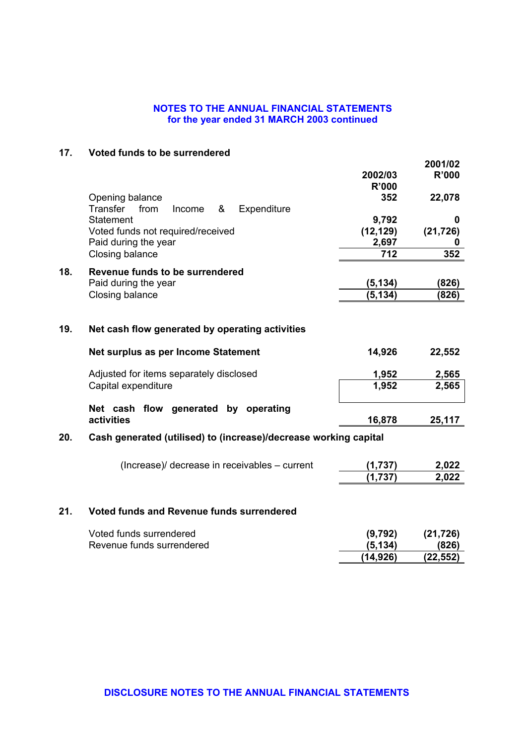## **17. Voted funds to be surrendered**

|     |                                                                  | 2002/03      | 2001/02<br><b>R'000</b> |
|-----|------------------------------------------------------------------|--------------|-------------------------|
|     |                                                                  | <b>R'000</b> |                         |
|     | Opening balance                                                  | 352          | 22,078                  |
|     | <b>Transfer</b><br>Expenditure<br>from<br>&<br>Income            |              |                         |
|     | <b>Statement</b>                                                 | 9,792        | 0                       |
|     | Voted funds not required/received                                | (12, 129)    | (21, 726)               |
|     | Paid during the year                                             | 2,697        | 0                       |
|     | Closing balance                                                  | 712          | 352                     |
| 18. | Revenue funds to be surrendered                                  |              |                         |
|     | Paid during the year                                             | (5, 134)     | (826)                   |
|     | Closing balance                                                  | (5, 134)     | (826)                   |
|     |                                                                  |              |                         |
| 19. | Net cash flow generated by operating activities                  |              |                         |
|     | Net surplus as per Income Statement                              | 14,926       | 22,552                  |
|     | Adjusted for items separately disclosed                          | 1,952        | 2,565                   |
|     | Capital expenditure                                              | 1,952        | 2,565                   |
|     | Net cash flow generated by operating                             |              |                         |
|     | activities                                                       | 16,878       | 25,117                  |
| 20. | Cash generated (utilised) to (increase)/decrease working capital |              |                         |
|     |                                                                  |              |                         |
|     | (Increase)/ decrease in receivables – current                    | (1,737)      | 2,022                   |
|     |                                                                  | (1,737)      | 2,022                   |
| 21. | <b>Voted funds and Revenue funds surrendered</b>                 |              |                         |
|     |                                                                  |              |                         |
|     |                                                                  |              |                         |

| Voted funds surrendered   | (9,792)   | (21, 726) |
|---------------------------|-----------|-----------|
| Revenue funds surrendered | (5.134)   | (826)     |
|                           | (14, 926) | (22, 552) |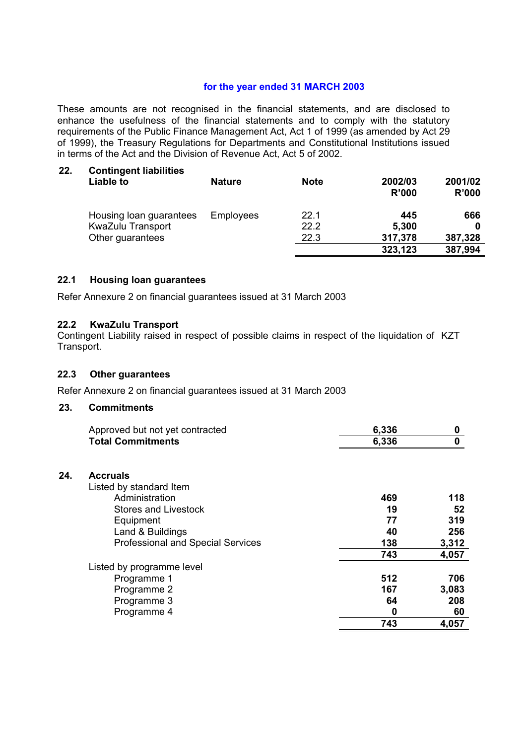## **for the year ended 31 MARCH 2003**

These amounts are not recognised in the financial statements, and are disclosed to enhance the usefulness of the financial statements and to comply with the statutory requirements of the Public Finance Management Act, Act 1 of 1999 (as amended by Act 29 of 1999), the Treasury Regulations for Departments and Constitutional Institutions issued in terms of the Act and the Division of Revenue Act, Act 5 of 2002.

| 22. | <b>Contingent liabilities</b><br>Liable to | <b>Nature</b>    | <b>Note</b> | 2002/03<br>R'000 | 2001/02<br>R'000 |
|-----|--------------------------------------------|------------------|-------------|------------------|------------------|
|     | Housing loan guarantees                    | <b>Employees</b> | 22.1        | 445              | 666              |
|     | KwaZulu Transport                          |                  | 22.2        | 5,300            | 0                |
|     | Other guarantees                           |                  | 22.3        | 317,378          | 387,328          |
|     |                                            |                  |             | 323,123          | 387,994          |

## **22.1 Housing loan guarantees**

Refer Annexure 2 on financial guarantees issued at 31 March 2003

#### **22.2 KwaZulu Transport**

Contingent Liability raised in respect of possible claims in respect of the liquidation of KZT Transport.

#### **22.3 Other guarantees**

Refer Annexure 2 on financial guarantees issued at 31 March 2003

#### **23. Commitments**

**24. Accruals** 

| Approved but not yet contracted          | 6,336 | 0     |
|------------------------------------------|-------|-------|
| <b>Total Commitments</b>                 | 6,336 | 0     |
|                                          |       |       |
| <b>Accruals</b>                          |       |       |
| Listed by standard Item                  |       |       |
| Administration                           | 469   | 118   |
| <b>Stores and Livestock</b>              | 19    | 52    |
| Equipment                                | 77    | 319   |
| Land & Buildings                         | 40    | 256   |
| <b>Professional and Special Services</b> | 138   | 3,312 |
|                                          | 743   | 4,057 |
| Listed by programme level                |       |       |
| Programme 1                              | 512   | 706   |
| Programme 2                              | 167   | 3,083 |
| Programme 3                              | 64    | 208   |
| Programme 4                              | 0     | 60    |
|                                          | 743   | 4,057 |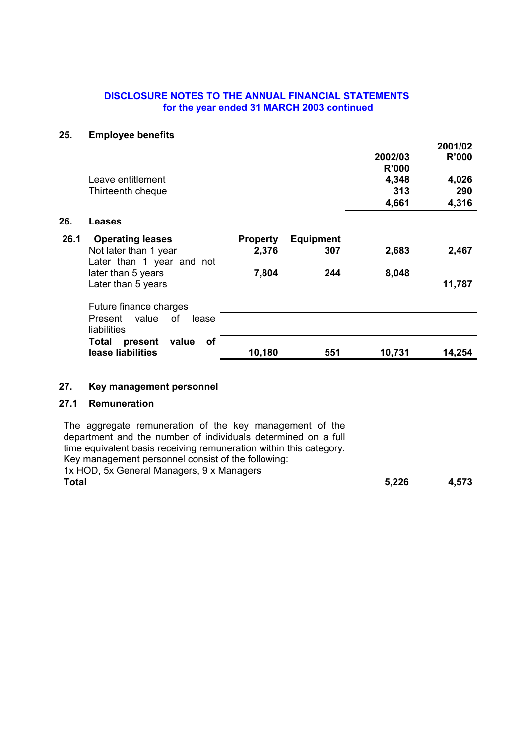#### **25. Employee benefits**

|      | $=$ p.o $, 000$ sononco         |                 |                  |         | 2001/02      |
|------|---------------------------------|-----------------|------------------|---------|--------------|
|      |                                 |                 |                  | 2002/03 | <b>R'000</b> |
|      |                                 |                 |                  | R'000   |              |
|      | Leave entitlement               |                 |                  | 4,348   | 4,026        |
|      | Thirteenth cheque               |                 |                  | 313     | 290          |
|      |                                 |                 |                  | 4,661   | 4,316        |
| 26.  | Leases                          |                 |                  |         |              |
| 26.1 | <b>Operating leases</b>         | <b>Property</b> | <b>Equipment</b> |         |              |
|      | Not later than 1 year           | 2,376           | 307              | 2,683   | 2,467        |
|      | Later than 1 year and not       |                 |                  |         |              |
|      | later than 5 years              | 7,804           | 244              | 8,048   |              |
|      | Later than 5 years              |                 |                  |         | 11,787       |
|      | Future finance charges          |                 |                  |         |              |
|      | value<br>Present<br>οf<br>lease |                 |                  |         |              |
|      | liabilities                     |                 |                  |         |              |
|      | of<br>value<br>Total<br>present |                 |                  |         |              |
|      | lease liabilities               | 10,180          | 551              | 10,731  | 14,254       |

## **27. Key management personnel**

## **27.1 Remuneration**

The aggregate remuneration of the key management of the department and the number of individuals determined on a full time equivalent basis receiving remuneration within this category. Key management personnel consist of the following:

1x HOD, 5x General Managers, 9 x Managers<br>Total

**Total 5,226 4,573**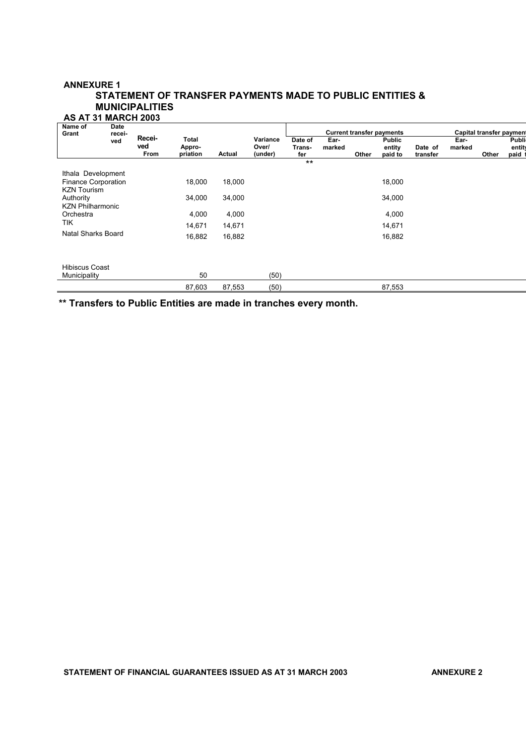#### **ANNEXURE 1 STATEMENT OF TRANSFER PAYMENTS MADE TO PUBLIC ENTITIES & MUNICIPALITIES AS AT 31 MARCH 2003**

| Name of<br>Grant                                                       | Date<br>recei-<br>ved |                       |                                    |        |                              |                          |                |       | <b>Current transfer payments</b>   |                     |                | <b>Capital transfer payment</b> |                                |
|------------------------------------------------------------------------|-----------------------|-----------------------|------------------------------------|--------|------------------------------|--------------------------|----------------|-------|------------------------------------|---------------------|----------------|---------------------------------|--------------------------------|
|                                                                        |                       | Recei-<br>ved<br>From | <b>Total</b><br>Appro-<br>priation | Actual | Variance<br>Over/<br>(under) | Date of<br>Trans-<br>fer | Ear-<br>marked | Other | <b>Public</b><br>entity<br>paid to | Date of<br>transfer | Ear-<br>marked | Other                           | <b>Publi</b><br>entity<br>paid |
|                                                                        |                       |                       |                                    |        |                              | $***$                    |                |       |                                    |                     |                |                                 |                                |
| Ithala Development<br><b>Finance Corporation</b><br><b>KZN Tourism</b> |                       |                       | 18,000                             | 18,000 |                              |                          |                |       | 18,000                             |                     |                |                                 |                                |
| Authority<br><b>KZN Philharmonic</b>                                   |                       |                       | 34,000                             | 34,000 |                              |                          |                |       | 34,000                             |                     |                |                                 |                                |
| Orchestra                                                              |                       |                       | 4,000                              | 4,000  |                              |                          |                |       | 4,000                              |                     |                |                                 |                                |
| <b>TIK</b>                                                             |                       |                       | 14,671                             | 14,671 |                              |                          |                |       | 14,671                             |                     |                |                                 |                                |
| Natal Sharks Board                                                     |                       |                       | 16,882                             | 16,882 |                              |                          |                |       | 16,882                             |                     |                |                                 |                                |
| <b>Hibiscus Coast</b><br>Municipality                                  |                       |                       | 50                                 |        | (50)                         |                          |                |       |                                    |                     |                |                                 |                                |
|                                                                        |                       |                       | 87,603                             | 87,553 | (50)                         |                          |                |       | 87,553                             |                     |                |                                 |                                |

**\*\* Transfers to Public Entities are made in tranches every month.**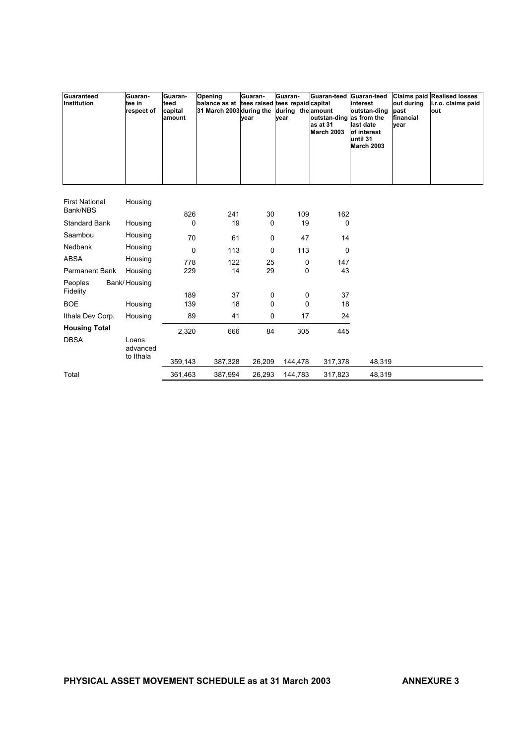| Guaranteed<br>Institution         | Guaran-<br>tee in<br>respect of | Guaran-<br>teed<br>capital<br>amount | Opening<br>balance as at<br>31 March 2003 during the | Guaran-<br>vear | Guaran-<br>tees raised tees repaid capital<br>during the amount<br>vear | Guaran-teed<br>outstan-ding as from the<br>as at 31<br><b>March 2003</b> | Guaran-teed<br>interest<br>outstan-ding<br>last date<br>of interest<br>luntil 31<br><b>March 2003</b> | out during<br>past<br>financial<br>vear | <b>Claims paid Realised losses</b><br>i.r.o. claims paid<br>out |
|-----------------------------------|---------------------------------|--------------------------------------|------------------------------------------------------|-----------------|-------------------------------------------------------------------------|--------------------------------------------------------------------------|-------------------------------------------------------------------------------------------------------|-----------------------------------------|-----------------------------------------------------------------|
| <b>First National</b><br>Bank/NBS | Housing                         | 826                                  | 241                                                  | 30              | 109                                                                     | 162                                                                      |                                                                                                       |                                         |                                                                 |
| <b>Standard Bank</b>              | Housing                         | 0                                    | 19                                                   | 0               | 19                                                                      | 0                                                                        |                                                                                                       |                                         |                                                                 |
| Saambou                           | Housing                         | 70                                   | 61                                                   | 0               | 47                                                                      | 14                                                                       |                                                                                                       |                                         |                                                                 |
| Nedbank                           | Housing                         | $\mathbf 0$                          | 113                                                  | 0               | 113                                                                     | 0                                                                        |                                                                                                       |                                         |                                                                 |
| <b>ABSA</b>                       | Housing                         | 778                                  | 122                                                  | 25              | 0                                                                       | 147                                                                      |                                                                                                       |                                         |                                                                 |
| Permanent Bank                    | Housing                         | 229                                  | 14                                                   | 29              | 0                                                                       | 43                                                                       |                                                                                                       |                                         |                                                                 |
| Peoples<br>Fidelity               | Bank/Housing                    | 189                                  | 37                                                   |                 |                                                                         | 37                                                                       |                                                                                                       |                                         |                                                                 |
| <b>BOE</b>                        | Housing                         | 139                                  | 18                                                   | 0<br>0          | 0<br>0                                                                  | 18                                                                       |                                                                                                       |                                         |                                                                 |
| Ithala Dev Corp.                  | Housing                         | 89                                   | 41                                                   | 0               | 17                                                                      | 24                                                                       |                                                                                                       |                                         |                                                                 |
| <b>Housing Total</b>              |                                 | 2,320                                | 666                                                  | 84              | 305                                                                     | 445                                                                      |                                                                                                       |                                         |                                                                 |
| <b>DBSA</b>                       | Loans<br>advanced<br>to Ithala  |                                      |                                                      |                 |                                                                         |                                                                          |                                                                                                       |                                         |                                                                 |
|                                   |                                 | 359,143                              | 387,328                                              | 26,209          | 144,478                                                                 | 317,378                                                                  | 48,319                                                                                                |                                         |                                                                 |
| Total                             |                                 | 361,463                              | 387,994                                              | 26,293          | 144,783                                                                 | 317,823                                                                  | 48,319                                                                                                |                                         |                                                                 |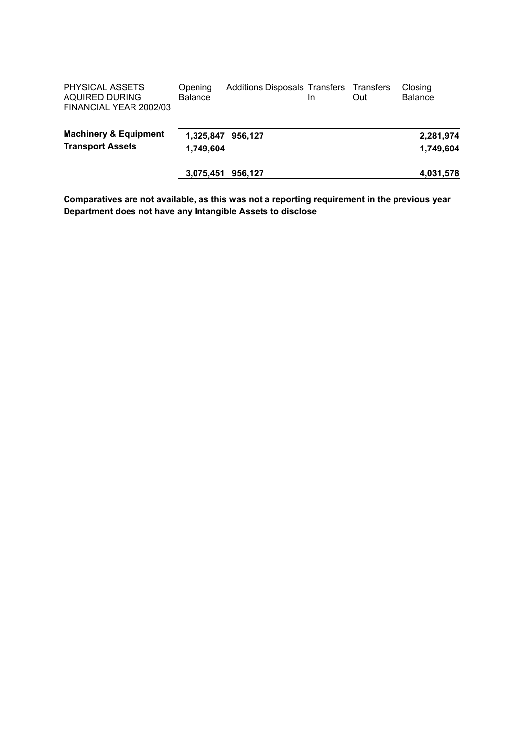| PHYSICAL ASSETS<br>AQUIRED DURING<br>FINANCIAL YEAR 2002/03 | Opening<br><b>Balance</b> | <b>Additions Disposals Transfers</b> | In | Transfers<br>Out | Closing<br><b>Balance</b> |
|-------------------------------------------------------------|---------------------------|--------------------------------------|----|------------------|---------------------------|
| <b>Machinery &amp; Equipment</b>                            | 1,325,847 956,127         |                                      |    |                  | 2,281,974                 |
| <b>Transport Assets</b>                                     | 1,749,604                 |                                      |    |                  | 1,749,604                 |
|                                                             | 3,075,451                 | 956.127                              |    |                  | 4,031,578                 |

**Comparatives are not available, as this was not a reporting requirement in the previous year Department does not have any Intangible Assets to disclose**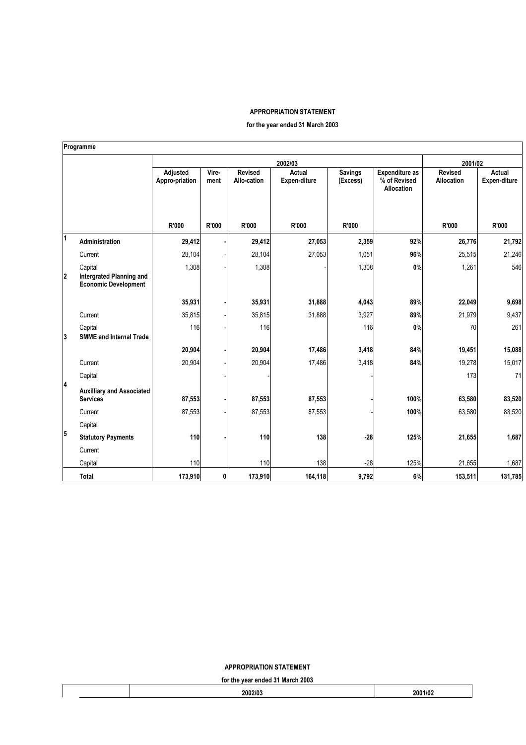#### **APPROPRIATION STATEMENT**

**for the year ended 31 March 2003** 

|                         | Programme                                                                 |                            |               |                               |                        |                            |                                                            |                                     |                               |
|-------------------------|---------------------------------------------------------------------------|----------------------------|---------------|-------------------------------|------------------------|----------------------------|------------------------------------------------------------|-------------------------------------|-------------------------------|
|                         |                                                                           |                            |               |                               | 2002/03                |                            |                                                            | 2001/02                             |                               |
|                         |                                                                           | Adjusted<br>Appro-priation | Vire-<br>ment | <b>Revised</b><br>Allo-cation | Actual<br>Expen-diture | <b>Savings</b><br>(Excess) | <b>Expenditure as</b><br>% of Revised<br><b>Allocation</b> | <b>Revised</b><br><b>Allocation</b> | <b>Actual</b><br>Expen-diture |
|                         |                                                                           | R'000                      | R'000         | R'000                         | R'000                  | R'000                      |                                                            | R'000                               | <b>R'000</b>                  |
| $\overline{1}$          | Administration                                                            | 29,412                     |               | 29,412                        | 27,053                 | 2,359                      | 92%                                                        | 26,776                              | 21,792                        |
|                         | Current                                                                   | 28,104                     |               | 28,104                        | 27,053                 | 1,051                      | 96%                                                        | 25,515                              | 21,246                        |
| $\overline{\mathbf{2}}$ | Capital<br><b>Intergrated Planning and</b><br><b>Economic Development</b> | 1,308                      |               | 1,308                         |                        | 1,308                      | 0%                                                         | 1,261                               | 546                           |
|                         |                                                                           | 35,931                     |               | 35,931                        | 31,888                 | 4,043                      | 89%                                                        | 22,049                              | 9,698                         |
|                         | Current                                                                   | 35,815                     |               | 35,815                        | 31,888                 | 3,927                      | 89%                                                        | 21,979                              | 9,437                         |
| 3                       | Capital<br><b>SMME and Internal Trade</b>                                 | 116                        |               | 116                           |                        | 116                        | 0%                                                         | 70                                  | 261                           |
|                         |                                                                           | 20,904                     |               | 20,904                        | 17,486                 | 3,418                      | 84%                                                        | 19,451                              | 15,088                        |
|                         | Current                                                                   | 20,904                     |               | 20,904                        | 17,486                 | 3,418                      | 84%                                                        | 19,278                              | 15,017                        |
|                         | Capital                                                                   |                            |               |                               |                        |                            |                                                            | 173                                 | 71                            |
| 14                      | <b>Auxilliary and Associated</b><br><b>Services</b>                       | 87,553                     |               | 87,553                        | 87,553                 |                            | 100%                                                       | 63,580                              | 83,520                        |
|                         | Current                                                                   | 87,553                     |               | 87,553                        | 87,553                 |                            | 100%                                                       | 63,580                              | 83,520                        |
|                         | Capital                                                                   |                            |               |                               |                        |                            |                                                            |                                     |                               |
| 5                       | <b>Statutory Payments</b>                                                 | <b>110</b>                 |               | 110                           | 138                    | $-28$                      | 125%                                                       | 21,655                              | 1,687                         |
|                         | Current                                                                   |                            |               |                               |                        |                            |                                                            |                                     |                               |
|                         | Capital                                                                   | 110                        |               | 110                           | 138                    | $-28$                      | 125%                                                       | 21,655                              | 1,687                         |
|                         | <b>Total</b>                                                              | 173,910                    | 0             | 173,910                       | 164,118                | 9,792                      | 6%                                                         | 153,511                             | 131,785                       |

**APPROPRIATION STATEMENT** 

**for the year ended 31 March 2003** 

| <b>191 GIS YOU CHUCU OT MUI ON LOOD</b> |        |         |  |  |  |  |  |
|-----------------------------------------|--------|---------|--|--|--|--|--|
|                                         | 2002/0 | 2001/02 |  |  |  |  |  |
|                                         |        |         |  |  |  |  |  |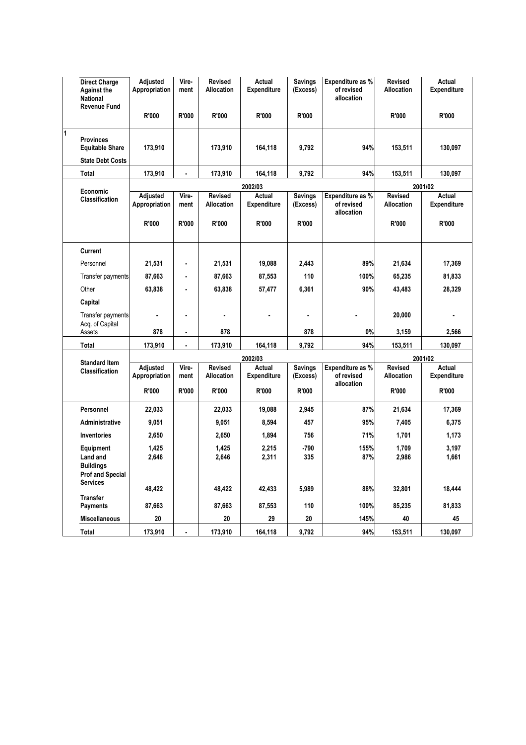|   | <b>Direct Charge</b><br><b>Against the</b><br><b>National</b><br><b>Revenue Fund</b> | Adjusted<br>Appropriation | Vire-<br>ment  | <b>Revised</b><br><b>Allocation</b> | Actual<br><b>Expenditure</b> | <b>Savings</b><br>(Excess) | Expenditure as %<br>of revised<br>allocation | <b>Revised</b><br><b>Allocation</b> | Actual<br><b>Expenditure</b> |  |
|---|--------------------------------------------------------------------------------------|---------------------------|----------------|-------------------------------------|------------------------------|----------------------------|----------------------------------------------|-------------------------------------|------------------------------|--|
|   |                                                                                      | R'000                     | R'000          | R'000                               | R'000                        | R'000                      |                                              | <b>R'000</b>                        | R'000                        |  |
| 1 | <b>Provinces</b><br><b>Equitable Share</b><br><b>State Debt Costs</b>                | 173,910                   |                | 173,910                             | 164,118                      | 9,792                      | 94%                                          | 153,511                             | 130,097                      |  |
|   | <b>Total</b>                                                                         | 173,910                   | $\blacksquare$ | 173,910                             | 164,118                      | 9,792                      | 94%                                          | 153,511                             | 130,097                      |  |
|   |                                                                                      |                           |                |                                     |                              |                            |                                              |                                     |                              |  |
|   | Economic                                                                             | Adjusted                  | Vire-          | Revised                             | 2002/03<br>Actual            | <b>Savings</b>             | Expenditure as %                             | Revised                             | 2001/02<br>Actual            |  |
|   | Classification                                                                       | Appropriation             | ment           | <b>Allocation</b>                   | <b>Expenditure</b>           | (Excess)                   | of revised<br>allocation                     | Allocation                          | <b>Expenditure</b>           |  |
|   |                                                                                      | R'000                     | R'000          | R'000                               | R'000                        | R'000                      |                                              | R'000                               | R'000                        |  |
|   | Current                                                                              |                           |                |                                     |                              |                            |                                              |                                     |                              |  |
|   | Personnel                                                                            | 21,531                    | $\blacksquare$ | 21,531                              | 19,088                       | 2,443                      | 89%                                          | 21,634                              | 17,369                       |  |
|   | <b>Transfer payments</b>                                                             | 87,663                    | $\blacksquare$ | 87,663                              | 87,553                       | 110                        | 100%                                         | 65,235                              | 81,833                       |  |
|   | Other                                                                                | 63,838                    | $\blacksquare$ | 63,838                              | 57,477                       | 6,361                      | 90%                                          | 43,483                              | 28,329                       |  |
|   | Capital                                                                              |                           |                |                                     |                              |                            |                                              |                                     |                              |  |
|   | <b>Transfer payments</b><br>Acq. of Capital                                          |                           | ×              |                                     |                              |                            |                                              | 20,000                              |                              |  |
|   | Assets                                                                               | 878                       | $\blacksquare$ | 878                                 |                              | 878                        | 0%                                           | 3,159                               | 2,566                        |  |
|   | <b>Total</b>                                                                         | 173,910                   | ä,             | 173,910                             | 164,118                      | 9,792                      | 94%                                          | 153,511                             | 130,097                      |  |
|   | <b>Standard Item</b>                                                                 |                           |                |                                     | 2002/03                      |                            |                                              | 2001/02                             |                              |  |
|   | <b>Classification</b>                                                                | Adjusted<br>Appropriation | Vire-<br>ment  | <b>Revised</b><br><b>Allocation</b> | Actual<br><b>Expenditure</b> | <b>Savings</b><br>(Excess) | Expenditure as %<br>of revised<br>allocation | <b>Revised</b><br><b>Allocation</b> | Actual<br><b>Expenditure</b> |  |
|   |                                                                                      | R'000                     | R'000          | R'000                               | R'000                        | R'000                      |                                              | R'000                               | R'000                        |  |
|   | Personnel                                                                            | 22,033                    |                | 22,033                              | 19,088                       | 2,945                      | 87%                                          | 21,634                              | 17,369                       |  |
|   | <b>Administrative</b>                                                                | 9,051                     |                | 9,051                               | 8,594                        | 457                        | 95%                                          | 7,405                               | 6,375                        |  |
|   | <b>Inventories</b>                                                                   | 2,650                     |                | 2,650                               | 1,894                        | 756                        | 71%                                          | 1,701                               | 1,173                        |  |
|   | Equipment                                                                            | 1,425                     |                | 1,425                               | 2,215                        | $-790$                     | 155%                                         | 1,709                               | 3,197                        |  |
|   | Land and<br><b>Buildings</b>                                                         | 2,646                     |                | 2,646                               | 2,311                        | 335                        | 87%                                          | 2,986                               | 1,661                        |  |
|   | <b>Prof and Special</b>                                                              |                           |                |                                     |                              |                            |                                              |                                     |                              |  |
|   | <b>Services</b>                                                                      | 48,422                    |                | 48,422                              | 42,433                       | 5,989                      | 88%                                          | 32,801                              | 18,444                       |  |
|   | <b>Transfer</b>                                                                      |                           |                |                                     |                              |                            |                                              |                                     |                              |  |
|   | <b>Payments</b>                                                                      | 87,663                    |                | 87,663                              | 87,553                       | 110                        | 100%                                         | 85,235                              | 81,833                       |  |
|   | <b>Miscellaneous</b>                                                                 | 20                        |                | 20                                  | 29                           | 20                         | 145%                                         | 40                                  | 45                           |  |
|   | Total                                                                                | 173,910                   |                | 173,910                             | 164,118                      | 9,792                      | 94%                                          | 153,511                             | 130,097                      |  |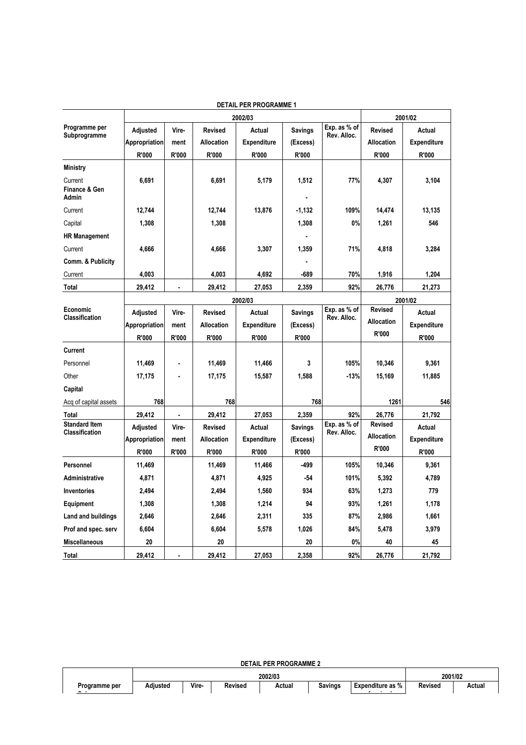|                                          | 2002/03       |                |                   |                    |                |                             | 2001/02           |                    |  |
|------------------------------------------|---------------|----------------|-------------------|--------------------|----------------|-----------------------------|-------------------|--------------------|--|
| Programme per                            | Adjusted      | Vire-          | Revised           | Actual             | <b>Savings</b> | Exp. as % of<br>Rev. Alloc. | <b>Revised</b>    | Actual             |  |
| Subprogramme                             | Appropriation | ment           | <b>Allocation</b> | Expenditure        | (Excess)       |                             | <b>Allocation</b> | Expenditure        |  |
|                                          | R'000         | R'000          | R'000             | R'000              | R'000          |                             | R'000             | R'000              |  |
| <b>Ministry</b>                          |               |                |                   |                    |                |                             |                   |                    |  |
| Current<br>Finance & Gen<br><b>Admin</b> | 6,691         |                | 6,691             | 5,179              | 1,512          | 77%                         | 4,307             | 3,104              |  |
| Current                                  | 12,744        |                | 12,744            | 13,876             | $-1,132$       | 109%                        | 14,474            | 13,135             |  |
| Capital                                  | 1,308         |                | 1,308             |                    | 1,308          | 0%                          | 1,261             | 546                |  |
| <b>HR Management</b>                     |               |                |                   |                    |                |                             |                   |                    |  |
| Current                                  | 4,666         |                | 4,666             | 3,307              | 1,359          | 71%                         | 4,818             | 3,284              |  |
| Comm. & Publicity                        |               |                |                   |                    |                |                             |                   |                    |  |
| Current                                  | 4,003         |                | 4,003             | 4,692              | $-689$         | 70%                         | 1,916             | 1,204              |  |
| Total                                    | 29,412        | ä,             | 29,412            | 27,053             | 2,359          | 92%                         | 26,776            | 21,273             |  |
|                                          |               |                |                   |                    | 2001/02        |                             |                   |                    |  |
| Economic                                 | Adjusted      | Vire-          | Revised           | Actual             | <b>Savings</b> | Exp. as % of                | <b>Revised</b>    | Actual             |  |
| <b>Classification</b>                    | Appropriation | ment           | <b>Allocation</b> | <b>Expenditure</b> | (Excess)       | Rev. Alloc.                 | <b>Allocation</b> | <b>Expenditure</b> |  |
|                                          | R'000         | R'000          | R'000             | R'000              | R'000          |                             | R'000             | R'000              |  |
| <b>Current</b>                           |               |                |                   |                    |                |                             |                   |                    |  |
| Personnel                                | 11,469        |                | 11,469            | 11,466             | 3              | 105%                        | 10,346            | 9,361              |  |
| Other                                    | 17,175        |                | 17,175            | 15,587             | 1,588          | $-13%$                      | 15,169            | 11,885             |  |
| Capital                                  |               |                |                   |                    |                |                             |                   |                    |  |
| Acq of capital assets                    | 768           |                | 768               |                    | 768            |                             | 1261              | 546                |  |
| Total                                    | 29,412        | $\blacksquare$ | 29,412            | 27,053             | 2,359          | 92%                         | 26,776            | 21,792             |  |
| <b>Standard Item</b><br>Classification   | Adjusted      | Vire-          | <b>Revised</b>    | Actual             | <b>Savings</b> | Exp. as % of<br>Rev. Alloc. | <b>Revised</b>    | Actual             |  |
|                                          | Appropriation | ment           | <b>Allocation</b> | <b>Expenditure</b> | (Excess)       |                             | <b>Allocation</b> | <b>Expenditure</b> |  |
|                                          | R'000         | R'000          | R'000             | R'000              | R'000          |                             | R'000             | R'000              |  |
| Personnel                                | 11,469        |                | 11,469            | 11,466             | -499           | 105%                        | 10,346            | 9,361              |  |
| <b>Administrative</b>                    | 4,871         |                | 4,871             | 4,925              | $-54$          | 101%                        | 5,392             | 4,789              |  |
| Inventories                              | 2,494         |                | 2,494             | 1,560              | 934            | 63%                         | 1,273             | 779                |  |
| <b>Equipment</b>                         | 1,308         |                | 1,308             | 1,214              | 94             | 93%                         | 1,261             | 1,178              |  |
| Land and buildings                       | 2,646         |                | 2,646             | 2,311              | 335            | 87%                         | 2,986             | 1,661              |  |
| Prof and spec. serv                      | 6,604         |                | 6,604             | 5,578              | 1,026          | 84%                         | 5,478             | 3,979              |  |
| <b>Miscellaneous</b>                     | 20            |                | 20                |                    | 20             | 0%                          | 40                | 45                 |  |
| Total                                    | 29,412        |                | 29,412            | 27,053             | 2,358          | 92%                         | 26,776            | 21,792             |  |

#### **DETAIL PER PROGRAMME 1**

**DETAIL PER PROGRAMME 2** 

 **2002/03 2001/02 Programme per Adjusted Vire- Revised Actual Savings Expenditure as %**  *f*  $\rightarrow$   $\rightarrow$ **Revised Actual**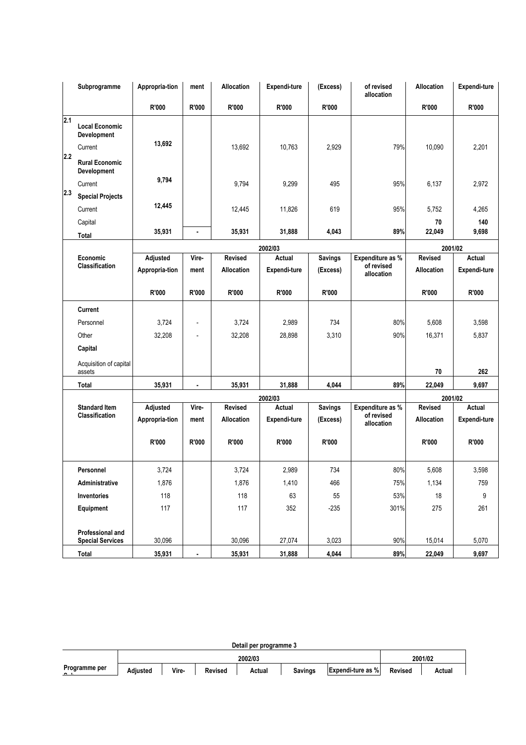|            | Subprogramme                                                             | Appropria-tion             | ment           | <b>Allocation</b>                   | Expendi-ture           | (Excess)                   | of revised<br>allocation                     | <b>Allocation</b>            | Expendi-ture           |
|------------|--------------------------------------------------------------------------|----------------------------|----------------|-------------------------------------|------------------------|----------------------------|----------------------------------------------|------------------------------|------------------------|
|            |                                                                          | R'000                      | R'000          | R'000                               | R'000                  | <b>R'000</b>               |                                              | R'000                        | R'000                  |
| 2.1<br>2.2 | <b>Local Economic</b><br>Development<br>Current<br><b>Rural Economic</b> | 13,692                     |                | 13,692                              | 10,763                 | 2,929                      | 79%                                          | 10,090                       | 2,201                  |
| 2.3        | <b>Development</b><br>Current                                            | 9,794                      |                | 9,794                               | 9,299                  | 495                        | 95%                                          | 6,137                        | 2,972                  |
|            | <b>Special Projects</b><br>Current<br>Capital                            | 12,445                     |                | 12,445                              | 11,826                 | 619                        | 95%                                          | 5,752<br>70                  | 4,265<br>140           |
|            | Total                                                                    | 35,931                     | ٠              | 35,931                              | 31,888                 | 4,043                      | 89%                                          | 22,049                       | 9,698                  |
|            |                                                                          |                            |                |                                     | 2002/03                |                            |                                              | 2001/02                      |                        |
|            | Economic<br><b>Classification</b>                                        | Adjusted                   | Vire-          | <b>Revised</b>                      | Actual                 | <b>Savings</b>             | Expenditure as %<br>of revised               | <b>Revised</b>               | Actual                 |
|            |                                                                          | Appropria-tion             | ment           | <b>Allocation</b>                   | Expendi-ture           | (Excess)                   | allocation                                   | <b>Allocation</b>            | Expendi-ture           |
|            |                                                                          | R'000                      | R'000          | <b>R'000</b>                        | R'000                  | R'000                      |                                              | R'000                        | R'000                  |
|            | <b>Current</b>                                                           |                            |                |                                     |                        |                            |                                              |                              |                        |
|            | Personnel                                                                | 3,724                      | $\overline{a}$ | 3,724                               | 2,989                  | 734                        | 80%                                          | 5,608                        | 3,598                  |
|            | Other                                                                    | 32,208                     |                | 32,208                              | 28,898                 | 3,310                      | 90%                                          | 16,371                       | 5,837                  |
|            | Capital                                                                  |                            |                |                                     |                        |                            |                                              |                              |                        |
|            | Acquisition of capital<br>assets                                         |                            |                |                                     |                        |                            |                                              | 70                           | 262                    |
|            | Total                                                                    | 35,931                     | ٠              | 35,931                              | 31,888                 | 4,044                      | 89%                                          | 22,049                       | 9,697                  |
|            |                                                                          |                            |                |                                     | 2002/03                |                            |                                              | 2001/02                      |                        |
|            | <b>Standard Item</b><br><b>Classification</b>                            | Adjusted<br>Appropria-tion | Vire-<br>ment  | <b>Revised</b><br><b>Allocation</b> | Actual<br>Expendi-ture | <b>Savings</b><br>(Excess) | Expenditure as %<br>of revised<br>allocation | <b>Revised</b><br>Allocation | Actual<br>Expendi-ture |
|            |                                                                          | R'000                      | R'000          | R'000                               | R'000                  | <b>R'000</b>               |                                              | <b>R'000</b>                 | R'000                  |
|            | Personnel                                                                | 3,724                      |                | 3,724                               | 2,989                  | 734                        | 80%                                          | 5,608                        | 3,598                  |
|            | Administrative                                                           | 1,876                      |                | 1,876                               | 1,410                  | 466                        | 75%                                          | 1,134                        | 759                    |
|            | Inventories                                                              | 118                        |                | 118                                 | 63                     | 55                         | 53%                                          | $18$                         | 9                      |
|            | Equipment                                                                | 117                        |                | 117                                 | 352                    | $-235$                     | 301%                                         | 275                          | 261                    |
|            | Professional and<br><b>Special Services</b>                              | 30,096                     |                | 30,096                              | 27,074                 | 3,023                      | 90%                                          | 15,014                       | 5,070                  |
|            | <b>Total</b>                                                             | 35,931                     | ٠              | 35,931                              | 31,888                 | 4,044                      | 89%                                          | 22,049                       | 9,697                  |

| Detail per programme 3 |  |  |
|------------------------|--|--|
|                        |  |  |

|                                 |          |       | 2001/02        |        |                |                          |                |        |
|---------------------------------|----------|-------|----------------|--------|----------------|--------------------------|----------------|--------|
| Programme per<br>$\sim$ $\cdot$ | Adiusted | Vire- | <b>Revised</b> | Actual | <b>Savings</b> | <b>Expendi-ture as %</b> | <b>Revised</b> | Actual |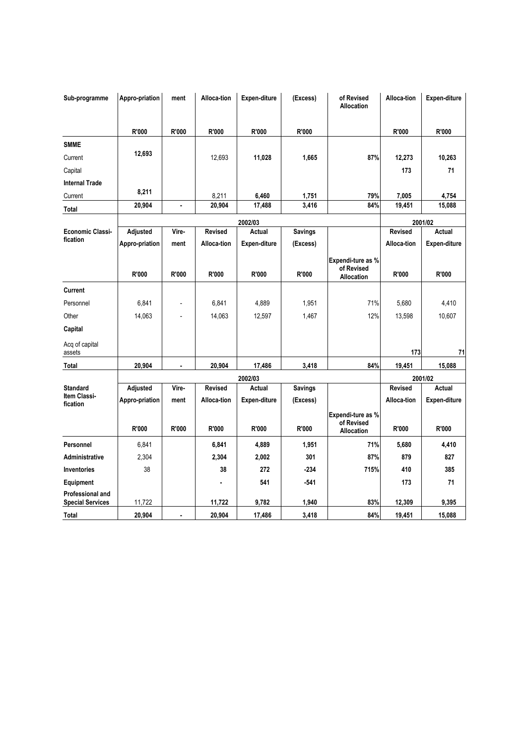| Sub-programme                                      | Appro-priation | ment  | Alloca-tion    | <b>Expen-diture</b> | (Excess)       | of Revised<br><b>Allocation</b> | Alloca-tion    | Expen-diture        |
|----------------------------------------------------|----------------|-------|----------------|---------------------|----------------|---------------------------------|----------------|---------------------|
|                                                    |                |       |                |                     |                |                                 |                |                     |
|                                                    | R'000          | R'000 | R'000          | R'000               | <b>R'000</b>   |                                 | R'000          | R'000               |
| <b>SMME</b>                                        |                |       |                |                     |                |                                 |                |                     |
| Current                                            | 12,693         |       | 12,693         | 11,028              | 1,665          | 87%                             | 12,273         | 10,263              |
| Capital                                            |                |       |                |                     |                |                                 | 173            | 71                  |
| <b>Internal Trade</b>                              |                |       |                |                     |                |                                 |                |                     |
| Current                                            | 8,211          |       | 8,211          | 6,460               | 1,751          | 79%                             | 7,005          | 4,754               |
| <b>Total</b>                                       | 20,904         | ä,    | 20,904         | 17,488              | 3,416          | 84%                             | 19,451         | 15,088              |
|                                                    |                |       |                | 2002/03             |                |                                 |                | 2001/02             |
| <b>Economic Classi-</b>                            | Adjusted       | Vire- | Revised        | Actual              | <b>Savings</b> |                                 | <b>Revised</b> | <b>Actual</b>       |
| fication                                           | Appro-priation | ment  | Alloca-tion    | Expen-diture        | (Excess)       |                                 | Alloca-tion    | Expen-diture        |
|                                                    | R'000          | R'000 | R'000          | R'000               | R'000          | Expendi-ture as %<br>of Revised | R'000          | R'000               |
|                                                    |                |       |                |                     |                | <b>Allocation</b>               |                |                     |
| <b>Current</b>                                     |                |       |                |                     |                |                                 |                |                     |
| Personnel                                          | 6,841          |       | 6,841          | 4,889               | 1,951          | 71%                             | 5,680          | 4.410               |
| Other                                              | 14,063         |       | 14,063         | 12,597              | 1,467          | 12%                             | 13,598         | 10,607              |
| Capital                                            |                |       |                |                     |                |                                 |                |                     |
| Acq of capital<br>assets                           |                |       |                |                     |                |                                 | 173            | 71                  |
| Total                                              | 20,904         |       | 20,904         | 17,486              | 3,418          | 84%                             | 19,451         | 15,088              |
|                                                    |                |       |                | 2002/03             |                |                                 |                | 2001/02             |
| <b>Standard</b><br>Item Classi-                    | Adjusted       | Vire- | <b>Revised</b> | Actual              | <b>Savings</b> |                                 | <b>Revised</b> | <b>Actual</b>       |
| fication                                           | Appro-priation | ment  | Alloca-tion    | Expen-diture        | (Excess)       |                                 | Alloca-tion    | <b>Expen-diture</b> |
|                                                    | R'000          | R'000 | R'000          | R'000               | R'000          | Expendi-ture as %<br>of Revised | R'000          | R'000               |
|                                                    |                |       |                |                     |                | <b>Allocation</b>               |                |                     |
| Personnel                                          | 6,841          |       | 6,841          | 4,889               | 1,951          | 71%                             | 5,680          | 4,410               |
| <b>Administrative</b>                              | 2,304          |       | 2,304          | 2,002               | 301            | 87%                             | 879            | 827                 |
| <b>Inventories</b>                                 | 38             |       | 38             | 272                 | $-234$         | 715%                            | 410            | 385                 |
| Equipment                                          |                |       |                | 541                 | $-541$         |                                 | 173            | 71                  |
| <b>Professional and</b><br><b>Special Services</b> | 11,722         |       | 11,722         | 9,782               | 1,940          | 83%                             | 12,309         | 9,395               |
| <b>Total</b>                                       | 20,904         | ä,    | 20,904         | 17,486              | 3,418          | 84%                             | 19,451         | 15,088              |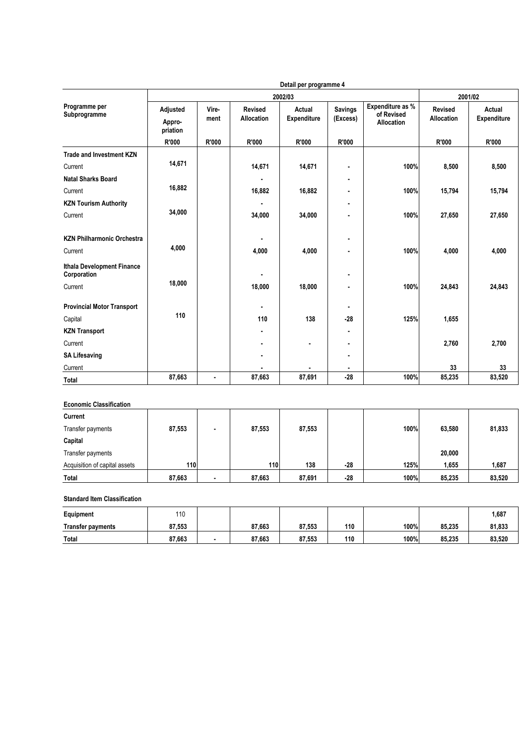|                                              |                                |               |                                     | Detail per programme 4       |                            |                                                     |                                     |                              |
|----------------------------------------------|--------------------------------|---------------|-------------------------------------|------------------------------|----------------------------|-----------------------------------------------------|-------------------------------------|------------------------------|
|                                              |                                |               | 2001/02                             |                              |                            |                                                     |                                     |                              |
| Programme per<br>Subprogramme                | Adjusted<br>Appro-<br>priation | Vire-<br>ment | <b>Revised</b><br><b>Allocation</b> | Actual<br><b>Expenditure</b> | <b>Savings</b><br>(Excess) | Expenditure as %<br>of Revised<br><b>Allocation</b> | <b>Revised</b><br><b>Allocation</b> | Actual<br><b>Expenditure</b> |
|                                              | R'000                          | <b>R'000</b>  | R'000                               | R'000                        | R'000                      |                                                     | R'000                               | R'000                        |
| <b>Trade and Investment KZN</b>              |                                |               |                                     |                              |                            |                                                     |                                     |                              |
| Current                                      | 14,671                         |               | 14,671                              | 14,671                       | $\blacksquare$             | 100%                                                | 8,500                               | 8,500                        |
| <b>Natal Sharks Board</b>                    |                                |               |                                     |                              | $\blacksquare$             |                                                     |                                     |                              |
| Current                                      | 16,882                         |               | 16,882                              | 16,882                       |                            | 100%                                                | 15,794                              | 15,794                       |
| <b>KZN Tourism Authority</b>                 |                                |               |                                     |                              |                            |                                                     |                                     |                              |
| Current                                      | 34,000                         |               | 34,000                              | 34,000                       |                            | 100%                                                | 27,650                              | 27,650                       |
| <b>KZN Philharmonic Orchestra</b><br>Current | 4,000                          |               | 4,000                               | 4.000                        | $\blacksquare$             | 100%                                                | 4,000                               | 4,000                        |
| Ithala Development Finance<br>Corporation    | 18,000                         |               |                                     |                              |                            |                                                     |                                     |                              |
| Current                                      |                                |               | 18,000                              | 18,000                       |                            | 100%                                                | 24,843                              | 24,843                       |
| <b>Provincial Motor Transport</b>            |                                |               |                                     |                              |                            |                                                     |                                     |                              |
| Capital                                      | 110                            |               | 110                                 | 138                          | $-28$                      | 125%                                                | 1,655                               |                              |
| <b>KZN Transport</b>                         |                                |               |                                     |                              |                            |                                                     |                                     |                              |
| Current                                      |                                |               |                                     |                              |                            |                                                     | 2,760                               | 2,700                        |
| <b>SA Lifesaving</b>                         |                                |               |                                     |                              |                            |                                                     |                                     |                              |
| Current                                      |                                |               |                                     |                              |                            |                                                     | 33                                  | 33                           |
| <b>Total</b>                                 | 87,663                         | ٠             | 87,663                              | 87,691                       | $-28$                      | 100%                                                | 85,235                              | 83,520                       |

#### **Economic Classification**

| Current                       |        |            |        |       |      |        |        |
|-------------------------------|--------|------------|--------|-------|------|--------|--------|
| Transfer payments             | 87,553 | 87,553     | 87,553 |       | 100% | 63,580 | 81,833 |
| Capital                       |        |            |        |       |      |        |        |
| Transfer payments             |        |            |        |       |      | 20,000 |        |
| Acquisition of capital assets | 110    | <b>110</b> | 138    | $-28$ | 125% | 1,655  | 1,687  |
| <b>Total</b>                  | 87,663 | 87,663     | 87,691 | $-28$ | 100% | 85,235 | 83,520 |

#### **Standard Item Classification**

| Equipment                | 110    |        |        |     |      |        | 1,687  |
|--------------------------|--------|--------|--------|-----|------|--------|--------|
| <b>Transfer payments</b> | 87,553 | 87.663 | 87.553 | 110 | 100% | 85.235 | 81,833 |
| <b>Total</b>             | 87,663 | 87,663 | 87.553 | 110 | 100% | 85,235 | 83,520 |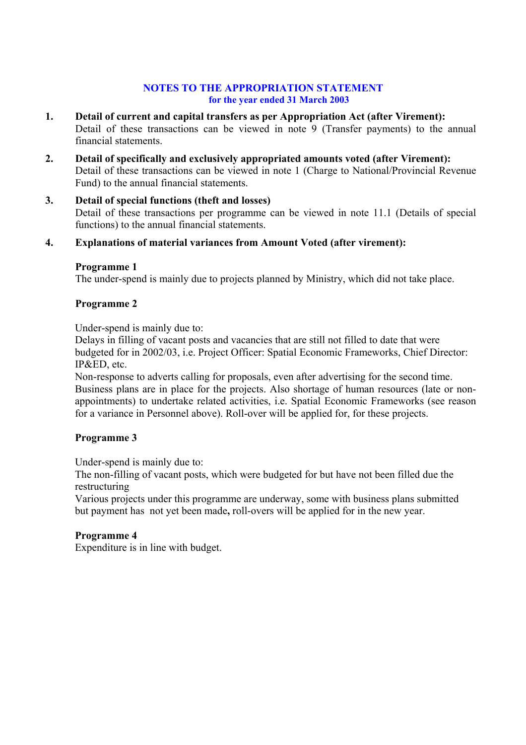## **NOTES TO THE APPROPRIATION STATEMENT for the year ended 31 March 2003**

- **1. Detail of current and capital transfers as per Appropriation Act (after Virement):**  Detail of these transactions can be viewed in note 9 (Transfer payments) to the annual financial statements.
- **2. Detail of specifically and exclusively appropriated amounts voted (after Virement):**  Detail of these transactions can be viewed in note 1 (Charge to National/Provincial Revenue Fund) to the annual financial statements.
- **3. Detail of special functions (theft and losses)**  Detail of these transactions per programme can be viewed in note 11.1 (Details of special functions) to the annual financial statements.

# **4. Explanations of material variances from Amount Voted (after virement):**

## **Programme 1**

The under-spend is mainly due to projects planned by Ministry, which did not take place.

## **Programme 2**

Under-spend is mainly due to:

Delays in filling of vacant posts and vacancies that are still not filled to date that were budgeted for in 2002/03, i.e. Project Officer: Spatial Economic Frameworks, Chief Director: IP&ED, etc.

Non-response to adverts calling for proposals, even after advertising for the second time. Business plans are in place for the projects. Also shortage of human resources (late or nonappointments) to undertake related activities, i.e. Spatial Economic Frameworks (see reason for a variance in Personnel above). Roll-over will be applied for, for these projects.

# **Programme 3**

Under-spend is mainly due to:

The non-filling of vacant posts, which were budgeted for but have not been filled due the restructuring

Various projects under this programme are underway, some with business plans submitted but payment has not yet been made**,** roll-overs will be applied for in the new year.

# **Programme 4**

Expenditure is in line with budget.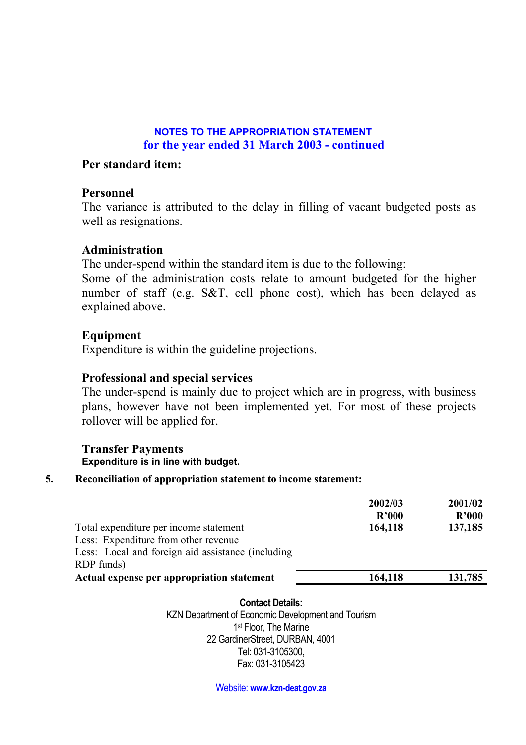# **NOTES TO THE APPROPRIATION STATEMENT for the year ended 31 March 2003 - continued**

# **Per standard item:**

# **Personnel**

The variance is attributed to the delay in filling of vacant budgeted posts as well as resignations.

# **Administration**

The under-spend within the standard item is due to the following:

Some of the administration costs relate to amount budgeted for the higher number of staff (e.g. S&T, cell phone cost), which has been delayed as explained above.

# **Equipment**

Expenditure is within the guideline projections.

# **Professional and special services**

The under-spend is mainly due to project which are in progress, with business plans, however have not been implemented yet. For most of these projects rollover will be applied for.

# **Transfer Payments Expenditure is in line with budget.**

# **5. Reconciliation of appropriation statement to income statement:**

| 2002/03<br>R'000<br>164,118 | 2001/02<br>R'000<br>137,185 |
|-----------------------------|-----------------------------|
| 164,118                     | 131,785                     |
|                             |                             |

## **Contact Details:**

KZN Department of Economic Development and Tourism 1<sup>st</sup> Floor, The Marine 22 GardinerStreet, DURBAN, 4001 Tel: 031-3105300, Fax: 031-3105423

Website: **www.kzn-deat.gov.za**